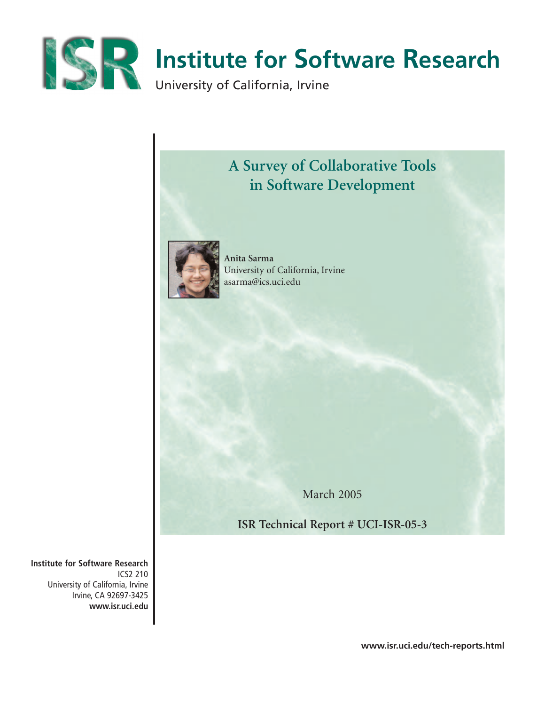



March 2005

**ISR Technical Report # UCI-ISR-05-3**

**Institute for Software Research** ICS2 210 University of California, Irvine Irvine, CA 92697-3425 **www.isr.uci.edu**

**www.isr.uci.edu/tech-reports.html**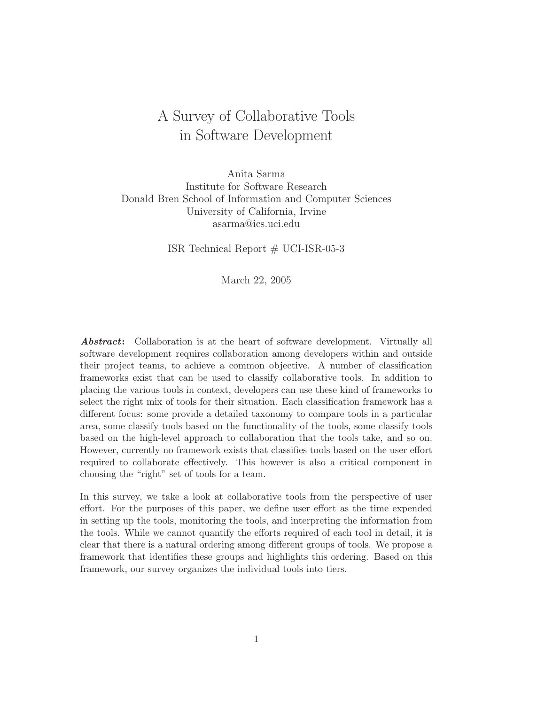# A Survey of Collaborative Tools in Software Development

Anita Sarma Institute for Software Research Donald Bren School of Information and Computer Sciences University of California, Irvine asarma@ics.uci.edu

ISR Technical Report  $#$  UCI-ISR-05-3

March 22, 2005

Abstract: Collaboration is at the heart of software development. Virtually all software development requires collaboration among developers within and outside their project teams, to achieve a common objective. A number of classification frameworks exist that can be used to classify collaborative tools. In addition to placing the various tools in context, developers can use these kind of frameworks to select the right mix of tools for their situation. Each classification framework has a different focus: some provide a detailed taxonomy to compare tools in a particular area, some classify tools based on the functionality of the tools, some classify tools based on the high-level approach to collaboration that the tools take, and so on. However, currently no framework exists that classifies tools based on the user effort required to collaborate effectively. This however is also a critical component in choosing the "right" set of tools for a team.

In this survey, we take a look at collaborative tools from the perspective of user effort. For the purposes of this paper, we define user effort as the time expended in setting up the tools, monitoring the tools, and interpreting the information from the tools. While we cannot quantify the efforts required of each tool in detail, it is clear that there is a natural ordering among different groups of tools. We propose a framework that identifies these groups and highlights this ordering. Based on this framework, our survey organizes the individual tools into tiers.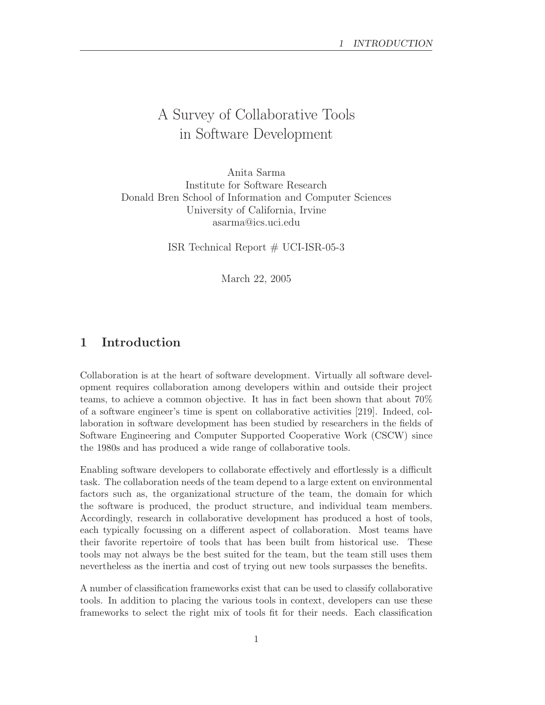# A Survey of Collaborative Tools in Software Development

Anita Sarma Institute for Software Research Donald Bren School of Information and Computer Sciences University of California, Irvine asarma@ics.uci.edu

ISR Technical Report # UCI-ISR-05-3

March 22, 2005

# 1 Introduction

Collaboration is at the heart of software development. Virtually all software development requires collaboration among developers within and outside their project teams, to achieve a common objective. It has in fact been shown that about 70% of a software engineer's time is spent on collaborative activities [219]. Indeed, collaboration in software development has been studied by researchers in the fields of Software Engineering and Computer Supported Cooperative Work (CSCW) since the 1980s and has produced a wide range of collaborative tools.

Enabling software developers to collaborate effectively and effortlessly is a difficult task. The collaboration needs of the team depend to a large extent on environmental factors such as, the organizational structure of the team, the domain for which the software is produced, the product structure, and individual team members. Accordingly, research in collaborative development has produced a host of tools, each typically focussing on a different aspect of collaboration. Most teams have their favorite repertoire of tools that has been built from historical use. These tools may not always be the best suited for the team, but the team still uses them nevertheless as the inertia and cost of trying out new tools surpasses the benefits.

A number of classification frameworks exist that can be used to classify collaborative tools. In addition to placing the various tools in context, developers can use these frameworks to select the right mix of tools fit for their needs. Each classification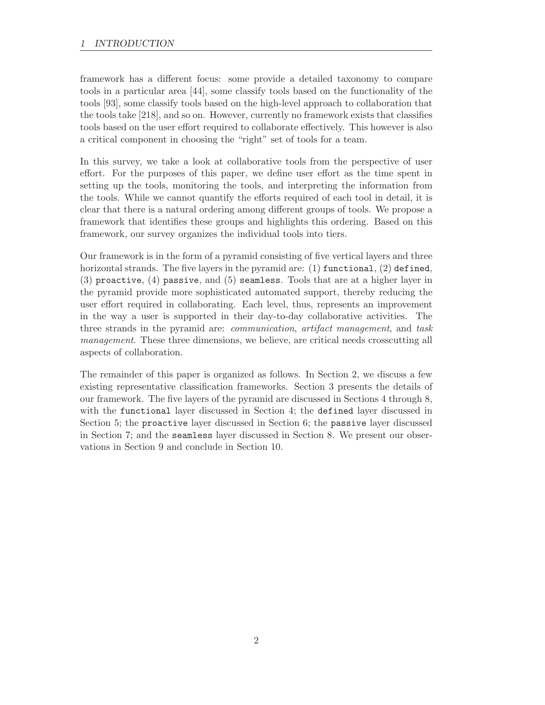framework has a different focus: some provide a detailed taxonomy to compare tools in a particular area [44], some classify tools based on the functionality of the tools [93], some classify tools based on the high-level approach to collaboration that the tools take [218], and so on. However, currently no framework exists that classifies tools based on the user effort required to collaborate effectively. This however is also a critical component in choosing the "right" set of tools for a team.

In this survey, we take a look at collaborative tools from the perspective of user effort. For the purposes of this paper, we define user effort as the time spent in setting up the tools, monitoring the tools, and interpreting the information from the tools. While we cannot quantify the efforts required of each tool in detail, it is clear that there is a natural ordering among different groups of tools. We propose a framework that identifies these groups and highlights this ordering. Based on this framework, our survey organizes the individual tools into tiers.

Our framework is in the form of a pyramid consisting of five vertical layers and three horizontal strands. The five layers in the pyramid are: (1) functional, (2) defined, (3) proactive, (4) passive, and (5) seamless. Tools that are at a higher layer in the pyramid provide more sophisticated automated support, thereby reducing the user effort required in collaborating. Each level, thus, represents an improvement in the way a user is supported in their day-to-day collaborative activities. The three strands in the pyramid are: communication, artifact management, and task management. These three dimensions, we believe, are critical needs crosscutting all aspects of collaboration.

The remainder of this paper is organized as follows. In Section 2, we discuss a few existing representative classification frameworks. Section 3 presents the details of our framework. The five layers of the pyramid are discussed in Sections 4 through 8, with the functional layer discussed in Section 4; the defined layer discussed in Section 5; the proactive layer discussed in Section 6; the passive layer discussed in Section 7; and the seamless layer discussed in Section 8. We present our observations in Section 9 and conclude in Section 10.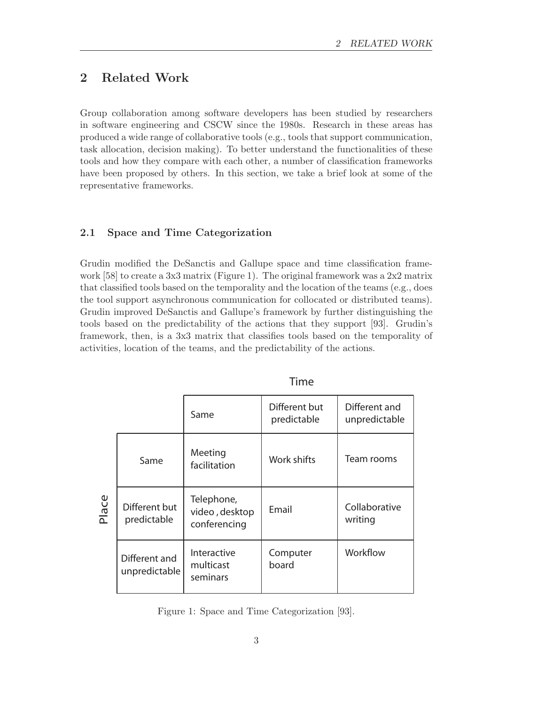# 2 Related Work

Group collaboration among software developers has been studied by researchers in software engineering and CSCW since the 1980s. Research in these areas has produced a wide range of collaborative tools (e.g., tools that support communication, task allocation, decision making). To better understand the functionalities of these tools and how they compare with each other, a number of classification frameworks have been proposed by others. In this section, we take a brief look at some of the representative frameworks.

### 2.1 Space and Time Categorization

Grudin modified the DeSanctis and Gallupe space and time classification framework [58] to create a 3x3 matrix (Figure 1). The original framework was a 2x2 matrix that classified tools based on the temporality and the location of the teams (e.g., does the tool support asynchronous communication for collocated or distributed teams). Grudin improved DeSanctis and Gallupe's framework by further distinguishing the tools based on the predictability of the actions that they support [93]. Grudin's framework, then, is a 3x3 matrix that classifies tools based on the temporality of activities, location of the teams, and the predictability of the actions.

|       |                                | Same                                         | Different but<br>predictable | Different and<br>unpredictable |  |  |
|-------|--------------------------------|----------------------------------------------|------------------------------|--------------------------------|--|--|
| Place | Same                           | Meeting<br>facilitation                      | Work shifts                  | Team rooms                     |  |  |
|       | Different but<br>predictable   | Telephone,<br>video, desktop<br>conferencing | Email                        | Collaborative<br>writing       |  |  |
|       | Different and<br>unpredictable | Interactive<br>multicast<br>seminars         | Computer<br>board            | Workflow                       |  |  |

Time

Figure 1: Space and Time Categorization [93].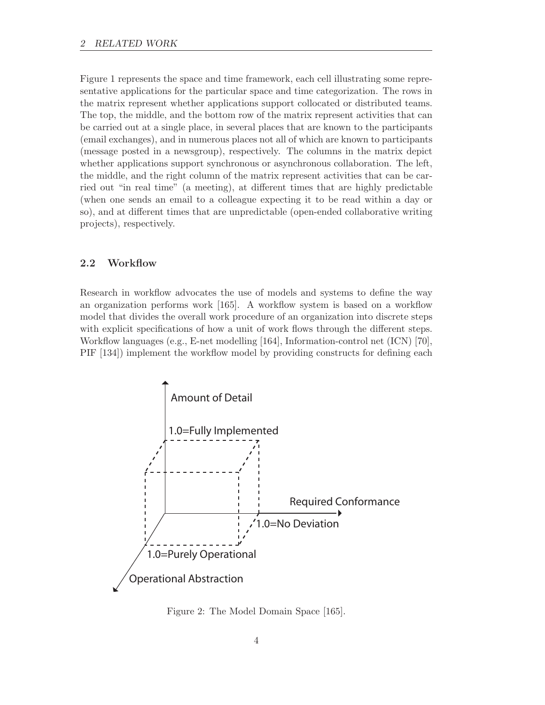Figure 1 represents the space and time framework, each cell illustrating some representative applications for the particular space and time categorization. The rows in the matrix represent whether applications support collocated or distributed teams. The top, the middle, and the bottom row of the matrix represent activities that can be carried out at a single place, in several places that are known to the participants (email exchanges), and in numerous places not all of which are known to participants (message posted in a newsgroup), respectively. The columns in the matrix depict whether applications support synchronous or asynchronous collaboration. The left, the middle, and the right column of the matrix represent activities that can be carried out "in real time" (a meeting), at different times that are highly predictable (when one sends an email to a colleague expecting it to be read within a day or so), and at different times that are unpredictable (open-ended collaborative writing projects), respectively.

#### 2.2 Workflow

Research in workflow advocates the use of models and systems to define the way an organization performs work [165]. A workflow system is based on a workflow model that divides the overall work procedure of an organization into discrete steps with explicit specifications of how a unit of work flows through the different steps. Workflow languages (e.g., E-net modelling [164], Information-control net (ICN) [70], PIF [134]) implement the workflow model by providing constructs for defining each



Figure 2: The Model Domain Space [165].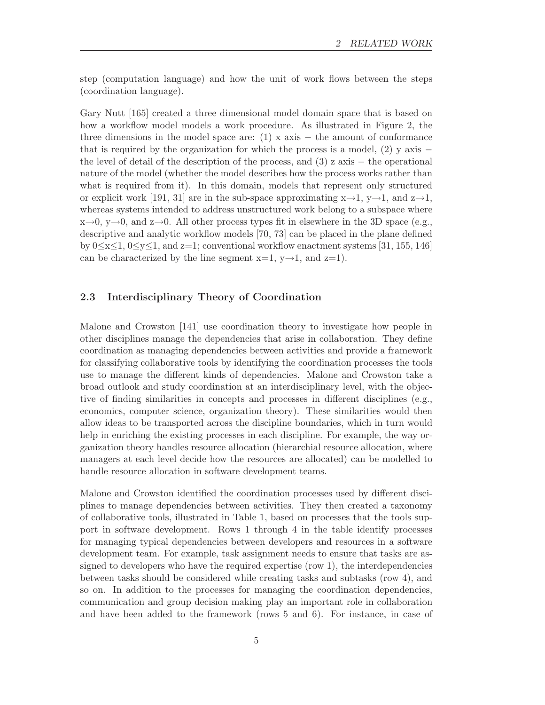step (computation language) and how the unit of work flows between the steps (coordination language).

Gary Nutt [165] created a three dimensional model domain space that is based on how a workflow model models a work procedure. As illustrated in Figure 2, the three dimensions in the model space are:  $(1)$  x axis – the amount of conformance that is required by the organization for which the process is a model,  $(2)$  y axis − the level of detail of the description of the process, and  $(3)$  z axis – the operational nature of the model (whether the model describes how the process works rather than what is required from it). In this domain, models that represent only structured or explicit work [191, 31] are in the sub-space approximating  $x\rightarrow 1$ ,  $y\rightarrow 1$ , and  $z\rightarrow 1$ , whereas systems intended to address unstructured work belong to a subspace where  $x\rightarrow 0$ ,  $y\rightarrow 0$ , and  $z\rightarrow 0$ . All other process types fit in elsewhere in the 3D space (e.g., descriptive and analytic workflow models [70, 73] can be placed in the plane defined by  $0 \le x \le 1$ ,  $0 \le y \le 1$ , and  $z=1$ ; conventional workflow enactment systems [31, 155, 146] can be characterized by the line segment  $x=1$ ,  $y\rightarrow1$ , and  $z=1$ ).

### 2.3 Interdisciplinary Theory of Coordination

Malone and Crowston [141] use coordination theory to investigate how people in other disciplines manage the dependencies that arise in collaboration. They define coordination as managing dependencies between activities and provide a framework for classifying collaborative tools by identifying the coordination processes the tools use to manage the different kinds of dependencies. Malone and Crowston take a broad outlook and study coordination at an interdisciplinary level, with the objective of finding similarities in concepts and processes in different disciplines (e.g., economics, computer science, organization theory). These similarities would then allow ideas to be transported across the discipline boundaries, which in turn would help in enriching the existing processes in each discipline. For example, the way organization theory handles resource allocation (hierarchial resource allocation, where managers at each level decide how the resources are allocated) can be modelled to handle resource allocation in software development teams.

Malone and Crowston identified the coordination processes used by different disciplines to manage dependencies between activities. They then created a taxonomy of collaborative tools, illustrated in Table 1, based on processes that the tools support in software development. Rows 1 through 4 in the table identify processes for managing typical dependencies between developers and resources in a software development team. For example, task assignment needs to ensure that tasks are assigned to developers who have the required expertise (row 1), the interdependencies between tasks should be considered while creating tasks and subtasks (row 4), and so on. In addition to the processes for managing the coordination dependencies, communication and group decision making play an important role in collaboration and have been added to the framework (rows 5 and 6). For instance, in case of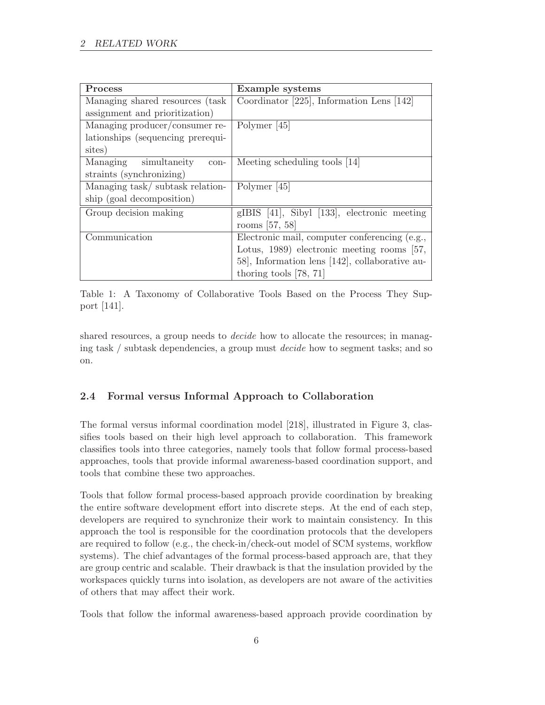| <b>Process</b>                    | Example systems                                |  |
|-----------------------------------|------------------------------------------------|--|
| Managing shared resources (task)  | Coordinator $[225]$ , Information Lens $[142]$ |  |
| assignment and prioritization)    |                                                |  |
| Managing producer/consumer re-    | Polymer [45]                                   |  |
| lationships (sequencing prerequi- |                                                |  |
| sites)                            |                                                |  |
| Managing simultaneity<br>$con-$   | Meeting scheduling tools [14]                  |  |
| straints (synchronizing)          |                                                |  |
| Managing task/subtask relation-   | Polymer [45]                                   |  |
| ship (goal decomposition)         |                                                |  |
| Group decision making             | gIBIS [41], Sibyl [133], electronic meeting    |  |
|                                   | rooms [57, 58]                                 |  |
| Communication                     | Electronic mail, computer conferencing (e.g.,  |  |
|                                   | Lotus, 1989) electronic meeting rooms [57,     |  |
|                                   | 58], Information lens [142], collaborative au- |  |
|                                   | thoring tools $[78, 71]$                       |  |

Table 1: A Taxonomy of Collaborative Tools Based on the Process They Support [141].

shared resources, a group needs to *decide* how to allocate the resources; in managing task / subtask dependencies, a group must decide how to segment tasks; and so on.

# 2.4 Formal versus Informal Approach to Collaboration

The formal versus informal coordination model [218], illustrated in Figure 3, classifies tools based on their high level approach to collaboration. This framework classifies tools into three categories, namely tools that follow formal process-based approaches, tools that provide informal awareness-based coordination support, and tools that combine these two approaches.

Tools that follow formal process-based approach provide coordination by breaking the entire software development effort into discrete steps. At the end of each step, developers are required to synchronize their work to maintain consistency. In this approach the tool is responsible for the coordination protocols that the developers are required to follow (e.g., the check-in/check-out model of SCM systems, workflow systems). The chief advantages of the formal process-based approach are, that they are group centric and scalable. Their drawback is that the insulation provided by the workspaces quickly turns into isolation, as developers are not aware of the activities of others that may affect their work.

Tools that follow the informal awareness-based approach provide coordination by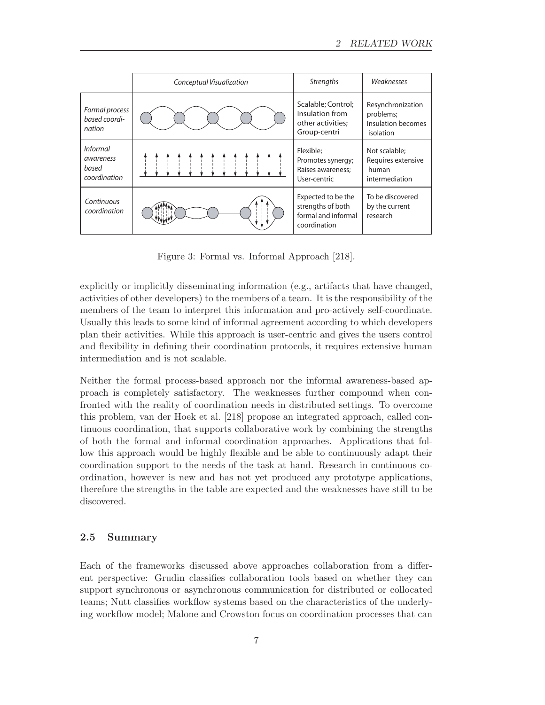|                                                       | Conceptual Visualization | <b>Strengths</b>                                                               | Weaknesses                                                        |
|-------------------------------------------------------|--------------------------|--------------------------------------------------------------------------------|-------------------------------------------------------------------|
| Formal process<br>based coordi-<br>nation             |                          | Scalable; Control;<br>Insulation from<br>other activities;<br>Group-centri     | Resynchronization<br>problems;<br>Insulation becomes<br>isolation |
| <i>Informal</i><br>awareness<br>based<br>coordination |                          | Flexible:<br>Promotes synergy;<br>Raises awareness;<br>User-centric            | Not scalable;<br>Requires extensive<br>human<br>intermediation    |
| Continuous<br>coordination                            |                          | Expected to be the<br>strengths of both<br>formal and informal<br>coordination | To be discovered<br>by the current<br>research                    |

Figure 3: Formal vs. Informal Approach [218].

explicitly or implicitly disseminating information (e.g., artifacts that have changed, activities of other developers) to the members of a team. It is the responsibility of the members of the team to interpret this information and pro-actively self-coordinate. Usually this leads to some kind of informal agreement according to which developers plan their activities. While this approach is user-centric and gives the users control and flexibility in defining their coordination protocols, it requires extensive human intermediation and is not scalable.

Neither the formal process-based approach nor the informal awareness-based approach is completely satisfactory. The weaknesses further compound when confronted with the reality of coordination needs in distributed settings. To overcome this problem, van der Hoek et al. [218] propose an integrated approach, called continuous coordination, that supports collaborative work by combining the strengths of both the formal and informal coordination approaches. Applications that follow this approach would be highly flexible and be able to continuously adapt their coordination support to the needs of the task at hand. Research in continuous coordination, however is new and has not yet produced any prototype applications, therefore the strengths in the table are expected and the weaknesses have still to be discovered.

### 2.5 Summary

Each of the frameworks discussed above approaches collaboration from a different perspective: Grudin classifies collaboration tools based on whether they can support synchronous or asynchronous communication for distributed or collocated teams; Nutt classifies workflow systems based on the characteristics of the underlying workflow model; Malone and Crowston focus on coordination processes that can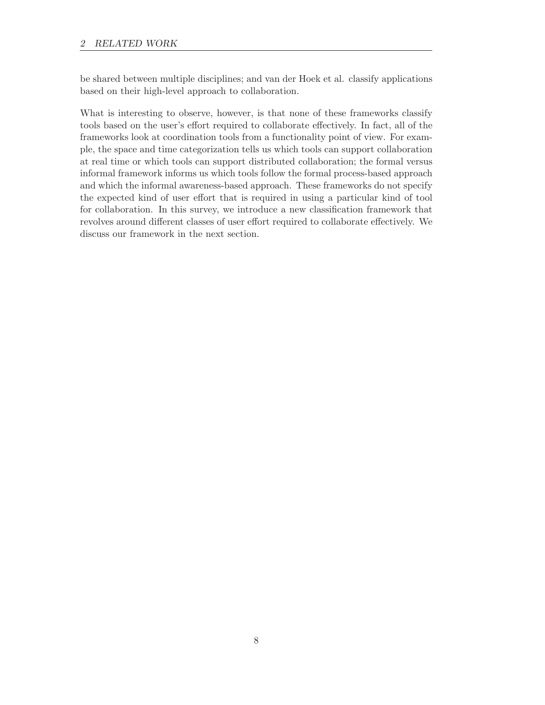be shared between multiple disciplines; and van der Hoek et al. classify applications based on their high-level approach to collaboration.

What is interesting to observe, however, is that none of these frameworks classify tools based on the user's effort required to collaborate effectively. In fact, all of the frameworks look at coordination tools from a functionality point of view. For example, the space and time categorization tells us which tools can support collaboration at real time or which tools can support distributed collaboration; the formal versus informal framework informs us which tools follow the formal process-based approach and which the informal awareness-based approach. These frameworks do not specify the expected kind of user effort that is required in using a particular kind of tool for collaboration. In this survey, we introduce a new classification framework that revolves around different classes of user effort required to collaborate effectively. We discuss our framework in the next section.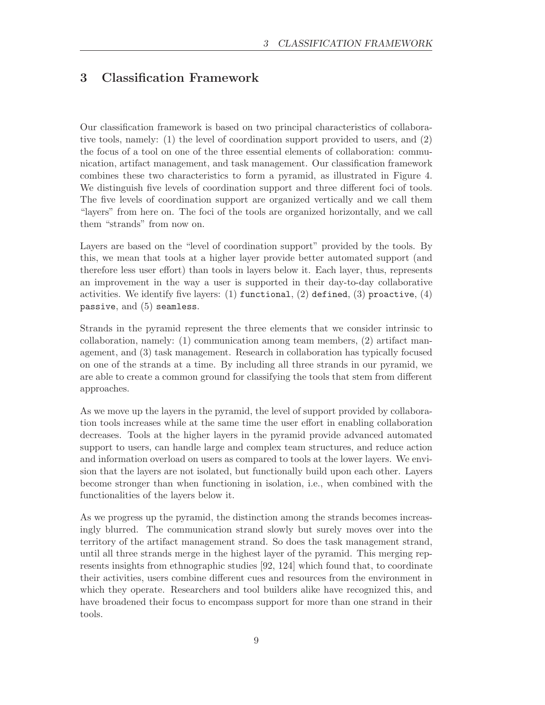# 3 Classification Framework

Our classification framework is based on two principal characteristics of collaborative tools, namely: (1) the level of coordination support provided to users, and (2) the focus of a tool on one of the three essential elements of collaboration: communication, artifact management, and task management. Our classification framework combines these two characteristics to form a pyramid, as illustrated in Figure 4. We distinguish five levels of coordination support and three different foci of tools. The five levels of coordination support are organized vertically and we call them "layers" from here on. The foci of the tools are organized horizontally, and we call them "strands" from now on.

Layers are based on the "level of coordination support" provided by the tools. By this, we mean that tools at a higher layer provide better automated support (and therefore less user effort) than tools in layers below it. Each layer, thus, represents an improvement in the way a user is supported in their day-to-day collaborative activities. We identify five layers:  $(1)$  functional,  $(2)$  defined,  $(3)$  proactive,  $(4)$ passive, and  $(5)$  seamless.

Strands in the pyramid represent the three elements that we consider intrinsic to collaboration, namely: (1) communication among team members, (2) artifact management, and (3) task management. Research in collaboration has typically focused on one of the strands at a time. By including all three strands in our pyramid, we are able to create a common ground for classifying the tools that stem from different approaches.

As we move up the layers in the pyramid, the level of support provided by collaboration tools increases while at the same time the user effort in enabling collaboration decreases. Tools at the higher layers in the pyramid provide advanced automated support to users, can handle large and complex team structures, and reduce action and information overload on users as compared to tools at the lower layers. We envision that the layers are not isolated, but functionally build upon each other. Layers become stronger than when functioning in isolation, i.e., when combined with the functionalities of the layers below it.

As we progress up the pyramid, the distinction among the strands becomes increasingly blurred. The communication strand slowly but surely moves over into the territory of the artifact management strand. So does the task management strand, until all three strands merge in the highest layer of the pyramid. This merging represents insights from ethnographic studies [92, 124] which found that, to coordinate their activities, users combine different cues and resources from the environment in which they operate. Researchers and tool builders alike have recognized this, and have broadened their focus to encompass support for more than one strand in their tools.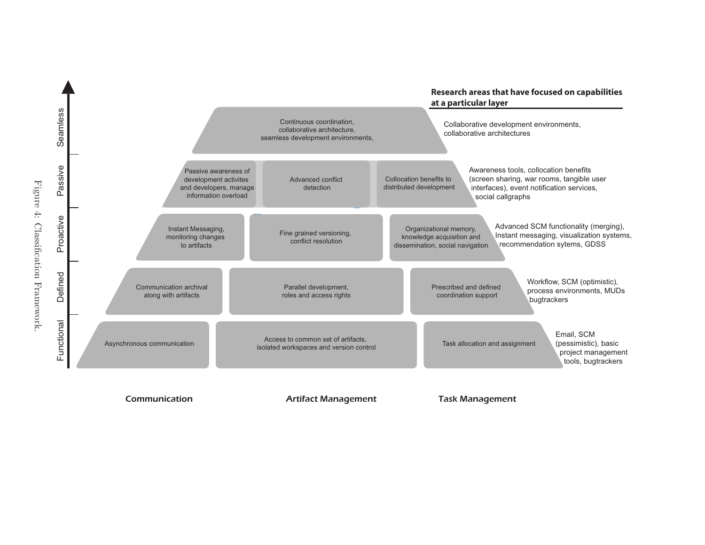

Communication

Artifact Management Task Management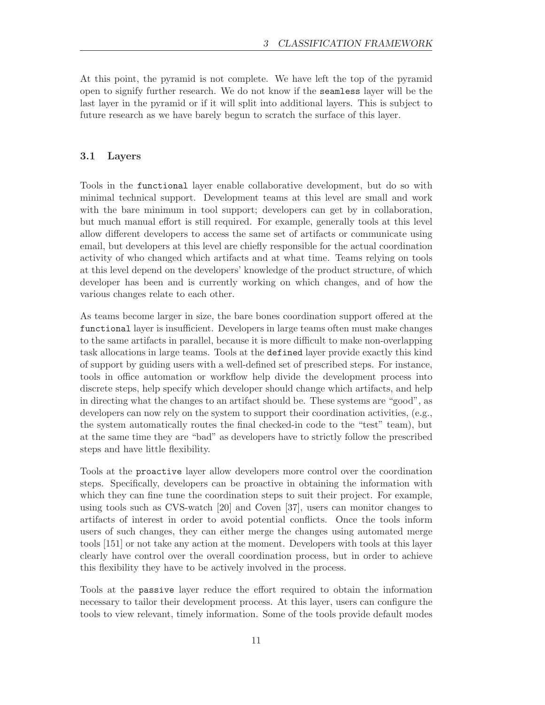At this point, the pyramid is not complete. We have left the top of the pyramid open to signify further research. We do not know if the seamless layer will be the last layer in the pyramid or if it will split into additional layers. This is subject to future research as we have barely begun to scratch the surface of this layer.

### 3.1 Layers

Tools in the functional layer enable collaborative development, but do so with minimal technical support. Development teams at this level are small and work with the bare minimum in tool support; developers can get by in collaboration, but much manual effort is still required. For example, generally tools at this level allow different developers to access the same set of artifacts or communicate using email, but developers at this level are chiefly responsible for the actual coordination activity of who changed which artifacts and at what time. Teams relying on tools at this level depend on the developers' knowledge of the product structure, of which developer has been and is currently working on which changes, and of how the various changes relate to each other.

As teams become larger in size, the bare bones coordination support offered at the functional layer is insufficient. Developers in large teams often must make changes to the same artifacts in parallel, because it is more difficult to make non-overlapping task allocations in large teams. Tools at the defined layer provide exactly this kind of support by guiding users with a well-defined set of prescribed steps. For instance, tools in office automation or workflow help divide the development process into discrete steps, help specify which developer should change which artifacts, and help in directing what the changes to an artifact should be. These systems are "good", as developers can now rely on the system to support their coordination activities, (e.g., the system automatically routes the final checked-in code to the "test" team), but at the same time they are "bad" as developers have to strictly follow the prescribed steps and have little flexibility.

Tools at the proactive layer allow developers more control over the coordination steps. Specifically, developers can be proactive in obtaining the information with which they can fine tune the coordination steps to suit their project. For example, using tools such as CVS-watch [20] and Coven [37], users can monitor changes to artifacts of interest in order to avoid potential conflicts. Once the tools inform users of such changes, they can either merge the changes using automated merge tools [151] or not take any action at the moment. Developers with tools at this layer clearly have control over the overall coordination process, but in order to achieve this flexibility they have to be actively involved in the process.

Tools at the passive layer reduce the effort required to obtain the information necessary to tailor their development process. At this layer, users can configure the tools to view relevant, timely information. Some of the tools provide default modes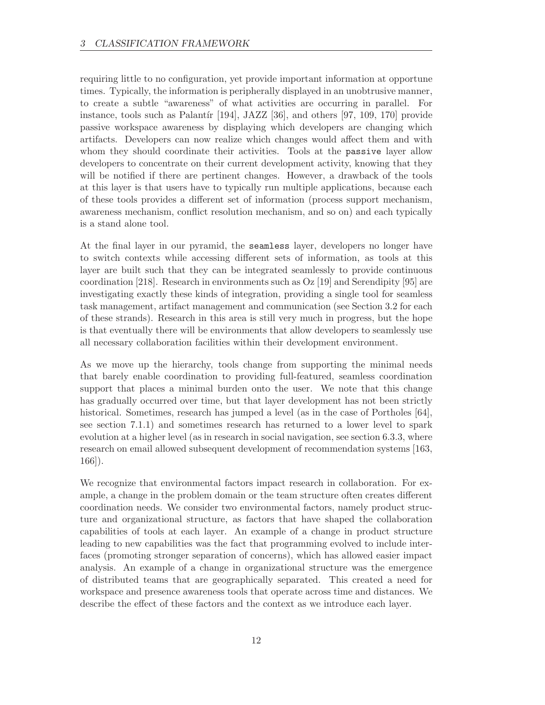requiring little to no configuration, yet provide important information at opportune times. Typically, the information is peripherally displayed in an unobtrusive manner, to create a subtle "awareness" of what activities are occurring in parallel. For instance, tools such as Palantír  $[194]$ , JAZZ  $[36]$ , and others  $[97, 109, 170]$  provide passive workspace awareness by displaying which developers are changing which artifacts. Developers can now realize which changes would affect them and with whom they should coordinate their activities. Tools at the passive layer allow developers to concentrate on their current development activity, knowing that they will be notified if there are pertinent changes. However, a drawback of the tools at this layer is that users have to typically run multiple applications, because each of these tools provides a different set of information (process support mechanism, awareness mechanism, conflict resolution mechanism, and so on) and each typically is a stand alone tool.

At the final layer in our pyramid, the seamless layer, developers no longer have to switch contexts while accessing different sets of information, as tools at this layer are built such that they can be integrated seamlessly to provide continuous coordination [218]. Research in environments such as Oz [19] and Serendipity [95] are investigating exactly these kinds of integration, providing a single tool for seamless task management, artifact management and communication (see Section 3.2 for each of these strands). Research in this area is still very much in progress, but the hope is that eventually there will be environments that allow developers to seamlessly use all necessary collaboration facilities within their development environment.

As we move up the hierarchy, tools change from supporting the minimal needs that barely enable coordination to providing full-featured, seamless coordination support that places a minimal burden onto the user. We note that this change has gradually occurred over time, but that layer development has not been strictly historical. Sometimes, research has jumped a level (as in the case of Portholes [64], see section 7.1.1) and sometimes research has returned to a lower level to spark evolution at a higher level (as in research in social navigation, see section 6.3.3, where research on email allowed subsequent development of recommendation systems [163, 166]).

We recognize that environmental factors impact research in collaboration. For example, a change in the problem domain or the team structure often creates different coordination needs. We consider two environmental factors, namely product structure and organizational structure, as factors that have shaped the collaboration capabilities of tools at each layer. An example of a change in product structure leading to new capabilities was the fact that programming evolved to include interfaces (promoting stronger separation of concerns), which has allowed easier impact analysis. An example of a change in organizational structure was the emergence of distributed teams that are geographically separated. This created a need for workspace and presence awareness tools that operate across time and distances. We describe the effect of these factors and the context as we introduce each layer.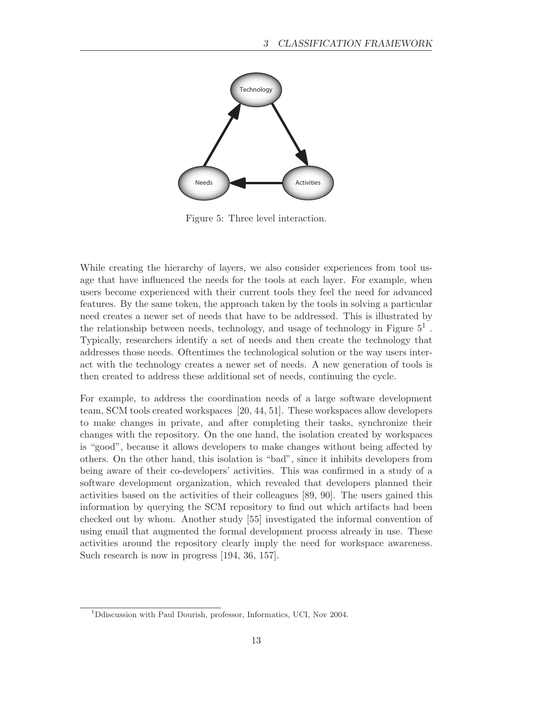

Figure 5: Three level interaction.

While creating the hierarchy of layers, we also consider experiences from tool usage that have influenced the needs for the tools at each layer. For example, when users become experienced with their current tools they feel the need for advanced features. By the same token, the approach taken by the tools in solving a particular need creates a newer set of needs that have to be addressed. This is illustrated by the relationship between needs, technology, and usage of technology in Figure  $5^1$ . Typically, researchers identify a set of needs and then create the technology that addresses those needs. Oftentimes the technological solution or the way users interact with the technology creates a newer set of needs. A new generation of tools is then created to address these additional set of needs, continuing the cycle.

For example, to address the coordination needs of a large software development team, SCM tools created workspaces [20, 44, 51]. These workspaces allow developers to make changes in private, and after completing their tasks, synchronize their changes with the repository. On the one hand, the isolation created by workspaces is "good", because it allows developers to make changes without being affected by others. On the other hand, this isolation is "bad", since it inhibits developers from being aware of their co-developers' activities. This was confirmed in a study of a software development organization, which revealed that developers planned their activities based on the activities of their colleagues [89, 90]. The users gained this information by querying the SCM repository to find out which artifacts had been checked out by whom. Another study [55] investigated the informal convention of using email that augmented the formal development process already in use. These activities around the repository clearly imply the need for workspace awareness. Such research is now in progress [194, 36, 157].

<sup>&</sup>lt;sup>1</sup>D discussion with Paul Dourish, professor, Informatics, UCI, Nov 2004.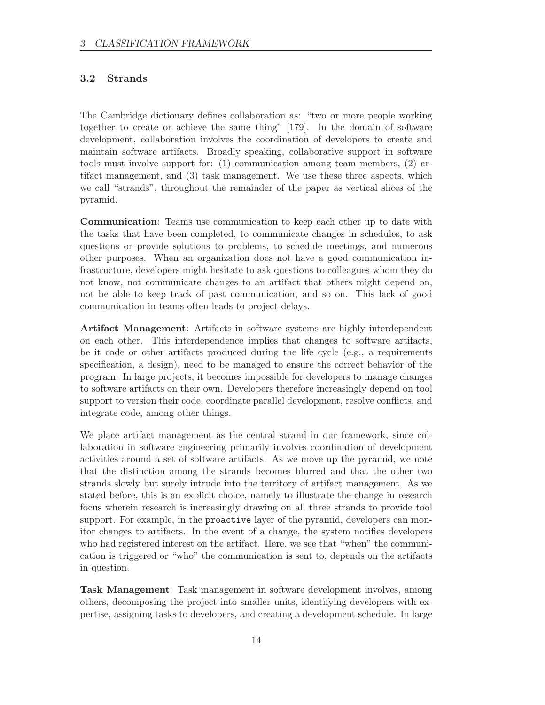### 3.2 Strands

The Cambridge dictionary defines collaboration as: "two or more people working together to create or achieve the same thing" [179]. In the domain of software development, collaboration involves the coordination of developers to create and maintain software artifacts. Broadly speaking, collaborative support in software tools must involve support for: (1) communication among team members, (2) artifact management, and (3) task management. We use these three aspects, which we call "strands", throughout the remainder of the paper as vertical slices of the pyramid.

Communication: Teams use communication to keep each other up to date with the tasks that have been completed, to communicate changes in schedules, to ask questions or provide solutions to problems, to schedule meetings, and numerous other purposes. When an organization does not have a good communication infrastructure, developers might hesitate to ask questions to colleagues whom they do not know, not communicate changes to an artifact that others might depend on, not be able to keep track of past communication, and so on. This lack of good communication in teams often leads to project delays.

Artifact Management: Artifacts in software systems are highly interdependent on each other. This interdependence implies that changes to software artifacts, be it code or other artifacts produced during the life cycle (e.g., a requirements specification, a design), need to be managed to ensure the correct behavior of the program. In large projects, it becomes impossible for developers to manage changes to software artifacts on their own. Developers therefore increasingly depend on tool support to version their code, coordinate parallel development, resolve conflicts, and integrate code, among other things.

We place artifact management as the central strand in our framework, since collaboration in software engineering primarily involves coordination of development activities around a set of software artifacts. As we move up the pyramid, we note that the distinction among the strands becomes blurred and that the other two strands slowly but surely intrude into the territory of artifact management. As we stated before, this is an explicit choice, namely to illustrate the change in research focus wherein research is increasingly drawing on all three strands to provide tool support. For example, in the proactive layer of the pyramid, developers can monitor changes to artifacts. In the event of a change, the system notifies developers who had registered interest on the artifact. Here, we see that "when" the communication is triggered or "who" the communication is sent to, depends on the artifacts in question.

Task Management: Task management in software development involves, among others, decomposing the project into smaller units, identifying developers with expertise, assigning tasks to developers, and creating a development schedule. In large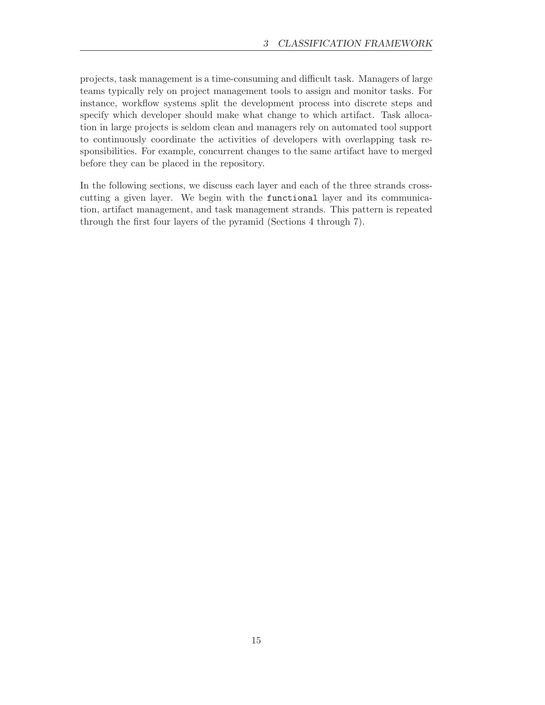projects, task management is a time-consuming and difficult task. Managers of large teams typically rely on project management tools to assign and monitor tasks. For instance, workflow systems split the development process into discrete steps and specify which developer should make what change to which artifact. Task allocation in large projects is seldom clean and managers rely on automated tool support to continuously coordinate the activities of developers with overlapping task responsibilities. For example, concurrent changes to the same artifact have to merged before they can be placed in the repository.

In the following sections, we discuss each layer and each of the three strands crosscutting a given layer. We begin with the functional layer and its communication, artifact management, and task management strands. This pattern is repeated through the first four layers of the pyramid (Sections 4 through 7).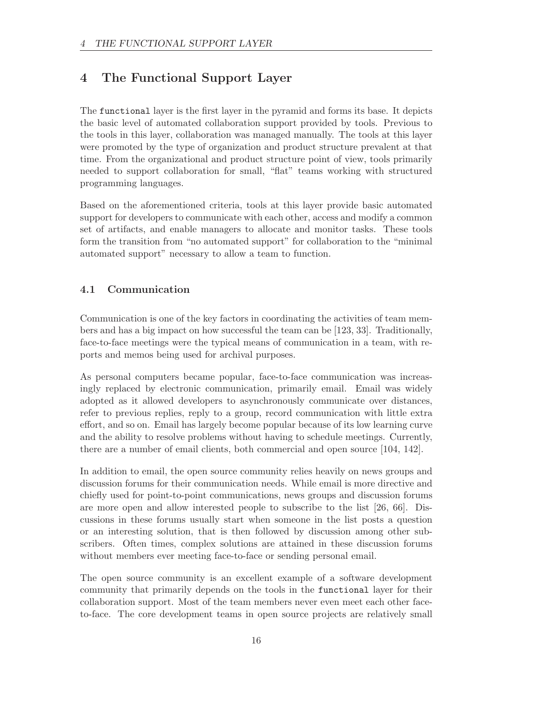# 4 The Functional Support Layer

The functional layer is the first layer in the pyramid and forms its base. It depicts the basic level of automated collaboration support provided by tools. Previous to the tools in this layer, collaboration was managed manually. The tools at this layer were promoted by the type of organization and product structure prevalent at that time. From the organizational and product structure point of view, tools primarily needed to support collaboration for small, "flat" teams working with structured programming languages.

Based on the aforementioned criteria, tools at this layer provide basic automated support for developers to communicate with each other, access and modify a common set of artifacts, and enable managers to allocate and monitor tasks. These tools form the transition from "no automated support" for collaboration to the "minimal automated support" necessary to allow a team to function.

# 4.1 Communication

Communication is one of the key factors in coordinating the activities of team members and has a big impact on how successful the team can be [123, 33]. Traditionally, face-to-face meetings were the typical means of communication in a team, with reports and memos being used for archival purposes.

As personal computers became popular, face-to-face communication was increasingly replaced by electronic communication, primarily email. Email was widely adopted as it allowed developers to asynchronously communicate over distances, refer to previous replies, reply to a group, record communication with little extra effort, and so on. Email has largely become popular because of its low learning curve and the ability to resolve problems without having to schedule meetings. Currently, there are a number of email clients, both commercial and open source [104, 142].

In addition to email, the open source community relies heavily on news groups and discussion forums for their communication needs. While email is more directive and chiefly used for point-to-point communications, news groups and discussion forums are more open and allow interested people to subscribe to the list [26, 66]. Discussions in these forums usually start when someone in the list posts a question or an interesting solution, that is then followed by discussion among other subscribers. Often times, complex solutions are attained in these discussion forums without members ever meeting face-to-face or sending personal email.

The open source community is an excellent example of a software development community that primarily depends on the tools in the functional layer for their collaboration support. Most of the team members never even meet each other faceto-face. The core development teams in open source projects are relatively small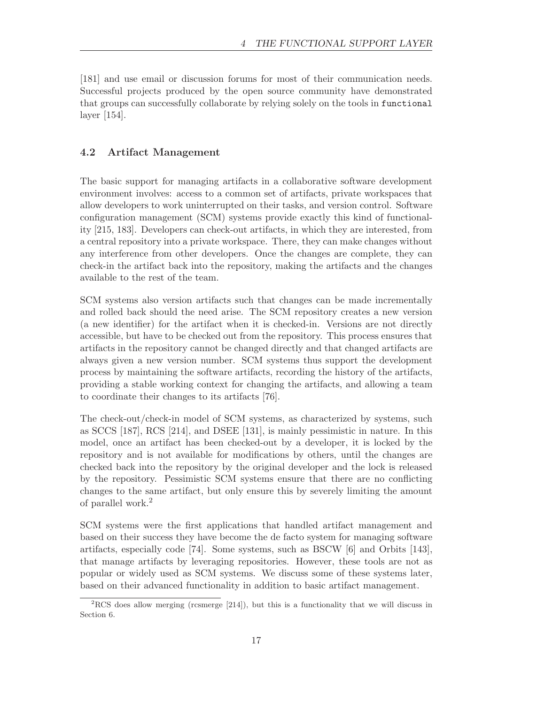[181] and use email or discussion forums for most of their communication needs. Successful projects produced by the open source community have demonstrated that groups can successfully collaborate by relying solely on the tools in functional layer [154].

### 4.2 Artifact Management

The basic support for managing artifacts in a collaborative software development environment involves: access to a common set of artifacts, private workspaces that allow developers to work uninterrupted on their tasks, and version control. Software configuration management (SCM) systems provide exactly this kind of functionality [215, 183]. Developers can check-out artifacts, in which they are interested, from a central repository into a private workspace. There, they can make changes without any interference from other developers. Once the changes are complete, they can check-in the artifact back into the repository, making the artifacts and the changes available to the rest of the team.

SCM systems also version artifacts such that changes can be made incrementally and rolled back should the need arise. The SCM repository creates a new version (a new identifier) for the artifact when it is checked-in. Versions are not directly accessible, but have to be checked out from the repository. This process ensures that artifacts in the repository cannot be changed directly and that changed artifacts are always given a new version number. SCM systems thus support the development process by maintaining the software artifacts, recording the history of the artifacts, providing a stable working context for changing the artifacts, and allowing a team to coordinate their changes to its artifacts [76].

The check-out/check-in model of SCM systems, as characterized by systems, such as SCCS [187], RCS [214], and DSEE [131], is mainly pessimistic in nature. In this model, once an artifact has been checked-out by a developer, it is locked by the repository and is not available for modifications by others, until the changes are checked back into the repository by the original developer and the lock is released by the repository. Pessimistic SCM systems ensure that there are no conflicting changes to the same artifact, but only ensure this by severely limiting the amount of parallel work.<sup>2</sup>

SCM systems were the first applications that handled artifact management and based on their success they have become the de facto system for managing software artifacts, especially code [74]. Some systems, such as BSCW [6] and Orbits [143], that manage artifacts by leveraging repositories. However, these tools are not as popular or widely used as SCM systems. We discuss some of these systems later, based on their advanced functionality in addition to basic artifact management.

 ${}^{2}$ RCS does allow merging (rcsmerge [214]), but this is a functionality that we will discuss in Section 6.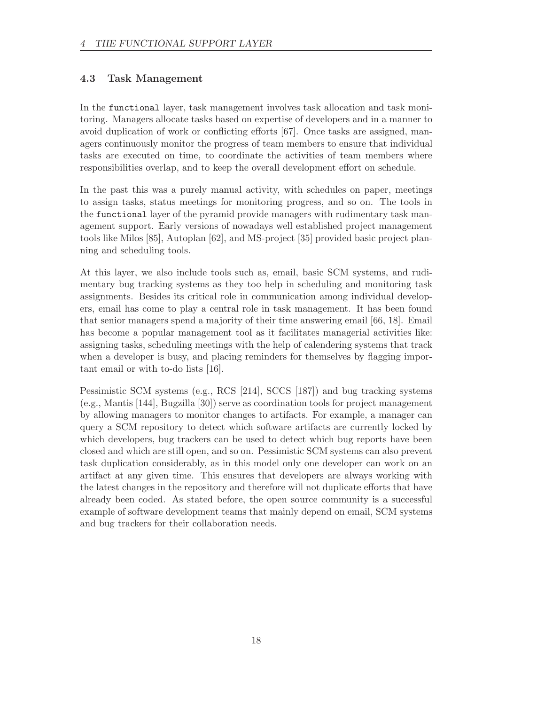### 4.3 Task Management

In the functional layer, task management involves task allocation and task monitoring. Managers allocate tasks based on expertise of developers and in a manner to avoid duplication of work or conflicting efforts [67]. Once tasks are assigned, managers continuously monitor the progress of team members to ensure that individual tasks are executed on time, to coordinate the activities of team members where responsibilities overlap, and to keep the overall development effort on schedule.

In the past this was a purely manual activity, with schedules on paper, meetings to assign tasks, status meetings for monitoring progress, and so on. The tools in the functional layer of the pyramid provide managers with rudimentary task management support. Early versions of nowadays well established project management tools like Milos [85], Autoplan [62], and MS-project [35] provided basic project planning and scheduling tools.

At this layer, we also include tools such as, email, basic SCM systems, and rudimentary bug tracking systems as they too help in scheduling and monitoring task assignments. Besides its critical role in communication among individual developers, email has come to play a central role in task management. It has been found that senior managers spend a majority of their time answering email [66, 18]. Email has become a popular management tool as it facilitates managerial activities like: assigning tasks, scheduling meetings with the help of calendering systems that track when a developer is busy, and placing reminders for themselves by flagging important email or with to-do lists [16].

Pessimistic SCM systems (e.g., RCS [214], SCCS [187]) and bug tracking systems (e.g., Mantis [144], Bugzilla [30]) serve as coordination tools for project management by allowing managers to monitor changes to artifacts. For example, a manager can query a SCM repository to detect which software artifacts are currently locked by which developers, bug trackers can be used to detect which bug reports have been closed and which are still open, and so on. Pessimistic SCM systems can also prevent task duplication considerably, as in this model only one developer can work on an artifact at any given time. This ensures that developers are always working with the latest changes in the repository and therefore will not duplicate efforts that have already been coded. As stated before, the open source community is a successful example of software development teams that mainly depend on email, SCM systems and bug trackers for their collaboration needs.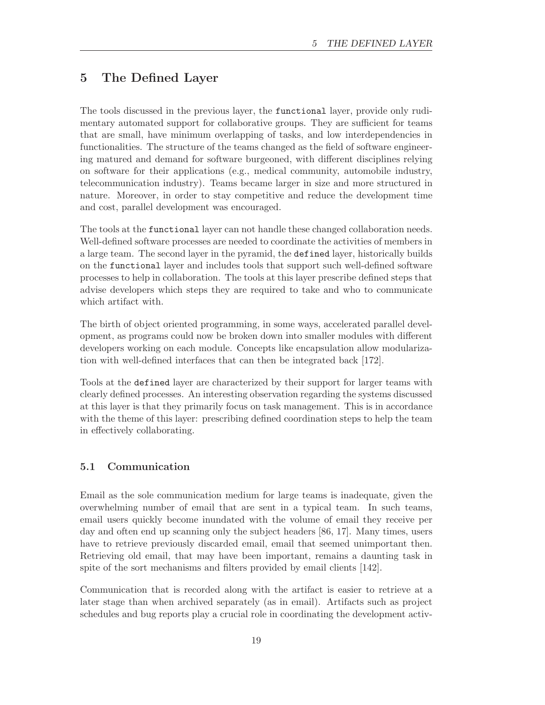# 5 The Defined Layer

The tools discussed in the previous layer, the functional layer, provide only rudimentary automated support for collaborative groups. They are sufficient for teams that are small, have minimum overlapping of tasks, and low interdependencies in functionalities. The structure of the teams changed as the field of software engineering matured and demand for software burgeoned, with different disciplines relying on software for their applications (e.g., medical community, automobile industry, telecommunication industry). Teams became larger in size and more structured in nature. Moreover, in order to stay competitive and reduce the development time and cost, parallel development was encouraged.

The tools at the functional layer can not handle these changed collaboration needs. Well-defined software processes are needed to coordinate the activities of members in a large team. The second layer in the pyramid, the defined layer, historically builds on the functional layer and includes tools that support such well-defined software processes to help in collaboration. The tools at this layer prescribe defined steps that advise developers which steps they are required to take and who to communicate which artifact with.

The birth of object oriented programming, in some ways, accelerated parallel development, as programs could now be broken down into smaller modules with different developers working on each module. Concepts like encapsulation allow modularization with well-defined interfaces that can then be integrated back [172].

Tools at the defined layer are characterized by their support for larger teams with clearly defined processes. An interesting observation regarding the systems discussed at this layer is that they primarily focus on task management. This is in accordance with the theme of this layer: prescribing defined coordination steps to help the team in effectively collaborating.

### 5.1 Communication

Email as the sole communication medium for large teams is inadequate, given the overwhelming number of email that are sent in a typical team. In such teams, email users quickly become inundated with the volume of email they receive per day and often end up scanning only the subject headers [86, 17]. Many times, users have to retrieve previously discarded email, email that seemed unimportant then. Retrieving old email, that may have been important, remains a daunting task in spite of the sort mechanisms and filters provided by email clients [142].

Communication that is recorded along with the artifact is easier to retrieve at a later stage than when archived separately (as in email). Artifacts such as project schedules and bug reports play a crucial role in coordinating the development activ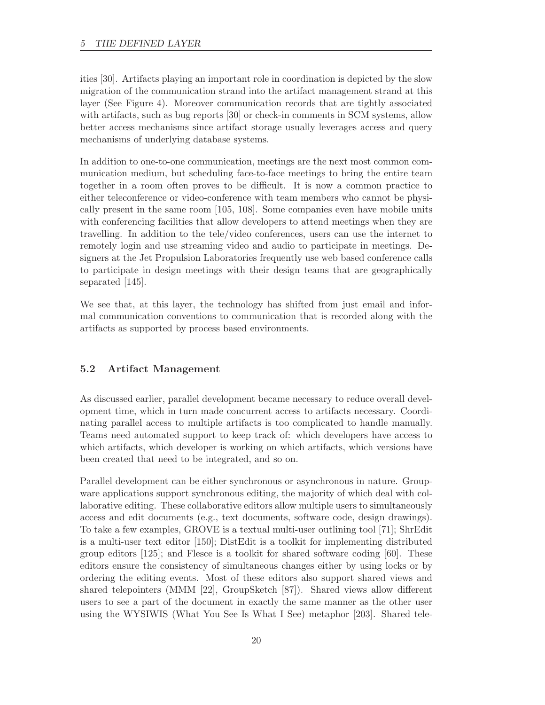ities [30]. Artifacts playing an important role in coordination is depicted by the slow migration of the communication strand into the artifact management strand at this layer (See Figure 4). Moreover communication records that are tightly associated with artifacts, such as bug reports [30] or check-in comments in SCM systems, allow better access mechanisms since artifact storage usually leverages access and query mechanisms of underlying database systems.

In addition to one-to-one communication, meetings are the next most common communication medium, but scheduling face-to-face meetings to bring the entire team together in a room often proves to be difficult. It is now a common practice to either teleconference or video-conference with team members who cannot be physically present in the same room [105, 108]. Some companies even have mobile units with conferencing facilities that allow developers to attend meetings when they are travelling. In addition to the tele/video conferences, users can use the internet to remotely login and use streaming video and audio to participate in meetings. Designers at the Jet Propulsion Laboratories frequently use web based conference calls to participate in design meetings with their design teams that are geographically separated [145].

We see that, at this layer, the technology has shifted from just email and informal communication conventions to communication that is recorded along with the artifacts as supported by process based environments.

# 5.2 Artifact Management

As discussed earlier, parallel development became necessary to reduce overall development time, which in turn made concurrent access to artifacts necessary. Coordinating parallel access to multiple artifacts is too complicated to handle manually. Teams need automated support to keep track of: which developers have access to which artifacts, which developer is working on which artifacts, which versions have been created that need to be integrated, and so on.

Parallel development can be either synchronous or asynchronous in nature. Groupware applications support synchronous editing, the majority of which deal with collaborative editing. These collaborative editors allow multiple users to simultaneously access and edit documents (e.g., text documents, software code, design drawings). To take a few examples, GROVE is a textual multi-user outlining tool [71]; ShrEdit is a multi-user text editor [150]; DistEdit is a toolkit for implementing distributed group editors [125]; and Flesce is a toolkit for shared software coding [60]. These editors ensure the consistency of simultaneous changes either by using locks or by ordering the editing events. Most of these editors also support shared views and shared telepointers (MMM [22], GroupSketch [87]). Shared views allow different users to see a part of the document in exactly the same manner as the other user using the WYSIWIS (What You See Is What I See) metaphor [203]. Shared tele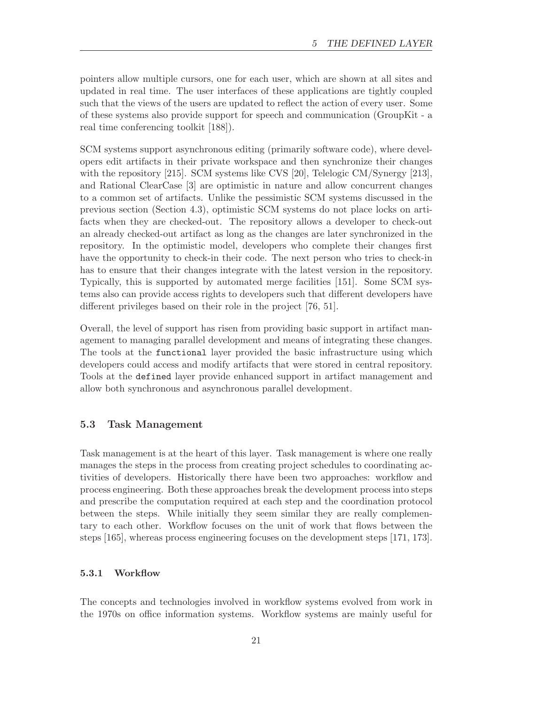pointers allow multiple cursors, one for each user, which are shown at all sites and updated in real time. The user interfaces of these applications are tightly coupled such that the views of the users are updated to reflect the action of every user. Some of these systems also provide support for speech and communication (GroupKit - a real time conferencing toolkit [188]).

SCM systems support asynchronous editing (primarily software code), where developers edit artifacts in their private workspace and then synchronize their changes with the repository [215]. SCM systems like CVS [20], Telelogic CM/Synergy [213], and Rational ClearCase [3] are optimistic in nature and allow concurrent changes to a common set of artifacts. Unlike the pessimistic SCM systems discussed in the previous section (Section 4.3), optimistic SCM systems do not place locks on artifacts when they are checked-out. The repository allows a developer to check-out an already checked-out artifact as long as the changes are later synchronized in the repository. In the optimistic model, developers who complete their changes first have the opportunity to check-in their code. The next person who tries to check-in has to ensure that their changes integrate with the latest version in the repository. Typically, this is supported by automated merge facilities [151]. Some SCM systems also can provide access rights to developers such that different developers have different privileges based on their role in the project [76, 51].

Overall, the level of support has risen from providing basic support in artifact management to managing parallel development and means of integrating these changes. The tools at the functional layer provided the basic infrastructure using which developers could access and modify artifacts that were stored in central repository. Tools at the defined layer provide enhanced support in artifact management and allow both synchronous and asynchronous parallel development.

### 5.3 Task Management

Task management is at the heart of this layer. Task management is where one really manages the steps in the process from creating project schedules to coordinating activities of developers. Historically there have been two approaches: workflow and process engineering. Both these approaches break the development process into steps and prescribe the computation required at each step and the coordination protocol between the steps. While initially they seem similar they are really complementary to each other. Workflow focuses on the unit of work that flows between the steps [165], whereas process engineering focuses on the development steps [171, 173].

#### 5.3.1 Workflow

The concepts and technologies involved in workflow systems evolved from work in the 1970s on office information systems. Workflow systems are mainly useful for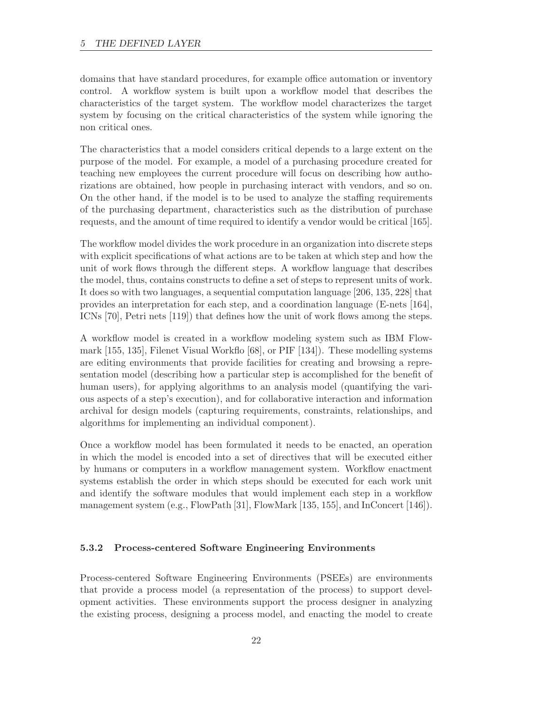domains that have standard procedures, for example office automation or inventory control. A workflow system is built upon a workflow model that describes the characteristics of the target system. The workflow model characterizes the target system by focusing on the critical characteristics of the system while ignoring the non critical ones.

The characteristics that a model considers critical depends to a large extent on the purpose of the model. For example, a model of a purchasing procedure created for teaching new employees the current procedure will focus on describing how authorizations are obtained, how people in purchasing interact with vendors, and so on. On the other hand, if the model is to be used to analyze the staffing requirements of the purchasing department, characteristics such as the distribution of purchase requests, and the amount of time required to identify a vendor would be critical [165].

The workflow model divides the work procedure in an organization into discrete steps with explicit specifications of what actions are to be taken at which step and how the unit of work flows through the different steps. A workflow language that describes the model, thus, contains constructs to define a set of steps to represent units of work. It does so with two languages, a sequential computation language [206, 135, 228] that provides an interpretation for each step, and a coordination language (E-nets [164], ICNs [70], Petri nets [119]) that defines how the unit of work flows among the steps.

A workflow model is created in a workflow modeling system such as IBM Flowmark [155, 135], Filenet Visual Workflo [68], or PIF [134]). These modelling systems are editing environments that provide facilities for creating and browsing a representation model (describing how a particular step is accomplished for the benefit of human users), for applying algorithms to an analysis model (quantifying the various aspects of a step's execution), and for collaborative interaction and information archival for design models (capturing requirements, constraints, relationships, and algorithms for implementing an individual component).

Once a workflow model has been formulated it needs to be enacted, an operation in which the model is encoded into a set of directives that will be executed either by humans or computers in a workflow management system. Workflow enactment systems establish the order in which steps should be executed for each work unit and identify the software modules that would implement each step in a workflow management system (e.g., FlowPath [31], FlowMark [135, 155], and InConcert [146]).

#### 5.3.2 Process-centered Software Engineering Environments

Process-centered Software Engineering Environments (PSEEs) are environments that provide a process model (a representation of the process) to support development activities. These environments support the process designer in analyzing the existing process, designing a process model, and enacting the model to create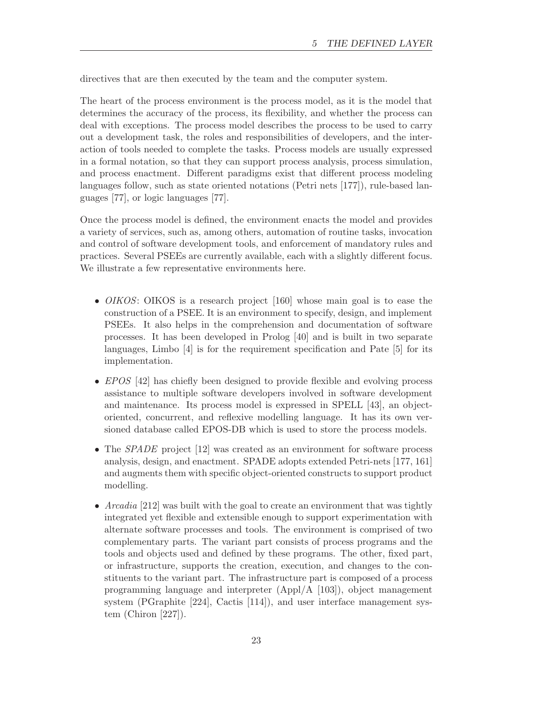directives that are then executed by the team and the computer system.

The heart of the process environment is the process model, as it is the model that determines the accuracy of the process, its flexibility, and whether the process can deal with exceptions. The process model describes the process to be used to carry out a development task, the roles and responsibilities of developers, and the interaction of tools needed to complete the tasks. Process models are usually expressed in a formal notation, so that they can support process analysis, process simulation, and process enactment. Different paradigms exist that different process modeling languages follow, such as state oriented notations (Petri nets [177]), rule-based languages [77], or logic languages [77].

Once the process model is defined, the environment enacts the model and provides a variety of services, such as, among others, automation of routine tasks, invocation and control of software development tools, and enforcement of mandatory rules and practices. Several PSEEs are currently available, each with a slightly different focus. We illustrate a few representative environments here.

- *OIKOS*: OIKOS is a research project [160] whose main goal is to ease the construction of a PSEE. It is an environment to specify, design, and implement PSEEs. It also helps in the comprehension and documentation of software processes. It has been developed in Prolog [40] and is built in two separate languages, Limbo [4] is for the requirement specification and Pate [5] for its implementation.
- EPOS [42] has chiefly been designed to provide flexible and evolving process assistance to multiple software developers involved in software development and maintenance. Its process model is expressed in SPELL [43], an objectoriented, concurrent, and reflexive modelling language. It has its own versioned database called EPOS-DB which is used to store the process models.
- The *SPADE* project [12] was created as an environment for software process analysis, design, and enactment. SPADE adopts extended Petri-nets [177, 161] and augments them with specific object-oriented constructs to support product modelling.
- Arcadia [212] was built with the goal to create an environment that was tightly integrated yet flexible and extensible enough to support experimentation with alternate software processes and tools. The environment is comprised of two complementary parts. The variant part consists of process programs and the tools and objects used and defined by these programs. The other, fixed part, or infrastructure, supports the creation, execution, and changes to the constituents to the variant part. The infrastructure part is composed of a process programming language and interpreter (Appl/A [103]), object management system (PGraphite [224], Cactis [114]), and user interface management system (Chiron [227]).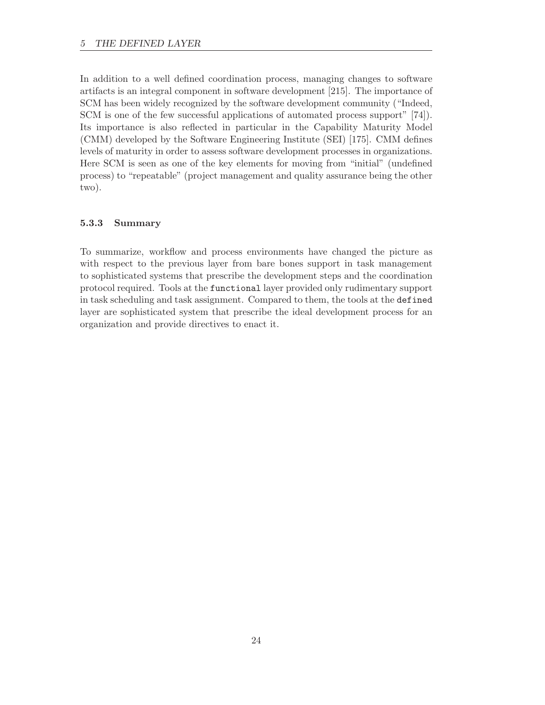In addition to a well defined coordination process, managing changes to software artifacts is an integral component in software development [215]. The importance of SCM has been widely recognized by the software development community ("Indeed, SCM is one of the few successful applications of automated process support" [74]). Its importance is also reflected in particular in the Capability Maturity Model (CMM) developed by the Software Engineering Institute (SEI) [175]. CMM defines levels of maturity in order to assess software development processes in organizations. Here SCM is seen as one of the key elements for moving from "initial" (undefined process) to "repeatable" (project management and quality assurance being the other two).

### 5.3.3 Summary

To summarize, workflow and process environments have changed the picture as with respect to the previous layer from bare bones support in task management to sophisticated systems that prescribe the development steps and the coordination protocol required. Tools at the functional layer provided only rudimentary support in task scheduling and task assignment. Compared to them, the tools at the defined layer are sophisticated system that prescribe the ideal development process for an organization and provide directives to enact it.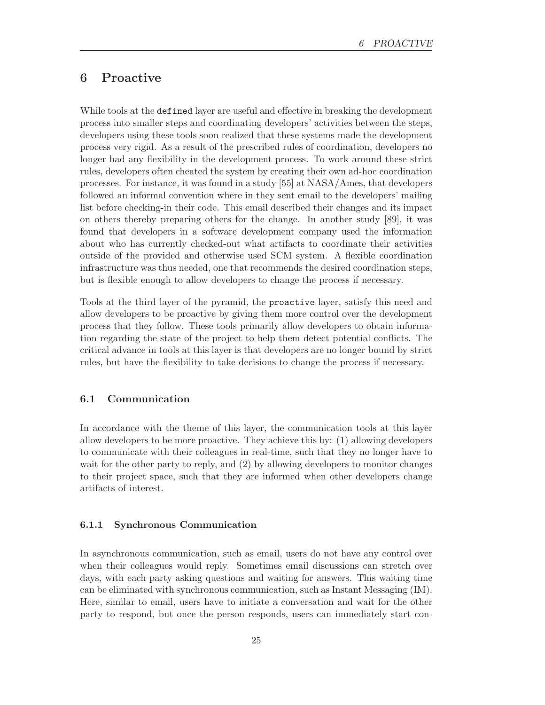# 6 Proactive

While tools at the defined layer are useful and effective in breaking the development process into smaller steps and coordinating developers' activities between the steps, developers using these tools soon realized that these systems made the development process very rigid. As a result of the prescribed rules of coordination, developers no longer had any flexibility in the development process. To work around these strict rules, developers often cheated the system by creating their own ad-hoc coordination processes. For instance, it was found in a study [55] at NASA/Ames, that developers followed an informal convention where in they sent email to the developers' mailing list before checking-in their code. This email described their changes and its impact on others thereby preparing others for the change. In another study [89], it was found that developers in a software development company used the information about who has currently checked-out what artifacts to coordinate their activities outside of the provided and otherwise used SCM system. A flexible coordination infrastructure was thus needed, one that recommends the desired coordination steps, but is flexible enough to allow developers to change the process if necessary.

Tools at the third layer of the pyramid, the proactive layer, satisfy this need and allow developers to be proactive by giving them more control over the development process that they follow. These tools primarily allow developers to obtain information regarding the state of the project to help them detect potential conflicts. The critical advance in tools at this layer is that developers are no longer bound by strict rules, but have the flexibility to take decisions to change the process if necessary.

### 6.1 Communication

In accordance with the theme of this layer, the communication tools at this layer allow developers to be more proactive. They achieve this by: (1) allowing developers to communicate with their colleagues in real-time, such that they no longer have to wait for the other party to reply, and (2) by allowing developers to monitor changes to their project space, such that they are informed when other developers change artifacts of interest.

#### 6.1.1 Synchronous Communication

In asynchronous communication, such as email, users do not have any control over when their colleagues would reply. Sometimes email discussions can stretch over days, with each party asking questions and waiting for answers. This waiting time can be eliminated with synchronous communication, such as Instant Messaging (IM). Here, similar to email, users have to initiate a conversation and wait for the other party to respond, but once the person responds, users can immediately start con-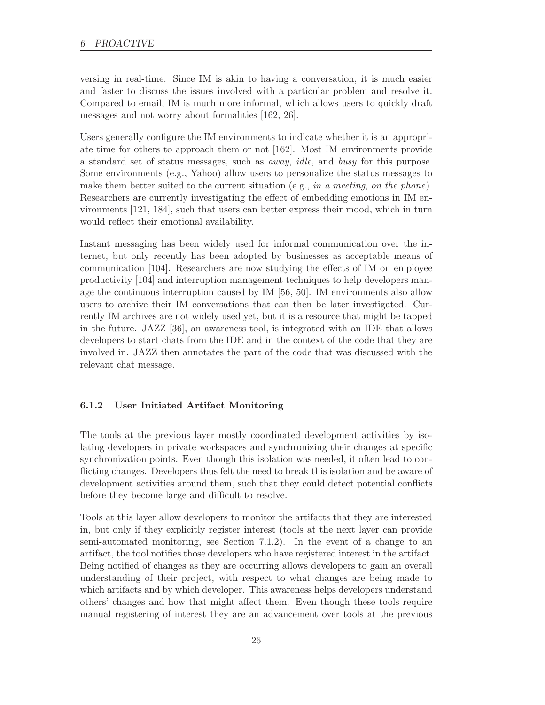versing in real-time. Since IM is akin to having a conversation, it is much easier and faster to discuss the issues involved with a particular problem and resolve it. Compared to email, IM is much more informal, which allows users to quickly draft messages and not worry about formalities [162, 26].

Users generally configure the IM environments to indicate whether it is an appropriate time for others to approach them or not [162]. Most IM environments provide a standard set of status messages, such as away, idle, and busy for this purpose. Some environments (e.g., Yahoo) allow users to personalize the status messages to make them better suited to the current situation (e.g., in a meeting, on the phone). Researchers are currently investigating the effect of embedding emotions in IM environments [121, 184], such that users can better express their mood, which in turn would reflect their emotional availability.

Instant messaging has been widely used for informal communication over the internet, but only recently has been adopted by businesses as acceptable means of communication [104]. Researchers are now studying the effects of IM on employee productivity [104] and interruption management techniques to help developers manage the continuous interruption caused by IM [56, 50]. IM environments also allow users to archive their IM conversations that can then be later investigated. Currently IM archives are not widely used yet, but it is a resource that might be tapped in the future. JAZZ [36], an awareness tool, is integrated with an IDE that allows developers to start chats from the IDE and in the context of the code that they are involved in. JAZZ then annotates the part of the code that was discussed with the relevant chat message.

#### 6.1.2 User Initiated Artifact Monitoring

The tools at the previous layer mostly coordinated development activities by isolating developers in private workspaces and synchronizing their changes at specific synchronization points. Even though this isolation was needed, it often lead to conflicting changes. Developers thus felt the need to break this isolation and be aware of development activities around them, such that they could detect potential conflicts before they become large and difficult to resolve.

Tools at this layer allow developers to monitor the artifacts that they are interested in, but only if they explicitly register interest (tools at the next layer can provide semi-automated monitoring, see Section 7.1.2). In the event of a change to an artifact, the tool notifies those developers who have registered interest in the artifact. Being notified of changes as they are occurring allows developers to gain an overall understanding of their project, with respect to what changes are being made to which artifacts and by which developer. This awareness helps developers understand others' changes and how that might affect them. Even though these tools require manual registering of interest they are an advancement over tools at the previous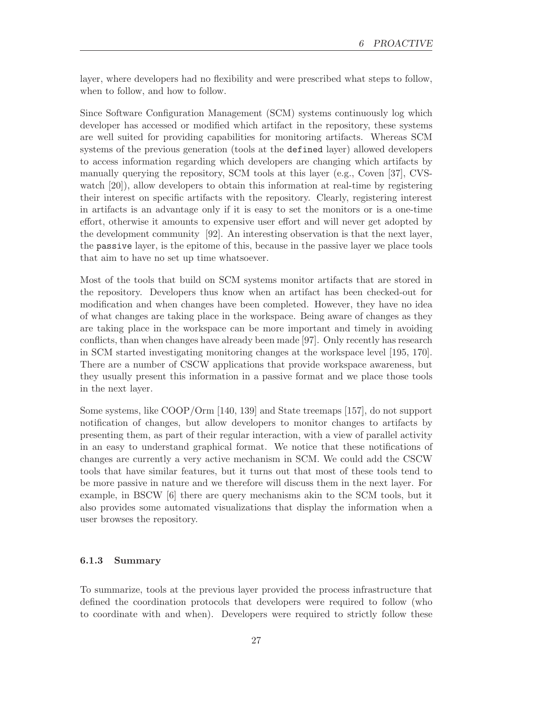layer, where developers had no flexibility and were prescribed what steps to follow, when to follow, and how to follow.

Since Software Configuration Management (SCM) systems continuously log which developer has accessed or modified which artifact in the repository, these systems are well suited for providing capabilities for monitoring artifacts. Whereas SCM systems of the previous generation (tools at the defined layer) allowed developers to access information regarding which developers are changing which artifacts by manually querying the repository, SCM tools at this layer (e.g., Coven [37], CVSwatch [20]), allow developers to obtain this information at real-time by registering their interest on specific artifacts with the repository. Clearly, registering interest in artifacts is an advantage only if it is easy to set the monitors or is a one-time effort, otherwise it amounts to expensive user effort and will never get adopted by the development community [92]. An interesting observation is that the next layer, the passive layer, is the epitome of this, because in the passive layer we place tools that aim to have no set up time whatsoever.

Most of the tools that build on SCM systems monitor artifacts that are stored in the repository. Developers thus know when an artifact has been checked-out for modification and when changes have been completed. However, they have no idea of what changes are taking place in the workspace. Being aware of changes as they are taking place in the workspace can be more important and timely in avoiding conflicts, than when changes have already been made [97]. Only recently has research in SCM started investigating monitoring changes at the workspace level [195, 170]. There are a number of CSCW applications that provide workspace awareness, but they usually present this information in a passive format and we place those tools in the next layer.

Some systems, like COOP/Orm [140, 139] and State treemaps [157], do not support notification of changes, but allow developers to monitor changes to artifacts by presenting them, as part of their regular interaction, with a view of parallel activity in an easy to understand graphical format. We notice that these notifications of changes are currently a very active mechanism in SCM. We could add the CSCW tools that have similar features, but it turns out that most of these tools tend to be more passive in nature and we therefore will discuss them in the next layer. For example, in BSCW [6] there are query mechanisms akin to the SCM tools, but it also provides some automated visualizations that display the information when a user browses the repository.

#### 6.1.3 Summary

To summarize, tools at the previous layer provided the process infrastructure that defined the coordination protocols that developers were required to follow (who to coordinate with and when). Developers were required to strictly follow these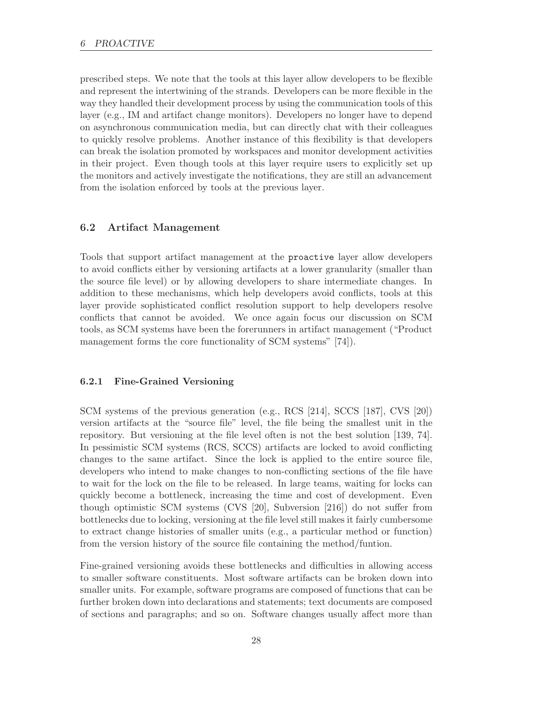prescribed steps. We note that the tools at this layer allow developers to be flexible and represent the intertwining of the strands. Developers can be more flexible in the way they handled their development process by using the communication tools of this layer (e.g., IM and artifact change monitors). Developers no longer have to depend on asynchronous communication media, but can directly chat with their colleagues to quickly resolve problems. Another instance of this flexibility is that developers can break the isolation promoted by workspaces and monitor development activities in their project. Even though tools at this layer require users to explicitly set up the monitors and actively investigate the notifications, they are still an advancement from the isolation enforced by tools at the previous layer.

#### 6.2 Artifact Management

Tools that support artifact management at the proactive layer allow developers to avoid conflicts either by versioning artifacts at a lower granularity (smaller than the source file level) or by allowing developers to share intermediate changes. In addition to these mechanisms, which help developers avoid conflicts, tools at this layer provide sophisticated conflict resolution support to help developers resolve conflicts that cannot be avoided. We once again focus our discussion on SCM tools, as SCM systems have been the forerunners in artifact management ("Product management forms the core functionality of SCM systems" [74]).

### 6.2.1 Fine-Grained Versioning

SCM systems of the previous generation (e.g., RCS [214], SCCS [187], CVS [20]) version artifacts at the "source file" level, the file being the smallest unit in the repository. But versioning at the file level often is not the best solution [139, 74]. In pessimistic SCM systems (RCS, SCCS) artifacts are locked to avoid conflicting changes to the same artifact. Since the lock is applied to the entire source file, developers who intend to make changes to non-conflicting sections of the file have to wait for the lock on the file to be released. In large teams, waiting for locks can quickly become a bottleneck, increasing the time and cost of development. Even though optimistic SCM systems (CVS [20], Subversion [216]) do not suffer from bottlenecks due to locking, versioning at the file level still makes it fairly cumbersome to extract change histories of smaller units (e.g., a particular method or function) from the version history of the source file containing the method/funtion.

Fine-grained versioning avoids these bottlenecks and difficulties in allowing access to smaller software constituents. Most software artifacts can be broken down into smaller units. For example, software programs are composed of functions that can be further broken down into declarations and statements; text documents are composed of sections and paragraphs; and so on. Software changes usually affect more than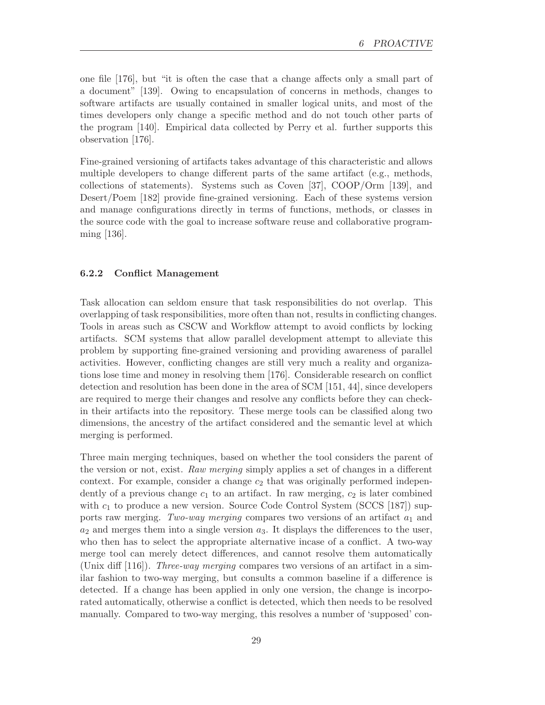one file [176], but "it is often the case that a change affects only a small part of a document" [139]. Owing to encapsulation of concerns in methods, changes to software artifacts are usually contained in smaller logical units, and most of the times developers only change a specific method and do not touch other parts of the program [140]. Empirical data collected by Perry et al. further supports this observation [176].

Fine-grained versioning of artifacts takes advantage of this characteristic and allows multiple developers to change different parts of the same artifact (e.g., methods, collections of statements). Systems such as Coven [37], COOP/Orm [139], and Desert/Poem [182] provide fine-grained versioning. Each of these systems version and manage configurations directly in terms of functions, methods, or classes in the source code with the goal to increase software reuse and collaborative programming [136].

# 6.2.2 Conflict Management

Task allocation can seldom ensure that task responsibilities do not overlap. This overlapping of task responsibilities, more often than not, results in conflicting changes. Tools in areas such as CSCW and Workflow attempt to avoid conflicts by locking artifacts. SCM systems that allow parallel development attempt to alleviate this problem by supporting fine-grained versioning and providing awareness of parallel activities. However, conflicting changes are still very much a reality and organizations lose time and money in resolving them [176]. Considerable research on conflict detection and resolution has been done in the area of SCM [151, 44], since developers are required to merge their changes and resolve any conflicts before they can checkin their artifacts into the repository. These merge tools can be classified along two dimensions, the ancestry of the artifact considered and the semantic level at which merging is performed.

Three main merging techniques, based on whether the tool considers the parent of the version or not, exist. Raw merging simply applies a set of changes in a different context. For example, consider a change  $c_2$  that was originally performed independently of a previous change  $c_1$  to an artifact. In raw merging,  $c_2$  is later combined with  $c_1$  to produce a new version. Source Code Control System (SCCS [187]) supports raw merging. Two-way merging compares two versions of an artifact  $a_1$  and  $a_2$  and merges them into a single version  $a_3$ . It displays the differences to the user, who then has to select the appropriate alternative incase of a conflict. A two-way merge tool can merely detect differences, and cannot resolve them automatically (Unix diff  $[116]$ ). *Three-way merging* compares two versions of an artifact in a similar fashion to two-way merging, but consults a common baseline if a difference is detected. If a change has been applied in only one version, the change is incorporated automatically, otherwise a conflict is detected, which then needs to be resolved manually. Compared to two-way merging, this resolves a number of 'supposed' con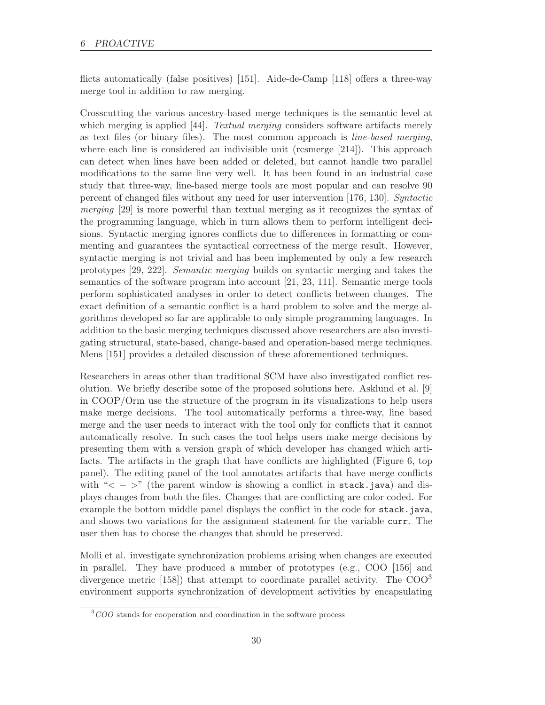flicts automatically (false positives) [151]. Aide-de-Camp [118] offers a three-way merge tool in addition to raw merging.

Crosscutting the various ancestry-based merge techniques is the semantic level at which merging is applied [44]. Textual merging considers software artifacts merely as text files (or binary files). The most common approach is line-based merging, where each line is considered an indivisible unit (rcsmerge [214]). This approach can detect when lines have been added or deleted, but cannot handle two parallel modifications to the same line very well. It has been found in an industrial case study that three-way, line-based merge tools are most popular and can resolve 90 percent of changed files without any need for user intervention [176, 130]. Syntactic merging [29] is more powerful than textual merging as it recognizes the syntax of the programming language, which in turn allows them to perform intelligent decisions. Syntactic merging ignores conflicts due to differences in formatting or commenting and guarantees the syntactical correctness of the merge result. However, syntactic merging is not trivial and has been implemented by only a few research prototypes [29, 222]. Semantic merging builds on syntactic merging and takes the semantics of the software program into account [21, 23, 111]. Semantic merge tools perform sophisticated analyses in order to detect conflicts between changes. The exact definition of a semantic conflict is a hard problem to solve and the merge algorithms developed so far are applicable to only simple programming languages. In addition to the basic merging techniques discussed above researchers are also investigating structural, state-based, change-based and operation-based merge techniques. Mens [151] provides a detailed discussion of these aforementioned techniques.

Researchers in areas other than traditional SCM have also investigated conflict resolution. We briefly describe some of the proposed solutions here. Asklund et al. [9] in COOP/Orm use the structure of the program in its visualizations to help users make merge decisions. The tool automatically performs a three-way, line based merge and the user needs to interact with the tool only for conflicts that it cannot automatically resolve. In such cases the tool helps users make merge decisions by presenting them with a version graph of which developer has changed which artifacts. The artifacts in the graph that have conflicts are highlighted (Figure 6, top panel). The editing panel of the tool annotates artifacts that have merge conflicts with " $\lt$  -  $\gt$ " (the parent window is showing a conflict in stack.java) and displays changes from both the files. Changes that are conflicting are color coded. For example the bottom middle panel displays the conflict in the code for stack.java, and shows two variations for the assignment statement for the variable curr. The user then has to choose the changes that should be preserved.

Molli et al. investigate synchronization problems arising when changes are executed in parallel. They have produced a number of prototypes (e.g., COO [156] and divergence metric  $(158)$  that attempt to coordinate parallel activity. The COO<sup>3</sup> environment supports synchronization of development activities by encapsulating

 $3COO$  stands for cooperation and coordination in the software process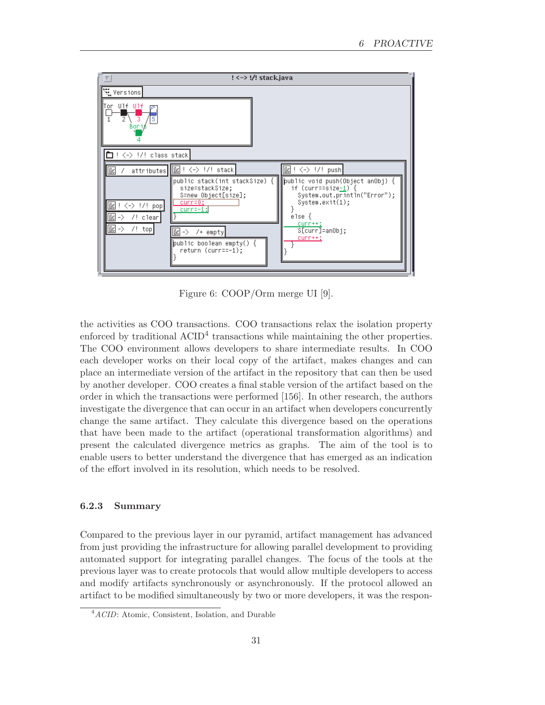

Figure 6: COOP/Orm merge UI [9].

the activities as COO transactions. COO transactions relax the isolation property enforced by traditional ACID<sup>4</sup> transactions while maintaining the other properties. The COO environment allows developers to share intermediate results. In COO each developer works on their local copy of the artifact, makes changes and can place an intermediate version of the artifact in the repository that can then be used by another developer. COO creates a final stable version of the artifact based on the order in which the transactions were performed [156]. In other research, the authors investigate the divergence that can occur in an artifact when developers concurrently change the same artifact. They calculate this divergence based on the operations that have been made to the artifact (operational transformation algorithms) and present the calculated divergence metrics as graphs. The aim of the tool is to enable users to better understand the divergence that has emerged as an indication of the effort involved in its resolution, which needs to be resolved.

### 6.2.3 Summary

Compared to the previous layer in our pyramid, artifact management has advanced from just providing the infrastructure for allowing parallel development to providing automated support for integrating parallel changes. The focus of the tools at the previous layer was to create protocols that would allow multiple developers to access and modify artifacts synchronously or asynchronously. If the protocol allowed an artifact to be modified simultaneously by two or more developers, it was the respon-

 $4ACID$ : Atomic, Consistent, Isolation, and Durable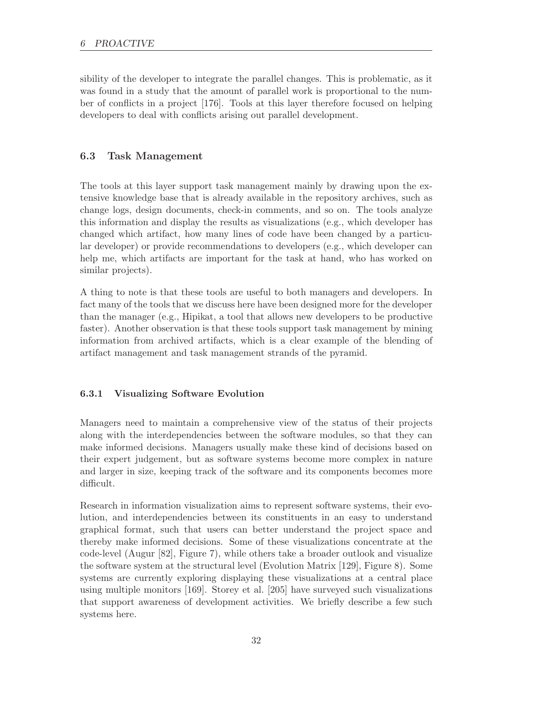sibility of the developer to integrate the parallel changes. This is problematic, as it was found in a study that the amount of parallel work is proportional to the number of conflicts in a project [176]. Tools at this layer therefore focused on helping developers to deal with conflicts arising out parallel development.

# 6.3 Task Management

The tools at this layer support task management mainly by drawing upon the extensive knowledge base that is already available in the repository archives, such as change logs, design documents, check-in comments, and so on. The tools analyze this information and display the results as visualizations (e.g., which developer has changed which artifact, how many lines of code have been changed by a particular developer) or provide recommendations to developers (e.g., which developer can help me, which artifacts are important for the task at hand, who has worked on similar projects).

A thing to note is that these tools are useful to both managers and developers. In fact many of the tools that we discuss here have been designed more for the developer than the manager (e.g., Hipikat, a tool that allows new developers to be productive faster). Another observation is that these tools support task management by mining information from archived artifacts, which is a clear example of the blending of artifact management and task management strands of the pyramid.

#### 6.3.1 Visualizing Software Evolution

Managers need to maintain a comprehensive view of the status of their projects along with the interdependencies between the software modules, so that they can make informed decisions. Managers usually make these kind of decisions based on their expert judgement, but as software systems become more complex in nature and larger in size, keeping track of the software and its components becomes more difficult.

Research in information visualization aims to represent software systems, their evolution, and interdependencies between its constituents in an easy to understand graphical format, such that users can better understand the project space and thereby make informed decisions. Some of these visualizations concentrate at the code-level (Augur [82], Figure 7), while others take a broader outlook and visualize the software system at the structural level (Evolution Matrix [129], Figure 8). Some systems are currently exploring displaying these visualizations at a central place using multiple monitors [169]. Storey et al. [205] have surveyed such visualizations that support awareness of development activities. We briefly describe a few such systems here.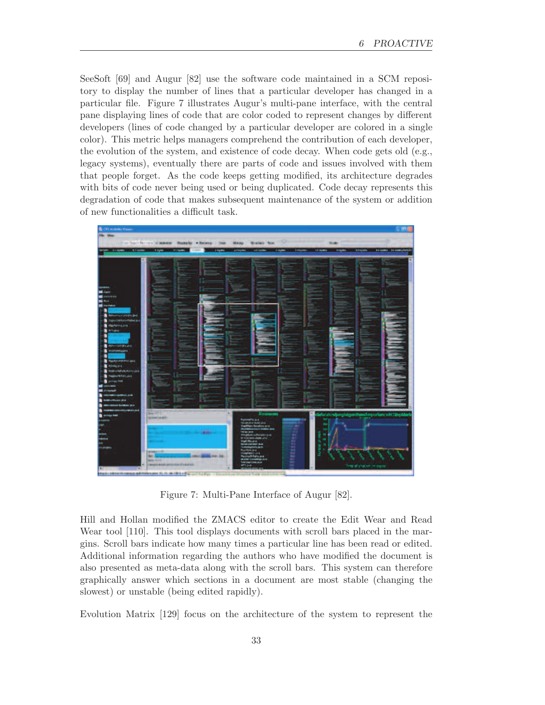SeeSoft [69] and Augur [82] use the software code maintained in a SCM repository to display the number of lines that a particular developer has changed in a particular file. Figure 7 illustrates Augur's multi-pane interface, with the central pane displaying lines of code that are color coded to represent changes by different developers (lines of code changed by a particular developer are colored in a single color). This metric helps managers comprehend the contribution of each developer, the evolution of the system, and existence of code decay. When code gets old (e.g., legacy systems), eventually there are parts of code and issues involved with them that people forget. As the code keeps getting modified, its architecture degrades with bits of code never being used or being duplicated. Code decay represents this degradation of code that makes subsequent maintenance of the system or addition of new functionalities a difficult task.



Figure 7: Multi-Pane Interface of Augur [82].

Hill and Hollan modified the ZMACS editor to create the Edit Wear and Read Wear tool [110]. This tool displays documents with scroll bars placed in the margins. Scroll bars indicate how many times a particular line has been read or edited. Additional information regarding the authors who have modified the document is also presented as meta-data along with the scroll bars. This system can therefore graphically answer which sections in a document are most stable (changing the slowest) or unstable (being edited rapidly).

Evolution Matrix [129] focus on the architecture of the system to represent the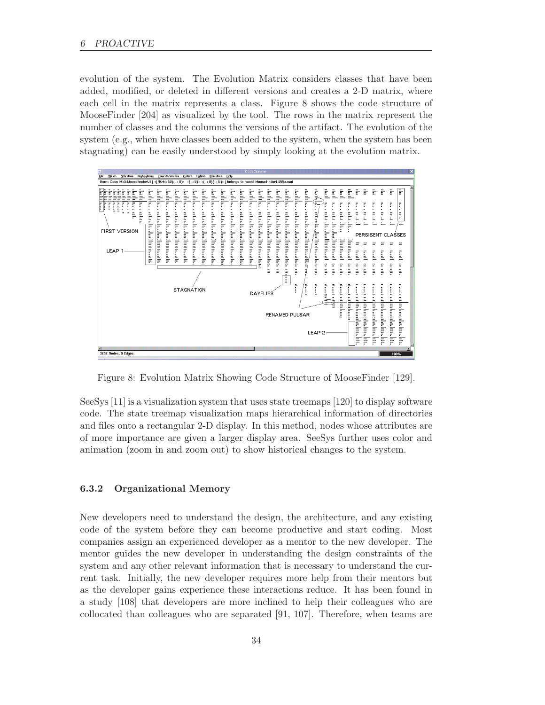evolution of the system. The Evolution Matrix considers classes that have been added, modified, or deleted in different versions and creates a 2-D matrix, where each cell in the matrix represents a class. Figure 8 shows the code structure of MooseFinder [204] as visualized by the tool. The rows in the matrix represent the number of classes and the columns the versions of the artifact. The evolution of the system (e.g., when have classes been added to the system, when the system has been stagnating) can be easily understood by simply looking at the evolution matrix.

|                                                                                                                                                                                                                                                                                                                                                                          |                                                                                                                                                                                                                                                                                                               | CodeCrawler                                                                                                                                                                                                                                                                                                                                                                                                                                                                                                                                                                                                                                                                                                                                                           | $\overline{\mathbf{x}}$                                                                                                             |
|--------------------------------------------------------------------------------------------------------------------------------------------------------------------------------------------------------------------------------------------------------------------------------------------------------------------------------------------------------------------------|---------------------------------------------------------------------------------------------------------------------------------------------------------------------------------------------------------------------------------------------------------------------------------------------------------------|-----------------------------------------------------------------------------------------------------------------------------------------------------------------------------------------------------------------------------------------------------------------------------------------------------------------------------------------------------------------------------------------------------------------------------------------------------------------------------------------------------------------------------------------------------------------------------------------------------------------------------------------------------------------------------------------------------------------------------------------------------------------------|-------------------------------------------------------------------------------------------------------------------------------------|
| File<br><b>Views</b><br><b>Selection</b><br><b>Highlighting</b><br><b>Transformation</b>                                                                                                                                                                                                                                                                                 | Colors<br><b>Extras</b><br><b>Evolution</b><br>Help                                                                                                                                                                                                                                                           |                                                                                                                                                                                                                                                                                                                                                                                                                                                                                                                                                                                                                                                                                                                                                                       |                                                                                                                                     |
| Item: Class MSEMooseFinderUI   <(NOM: 5U)(-: U)> <(-: U)> <(-: U)(-: U)>   belongs to model MooseFinder1.U99a.xml                                                                                                                                                                                                                                                        |                                                                                                                                                                                                                                                                                                               |                                                                                                                                                                                                                                                                                                                                                                                                                                                                                                                                                                                                                                                                                                                                                                       |                                                                                                                                     |
| e.le.al<br>տրօ անա<br>.adulai<br>İ<br>Ë<br>$\mathbb{L}$ all $\mathbb{L}$<br>.aadala.<br>Indealls<br>.aadala.<br>Ē<br>Ξ<br>555<br>Ī<br>ŗ<br>Ŧ<br>$\frac{1}{2}$<br>F<br>÷<br>÷<br>i<br>F<br>į.<br>an Jan<br>ial.in.<br>in Links<br>Ē,<br>è<br>F<br>F<br>ItIIIIIIIIIIullo<br>IIndHutturando<br><b>FIRST VERSION</b><br>٠<br>Illinitiesilli<br>Illinialises of los<br>LEAP 1 | .a.allalla.<br>.a.allalla.<br>.a.adala.<br>.aadala.<br>-n-adala.<br>.ես ժեմե.<br>.a.alalla.<br>٠<br>iii.iii<br><br>ad.in.<br>ad.in.<br>al.in.<br>들<br>"미<br>i<br>₩<br>₽<br>Ξ<br>F<br>F<br>IIllindaada<br>IIllinilian and ha<br>Uluadaala.<br>UUuduada<br>Illinilian and a<br>Ununaada<br>L<br>liniliana adlaa | adead ballad<br>alullui.<br>$_{\text{alodlo}}$ .<br>Ē<br>Binall<br>ll <sub>ool</sub> l<br>Ē<br>F<br>F<br>$\Delta$ , $\Delta$ , $\Delta$ , $\Delta$<br>$\mathbb{P}$<br>.1.1.1<br>naadala.<br>.a.alula.<br>.aadula.<br>Ξ<br>۳<br>$\blacksquare$<br>$\ddot{\dot{}}$<br>$\equiv$<br>۰<br>$\epsilon$<br>$\bullet$<br>٠<br>$^{\circ}$<br>٠<br>ad.ta.<br>in Lin.<br>in Links<br>od.to.<br>ad.in.lir.<br>i<br>I<br>I<br>I<br>I<br>Ē<br>od.r<br>Ē<br>Ē<br>Ξ<br>Ξ<br>F<br>Ē<br>Ξ<br>≒<br>F<br>₹<br>F<br>Ξ<br>₹<br>F<br>F<br>F<br>F<br><b>Lee Alaalassadas</b><br><b>Lindhama</b><br>IUlliadiaada.or<br><b>Lee Altertains and all and</b><br>lIllindiaadi<br><u>leed Unitidaes des des s</u><br>- Hindian a and a a<br>ilinin an an and<br>llininia<br>lhadaaad<br>۳<br>$\equiv$ | i dland<br>$\frac{m}{2}$<br>$\overline{\mathbb{P}}$<br>å.<br>÷.<br>ö<br>Ξ<br>Ξ<br>Ξ<br>$\equiv$<br>PERSISENT CLASSES<br>Ξ<br>Ξ<br>Ξ |
|                                                                                                                                                                                                                                                                                                                                                                          |                                                                                                                                                                                                                                                                                                               | inset<br>llosoll<br>Ë                                                                                                                                                                                                                                                                                                                                                                                                                                                                                                                                                                                                                                                                                                                                                 | Ĺ<br>$\mathbb{L}$<br>$\mathbb{I}^{\mathsf{new}}$                                                                                    |
|                                                                                                                                                                                                                                                                                                                                                                          |                                                                                                                                                                                                                                                                                                               | 믕<br>g<br>Ξ<br>Ξ<br>믕<br>Ξ<br>Ξ                                                                                                                                                                                                                                                                                                                                                                                                                                                                                                                                                                                                                                                                                                                                       | 5<br>Ξ<br>Ξ                                                                                                                         |
|                                                                                                                                                                                                                                                                                                                                                                          | <b>STAGNATION</b>                                                                                                                                                                                                                                                                                             | Ō.<br>onno<br><b>DIDIO</b><br>$\frac{a}{2}$<br>틟<br>Ē<br>anne<br>anna<br>onlo<br>anne<br>allia<br>anna<br>ann <sub>o</sub><br>ğasas<br>÷<br>ոնտուննա<br>անուշուն<br>linial<br>linesl<br>ilises<br>passes<br>:<br><b>DAYFLIES</b><br>î.<br>-<br>Ξ<br><b>Security</b><br>Ē<br>Ξ<br>Ξ<br>Linia<br><b>RENAMED PULSAR</b>                                                                                                                                                                                                                                                                                                                                                                                                                                                  | a Ollo<br>ooo<br>onno<br>$\blacksquare$<br>-<br>į<br>g<br>۰<br>Ë,<br>ī<br>÷                                                         |
|                                                                                                                                                                                                                                                                                                                                                                          |                                                                                                                                                                                                                                                                                                               | Issaudar.lana.lan<br>laa.laaa.laa<br>lag.loo.<br>LEAP <sub>2</sub><br>Ē                                                                                                                                                                                                                                                                                                                                                                                                                                                                                                                                                                                                                                                                                               | ումությունունոումնա<br>and a and and an alone. Under<br>ridianalalalol000.<br>in ill                                                |
| 3252 Nodes, 0 Edges                                                                                                                                                                                                                                                                                                                                                      |                                                                                                                                                                                                                                                                                                               |                                                                                                                                                                                                                                                                                                                                                                                                                                                                                                                                                                                                                                                                                                                                                                       | 100%                                                                                                                                |

Figure 8: Evolution Matrix Showing Code Structure of MooseFinder [129].

SeeSys [11] is a visualization system that uses state treemaps [120] to display software code. The state treemap visualization maps hierarchical information of directories and files onto a rectangular 2-D display. In this method, nodes whose attributes are of more importance are given a larger display area. SeeSys further uses color and animation (zoom in and zoom out) to show historical changes to the system.

#### 6.3.2 Organizational Memory

New developers need to understand the design, the architecture, and any existing code of the system before they can become productive and start coding. Most companies assign an experienced developer as a mentor to the new developer. The mentor guides the new developer in understanding the design constraints of the system and any other relevant information that is necessary to understand the current task. Initially, the new developer requires more help from their mentors but as the developer gains experience these interactions reduce. It has been found in a study [108] that developers are more inclined to help their colleagues who are collocated than colleagues who are separated [91, 107]. Therefore, when teams are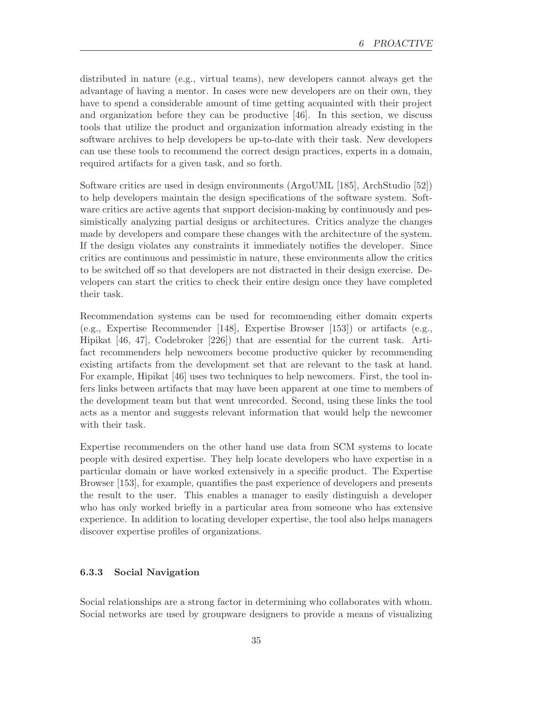distributed in nature (e.g., virtual teams), new developers cannot always get the advantage of having a mentor. In cases were new developers are on their own, they have to spend a considerable amount of time getting acquainted with their project and organization before they can be productive [46]. In this section, we discuss tools that utilize the product and organization information already existing in the software archives to help developers be up-to-date with their task. New developers can use these tools to recommend the correct design practices, experts in a domain, required artifacts for a given task, and so forth.

Software critics are used in design environments (ArgoUML [185], ArchStudio [52]) to help developers maintain the design specifications of the software system. Software critics are active agents that support decision-making by continuously and pessimistically analyzing partial designs or architectures. Critics analyze the changes made by developers and compare these changes with the architecture of the system. If the design violates any constraints it immediately notifies the developer. Since critics are continuous and pessimistic in nature, these environments allow the critics to be switched off so that developers are not distracted in their design exercise. Developers can start the critics to check their entire design once they have completed their task.

Recommendation systems can be used for recommending either domain experts (e.g., Expertise Recommender [148], Expertise Browser [153]) or artifacts (e.g., Hipikat [46, 47], Codebroker [226]) that are essential for the current task. Artifact recommenders help newcomers become productive quicker by recommending existing artifacts from the development set that are relevant to the task at hand. For example, Hipikat [46] uses two techniques to help newcomers. First, the tool infers links between artifacts that may have been apparent at one time to members of the development team but that went unrecorded. Second, using these links the tool acts as a mentor and suggests relevant information that would help the newcomer with their task.

Expertise recommenders on the other hand use data from SCM systems to locate people with desired expertise. They help locate developers who have expertise in a particular domain or have worked extensively in a specific product. The Expertise Browser [153], for example, quantifies the past experience of developers and presents the result to the user. This enables a manager to easily distinguish a developer who has only worked briefly in a particular area from someone who has extensive experience. In addition to locating developer expertise, the tool also helps managers discover expertise profiles of organizations.

#### 6.3.3 Social Navigation

Social relationships are a strong factor in determining who collaborates with whom. Social networks are used by groupware designers to provide a means of visualizing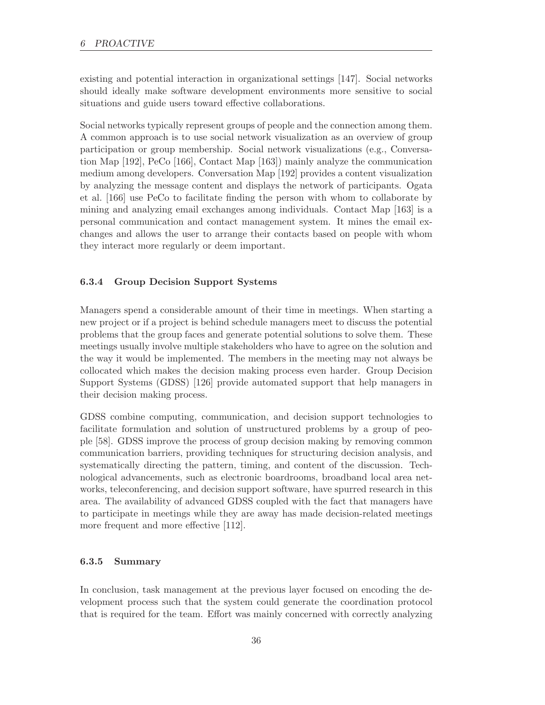existing and potential interaction in organizational settings [147]. Social networks should ideally make software development environments more sensitive to social situations and guide users toward effective collaborations.

Social networks typically represent groups of people and the connection among them. A common approach is to use social network visualization as an overview of group participation or group membership. Social network visualizations (e.g., Conversation Map [192], PeCo [166], Contact Map [163]) mainly analyze the communication medium among developers. Conversation Map [192] provides a content visualization by analyzing the message content and displays the network of participants. Ogata et al. [166] use PeCo to facilitate finding the person with whom to collaborate by mining and analyzing email exchanges among individuals. Contact Map [163] is a personal communication and contact management system. It mines the email exchanges and allows the user to arrange their contacts based on people with whom they interact more regularly or deem important.

#### 6.3.4 Group Decision Support Systems

Managers spend a considerable amount of their time in meetings. When starting a new project or if a project is behind schedule managers meet to discuss the potential problems that the group faces and generate potential solutions to solve them. These meetings usually involve multiple stakeholders who have to agree on the solution and the way it would be implemented. The members in the meeting may not always be collocated which makes the decision making process even harder. Group Decision Support Systems (GDSS) [126] provide automated support that help managers in their decision making process.

GDSS combine computing, communication, and decision support technologies to facilitate formulation and solution of unstructured problems by a group of people [58]. GDSS improve the process of group decision making by removing common communication barriers, providing techniques for structuring decision analysis, and systematically directing the pattern, timing, and content of the discussion. Technological advancements, such as electronic boardrooms, broadband local area networks, teleconferencing, and decision support software, have spurred research in this area. The availability of advanced GDSS coupled with the fact that managers have to participate in meetings while they are away has made decision-related meetings more frequent and more effective [112].

### 6.3.5 Summary

In conclusion, task management at the previous layer focused on encoding the development process such that the system could generate the coordination protocol that is required for the team. Effort was mainly concerned with correctly analyzing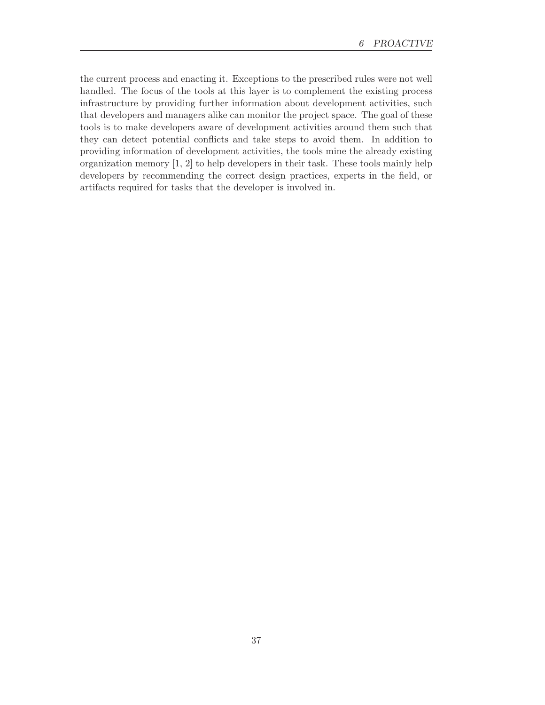the current process and enacting it. Exceptions to the prescribed rules were not well handled. The focus of the tools at this layer is to complement the existing process infrastructure by providing further information about development activities, such that developers and managers alike can monitor the project space. The goal of these tools is to make developers aware of development activities around them such that they can detect potential conflicts and take steps to avoid them. In addition to providing information of development activities, the tools mine the already existing organization memory [1, 2] to help developers in their task. These tools mainly help developers by recommending the correct design practices, experts in the field, or artifacts required for tasks that the developer is involved in.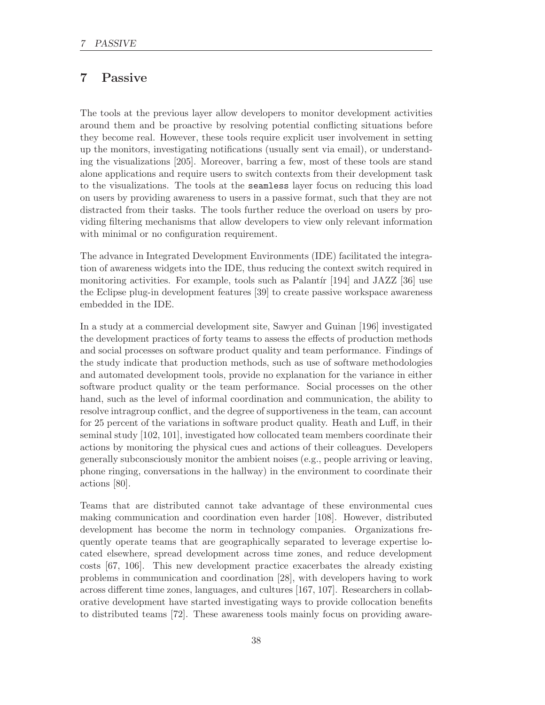# 7 Passive

The tools at the previous layer allow developers to monitor development activities around them and be proactive by resolving potential conflicting situations before they become real. However, these tools require explicit user involvement in setting up the monitors, investigating notifications (usually sent via email), or understanding the visualizations [205]. Moreover, barring a few, most of these tools are stand alone applications and require users to switch contexts from their development task to the visualizations. The tools at the seamless layer focus on reducing this load on users by providing awareness to users in a passive format, such that they are not distracted from their tasks. The tools further reduce the overload on users by providing filtering mechanisms that allow developers to view only relevant information with minimal or no configuration requirement.

The advance in Integrated Development Environments (IDE) facilitated the integration of awareness widgets into the IDE, thus reducing the context switch required in monitoring activities. For example, tools such as Palantír  $[194]$  and JAZZ  $[36]$  use the Eclipse plug-in development features [39] to create passive workspace awareness embedded in the IDE.

In a study at a commercial development site, Sawyer and Guinan [196] investigated the development practices of forty teams to assess the effects of production methods and social processes on software product quality and team performance. Findings of the study indicate that production methods, such as use of software methodologies and automated development tools, provide no explanation for the variance in either software product quality or the team performance. Social processes on the other hand, such as the level of informal coordination and communication, the ability to resolve intragroup conflict, and the degree of supportiveness in the team, can account for 25 percent of the variations in software product quality. Heath and Luff, in their seminal study [102, 101], investigated how collocated team members coordinate their actions by monitoring the physical cues and actions of their colleagues. Developers generally subconsciously monitor the ambient noises (e.g., people arriving or leaving, phone ringing, conversations in the hallway) in the environment to coordinate their actions [80].

Teams that are distributed cannot take advantage of these environmental cues making communication and coordination even harder [108]. However, distributed development has become the norm in technology companies. Organizations frequently operate teams that are geographically separated to leverage expertise located elsewhere, spread development across time zones, and reduce development costs [67, 106]. This new development practice exacerbates the already existing problems in communication and coordination [28], with developers having to work across different time zones, languages, and cultures [167, 107]. Researchers in collaborative development have started investigating ways to provide collocation benefits to distributed teams [72]. These awareness tools mainly focus on providing aware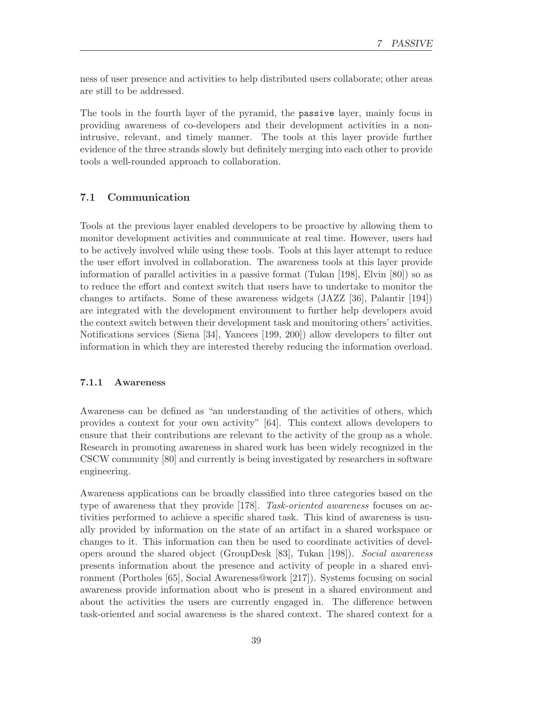ness of user presence and activities to help distributed users collaborate; other areas are still to be addressed.

The tools in the fourth layer of the pyramid, the passive layer, mainly focus in providing awareness of co-developers and their development activities in a nonintrusive, relevant, and timely manner. The tools at this layer provide further evidence of the three strands slowly but definitely merging into each other to provide tools a well-rounded approach to collaboration.

# 7.1 Communication

Tools at the previous layer enabled developers to be proactive by allowing them to monitor development activities and communicate at real time. However, users had to be actively involved while using these tools. Tools at this layer attempt to reduce the user effort involved in collaboration. The awareness tools at this layer provide information of parallel activities in a passive format (Tukan [198], Elvin [80]) so as to reduce the effort and context switch that users have to undertake to monitor the changes to artifacts. Some of these awareness widgets (JAZZ [36], Palantir [194]) are integrated with the development environment to further help developers avoid the context switch between their development task and monitoring others' activities. Notifications services (Siena [34], Yancees [199, 200]) allow developers to filter out information in which they are interested thereby reducing the information overload.

#### 7.1.1 Awareness

Awareness can be defined as "an understanding of the activities of others, which provides a context for your own activity" [64]. This context allows developers to ensure that their contributions are relevant to the activity of the group as a whole. Research in promoting awareness in shared work has been widely recognized in the CSCW community [80] and currently is being investigated by researchers in software engineering.

Awareness applications can be broadly classified into three categories based on the type of awareness that they provide [178]. Task-oriented awareness focuses on activities performed to achieve a specific shared task. This kind of awareness is usually provided by information on the state of an artifact in a shared workspace or changes to it. This information can then be used to coordinate activities of developers around the shared object (GroupDesk [83], Tukan [198]). Social awareness presents information about the presence and activity of people in a shared environment (Portholes [65], Social Awareness@work [217]). Systems focusing on social awareness provide information about who is present in a shared environment and about the activities the users are currently engaged in. The difference between task-oriented and social awareness is the shared context. The shared context for a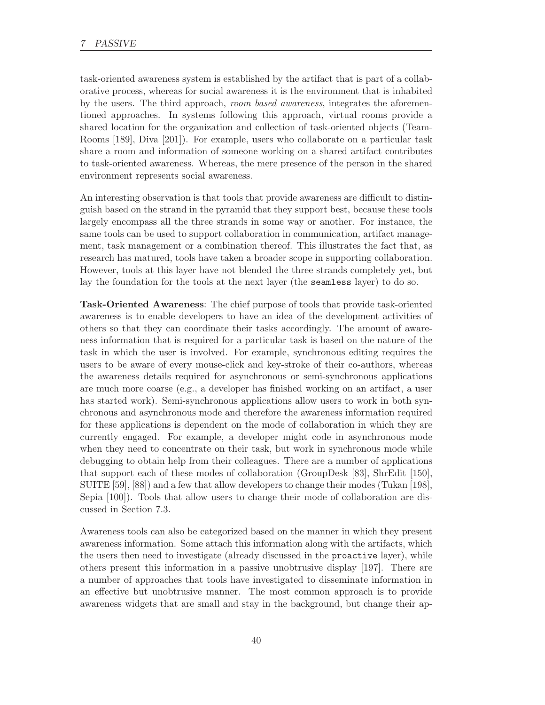task-oriented awareness system is established by the artifact that is part of a collaborative process, whereas for social awareness it is the environment that is inhabited by the users. The third approach, room based awareness, integrates the aforementioned approaches. In systems following this approach, virtual rooms provide a shared location for the organization and collection of task-oriented objects (Team-Rooms [189], Diva [201]). For example, users who collaborate on a particular task share a room and information of someone working on a shared artifact contributes to task-oriented awareness. Whereas, the mere presence of the person in the shared environment represents social awareness.

An interesting observation is that tools that provide awareness are difficult to distinguish based on the strand in the pyramid that they support best, because these tools largely encompass all the three strands in some way or another. For instance, the same tools can be used to support collaboration in communication, artifact management, task management or a combination thereof. This illustrates the fact that, as research has matured, tools have taken a broader scope in supporting collaboration. However, tools at this layer have not blended the three strands completely yet, but lay the foundation for the tools at the next layer (the seamless layer) to do so.

Task-Oriented Awareness: The chief purpose of tools that provide task-oriented awareness is to enable developers to have an idea of the development activities of others so that they can coordinate their tasks accordingly. The amount of awareness information that is required for a particular task is based on the nature of the task in which the user is involved. For example, synchronous editing requires the users to be aware of every mouse-click and key-stroke of their co-authors, whereas the awareness details required for asynchronous or semi-synchronous applications are much more coarse (e.g., a developer has finished working on an artifact, a user has started work). Semi-synchronous applications allow users to work in both synchronous and asynchronous mode and therefore the awareness information required for these applications is dependent on the mode of collaboration in which they are currently engaged. For example, a developer might code in asynchronous mode when they need to concentrate on their task, but work in synchronous mode while debugging to obtain help from their colleagues. There are a number of applications that support each of these modes of collaboration (GroupDesk [83], ShrEdit [150], SUITE [59], [88]) and a few that allow developers to change their modes (Tukan [198], Sepia [100]). Tools that allow users to change their mode of collaboration are discussed in Section 7.3.

Awareness tools can also be categorized based on the manner in which they present awareness information. Some attach this information along with the artifacts, which the users then need to investigate (already discussed in the proactive layer), while others present this information in a passive unobtrusive display [197]. There are a number of approaches that tools have investigated to disseminate information in an effective but unobtrusive manner. The most common approach is to provide awareness widgets that are small and stay in the background, but change their ap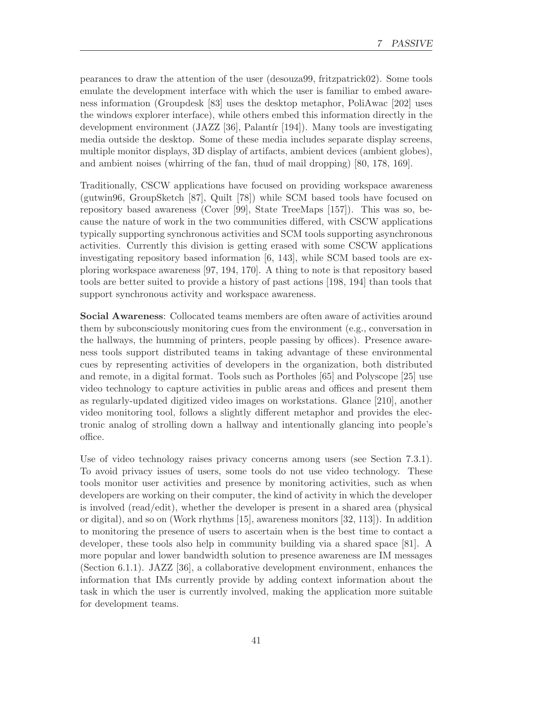pearances to draw the attention of the user (desouza99, fritzpatrick02). Some tools emulate the development interface with which the user is familiar to embed awareness information (Groupdesk [83] uses the desktop metaphor, PoliAwac [202] uses the windows explorer interface), while others embed this information directly in the development environment (JAZZ [36], Palantír [194]). Many tools are investigating media outside the desktop. Some of these media includes separate display screens, multiple monitor displays, 3D display of artifacts, ambient devices (ambient globes), and ambient noises (whirring of the fan, thud of mail dropping) [80, 178, 169].

Traditionally, CSCW applications have focused on providing workspace awareness (gutwin96, GroupSketch [87], Quilt [78]) while SCM based tools have focused on repository based awareness (Cover [99], State TreeMaps [157]). This was so, because the nature of work in the two communities differed, with CSCW applications typically supporting synchronous activities and SCM tools supporting asynchronous activities. Currently this division is getting erased with some CSCW applications investigating repository based information [6, 143], while SCM based tools are exploring workspace awareness [97, 194, 170]. A thing to note is that repository based tools are better suited to provide a history of past actions [198, 194] than tools that support synchronous activity and workspace awareness.

Social Awareness: Collocated teams members are often aware of activities around them by subconsciously monitoring cues from the environment (e.g., conversation in the hallways, the humming of printers, people passing by offices). Presence awareness tools support distributed teams in taking advantage of these environmental cues by representing activities of developers in the organization, both distributed and remote, in a digital format. Tools such as Portholes [65] and Polyscope [25] use video technology to capture activities in public areas and offices and present them as regularly-updated digitized video images on workstations. Glance [210], another video monitoring tool, follows a slightly different metaphor and provides the electronic analog of strolling down a hallway and intentionally glancing into people's office.

Use of video technology raises privacy concerns among users (see Section 7.3.1). To avoid privacy issues of users, some tools do not use video technology. These tools monitor user activities and presence by monitoring activities, such as when developers are working on their computer, the kind of activity in which the developer is involved (read/edit), whether the developer is present in a shared area (physical or digital), and so on (Work rhythms [15], awareness monitors [32, 113]). In addition to monitoring the presence of users to ascertain when is the best time to contact a developer, these tools also help in community building via a shared space [81]. A more popular and lower bandwidth solution to presence awareness are IM messages (Section 6.1.1). JAZZ [36], a collaborative development environment, enhances the information that IMs currently provide by adding context information about the task in which the user is currently involved, making the application more suitable for development teams.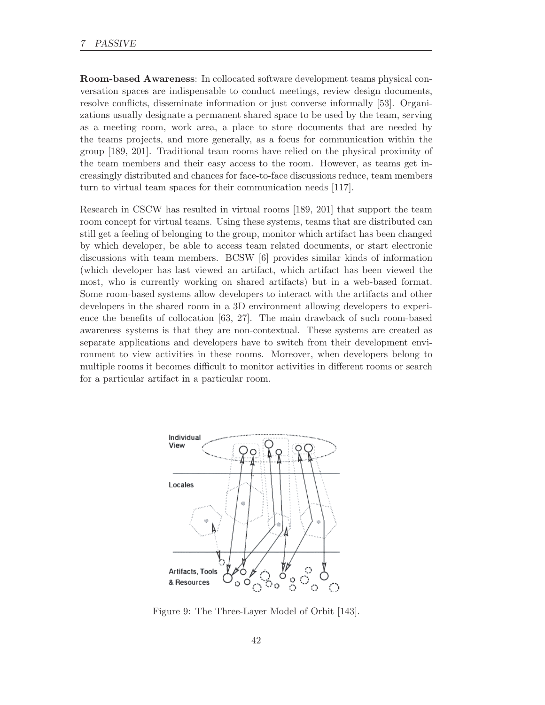#### 7 PASSIVE

Room-based Awareness: In collocated software development teams physical conversation spaces are indispensable to conduct meetings, review design documents, resolve conflicts, disseminate information or just converse informally [53]. Organizations usually designate a permanent shared space to be used by the team, serving as a meeting room, work area, a place to store documents that are needed by the teams projects, and more generally, as a focus for communication within the group [189, 201]. Traditional team rooms have relied on the physical proximity of the team members and their easy access to the room. However, as teams get increasingly distributed and chances for face-to-face discussions reduce, team members turn to virtual team spaces for their communication needs [117].

Research in CSCW has resulted in virtual rooms [189, 201] that support the team room concept for virtual teams. Using these systems, teams that are distributed can still get a feeling of belonging to the group, monitor which artifact has been changed by which developer, be able to access team related documents, or start electronic discussions with team members. BCSW [6] provides similar kinds of information (which developer has last viewed an artifact, which artifact has been viewed the most, who is currently working on shared artifacts) but in a web-based format. Some room-based systems allow developers to interact with the artifacts and other developers in the shared room in a 3D environment allowing developers to experience the benefits of collocation [63, 27]. The main drawback of such room-based awareness systems is that they are non-contextual. These systems are created as separate applications and developers have to switch from their development environment to view activities in these rooms. Moreover, when developers belong to multiple rooms it becomes difficult to monitor activities in different rooms or search for a particular artifact in a particular room.



Figure 9: The Three-Layer Model of Orbit [143].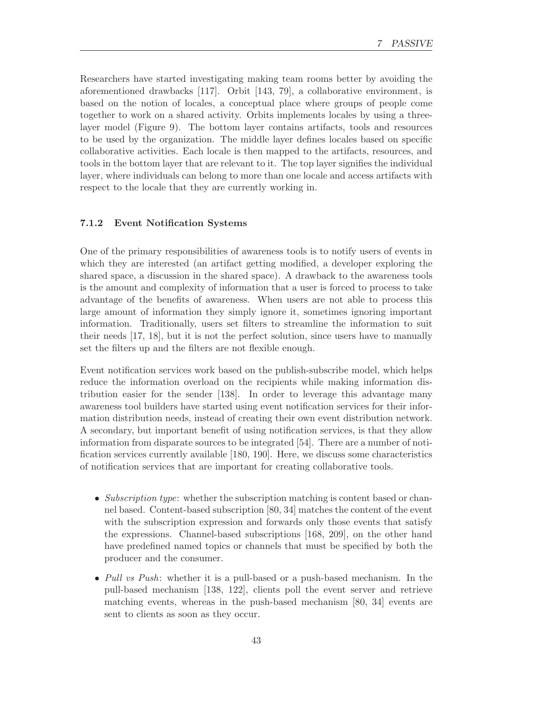Researchers have started investigating making team rooms better by avoiding the aforementioned drawbacks [117]. Orbit [143, 79], a collaborative environment, is based on the notion of locales, a conceptual place where groups of people come together to work on a shared activity. Orbits implements locales by using a threelayer model (Figure 9). The bottom layer contains artifacts, tools and resources to be used by the organization. The middle layer defines locales based on specific collaborative activities. Each locale is then mapped to the artifacts, resources, and tools in the bottom layer that are relevant to it. The top layer signifies the individual layer, where individuals can belong to more than one locale and access artifacts with respect to the locale that they are currently working in.

#### 7.1.2 Event Notification Systems

One of the primary responsibilities of awareness tools is to notify users of events in which they are interested (an artifact getting modified, a developer exploring the shared space, a discussion in the shared space). A drawback to the awareness tools is the amount and complexity of information that a user is forced to process to take advantage of the benefits of awareness. When users are not able to process this large amount of information they simply ignore it, sometimes ignoring important information. Traditionally, users set filters to streamline the information to suit their needs [17, 18], but it is not the perfect solution, since users have to manually set the filters up and the filters are not flexible enough.

Event notification services work based on the publish-subscribe model, which helps reduce the information overload on the recipients while making information distribution easier for the sender [138]. In order to leverage this advantage many awareness tool builders have started using event notification services for their information distribution needs, instead of creating their own event distribution network. A secondary, but important benefit of using notification services, is that they allow information from disparate sources to be integrated [54]. There are a number of notification services currently available [180, 190]. Here, we discuss some characteristics of notification services that are important for creating collaborative tools.

- Subscription type: whether the subscription matching is content based or channel based. Content-based subscription [80, 34] matches the content of the event with the subscription expression and forwards only those events that satisfy the expressions. Channel-based subscriptions [168, 209], on the other hand have predefined named topics or channels that must be specified by both the producer and the consumer.
- Pull vs Push: whether it is a pull-based or a push-based mechanism. In the pull-based mechanism [138, 122], clients poll the event server and retrieve matching events, whereas in the push-based mechanism [80, 34] events are sent to clients as soon as they occur.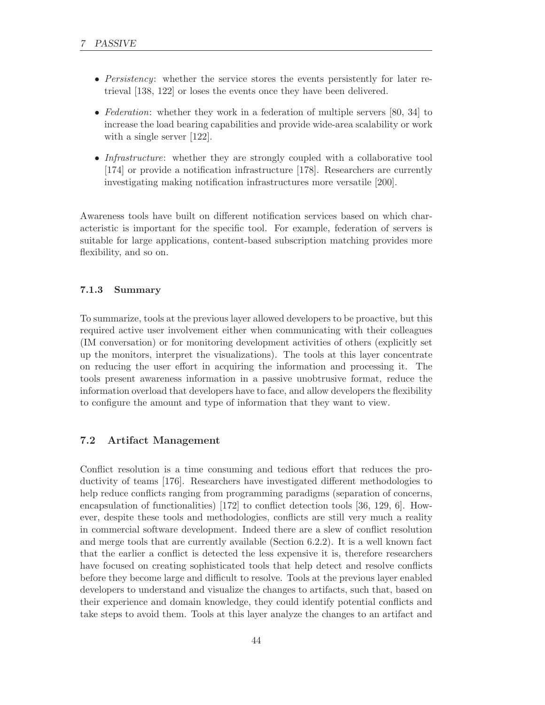- Persistency: whether the service stores the events persistently for later retrieval [138, 122] or loses the events once they have been delivered.
- Federation: whether they work in a federation of multiple servers [80, 34] to increase the load bearing capabilities and provide wide-area scalability or work with a single server [122].
- Infrastructure: whether they are strongly coupled with a collaborative tool [174] or provide a notification infrastructure [178]. Researchers are currently investigating making notification infrastructures more versatile [200].

Awareness tools have built on different notification services based on which characteristic is important for the specific tool. For example, federation of servers is suitable for large applications, content-based subscription matching provides more flexibility, and so on.

#### 7.1.3 Summary

To summarize, tools at the previous layer allowed developers to be proactive, but this required active user involvement either when communicating with their colleagues (IM conversation) or for monitoring development activities of others (explicitly set up the monitors, interpret the visualizations). The tools at this layer concentrate on reducing the user effort in acquiring the information and processing it. The tools present awareness information in a passive unobtrusive format, reduce the information overload that developers have to face, and allow developers the flexibility to configure the amount and type of information that they want to view.

# 7.2 Artifact Management

Conflict resolution is a time consuming and tedious effort that reduces the productivity of teams [176]. Researchers have investigated different methodologies to help reduce conflicts ranging from programming paradigms (separation of concerns, encapsulation of functionalities) [172] to conflict detection tools [36, 129, 6]. However, despite these tools and methodologies, conflicts are still very much a reality in commercial software development. Indeed there are a slew of conflict resolution and merge tools that are currently available (Section 6.2.2). It is a well known fact that the earlier a conflict is detected the less expensive it is, therefore researchers have focused on creating sophisticated tools that help detect and resolve conflicts before they become large and difficult to resolve. Tools at the previous layer enabled developers to understand and visualize the changes to artifacts, such that, based on their experience and domain knowledge, they could identify potential conflicts and take steps to avoid them. Tools at this layer analyze the changes to an artifact and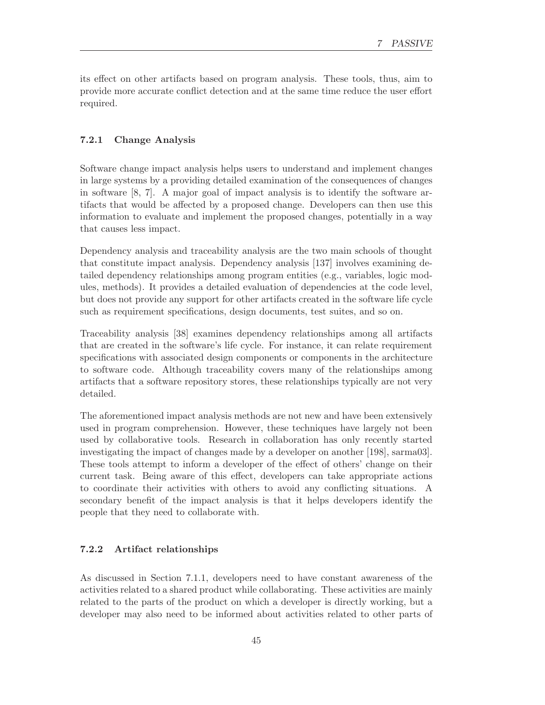its effect on other artifacts based on program analysis. These tools, thus, aim to provide more accurate conflict detection and at the same time reduce the user effort required.

#### 7.2.1 Change Analysis

Software change impact analysis helps users to understand and implement changes in large systems by a providing detailed examination of the consequences of changes in software [8, 7]. A major goal of impact analysis is to identify the software artifacts that would be affected by a proposed change. Developers can then use this information to evaluate and implement the proposed changes, potentially in a way that causes less impact.

Dependency analysis and traceability analysis are the two main schools of thought that constitute impact analysis. Dependency analysis [137] involves examining detailed dependency relationships among program entities (e.g., variables, logic modules, methods). It provides a detailed evaluation of dependencies at the code level, but does not provide any support for other artifacts created in the software life cycle such as requirement specifications, design documents, test suites, and so on.

Traceability analysis [38] examines dependency relationships among all artifacts that are created in the software's life cycle. For instance, it can relate requirement specifications with associated design components or components in the architecture to software code. Although traceability covers many of the relationships among artifacts that a software repository stores, these relationships typically are not very detailed.

The aforementioned impact analysis methods are not new and have been extensively used in program comprehension. However, these techniques have largely not been used by collaborative tools. Research in collaboration has only recently started investigating the impact of changes made by a developer on another [198], sarma03]. These tools attempt to inform a developer of the effect of others' change on their current task. Being aware of this effect, developers can take appropriate actions to coordinate their activities with others to avoid any conflicting situations. A secondary benefit of the impact analysis is that it helps developers identify the people that they need to collaborate with.

#### 7.2.2 Artifact relationships

As discussed in Section 7.1.1, developers need to have constant awareness of the activities related to a shared product while collaborating. These activities are mainly related to the parts of the product on which a developer is directly working, but a developer may also need to be informed about activities related to other parts of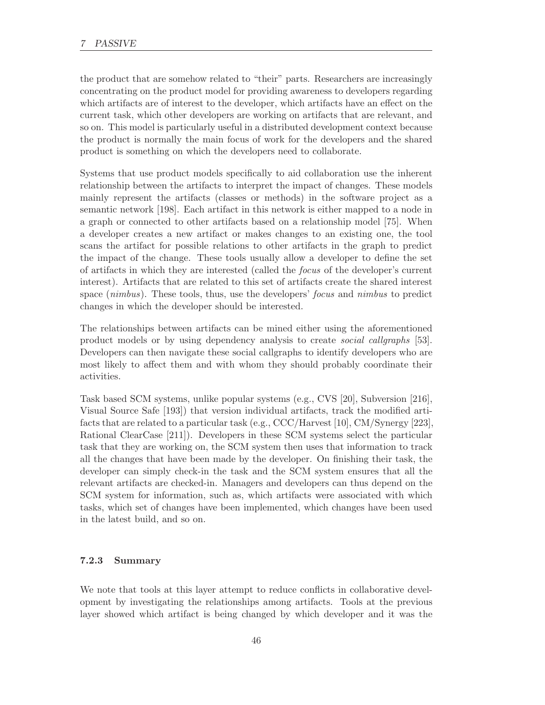the product that are somehow related to "their" parts. Researchers are increasingly concentrating on the product model for providing awareness to developers regarding which artifacts are of interest to the developer, which artifacts have an effect on the current task, which other developers are working on artifacts that are relevant, and so on. This model is particularly useful in a distributed development context because the product is normally the main focus of work for the developers and the shared product is something on which the developers need to collaborate.

Systems that use product models specifically to aid collaboration use the inherent relationship between the artifacts to interpret the impact of changes. These models mainly represent the artifacts (classes or methods) in the software project as a semantic network [198]. Each artifact in this network is either mapped to a node in a graph or connected to other artifacts based on a relationship model [75]. When a developer creates a new artifact or makes changes to an existing one, the tool scans the artifact for possible relations to other artifacts in the graph to predict the impact of the change. These tools usually allow a developer to define the set of artifacts in which they are interested (called the focus of the developer's current interest). Artifacts that are related to this set of artifacts create the shared interest space (nimbus). These tools, thus, use the developers' focus and nimbus to predict changes in which the developer should be interested.

The relationships between artifacts can be mined either using the aforementioned product models or by using dependency analysis to create social callgraphs [53]. Developers can then navigate these social callgraphs to identify developers who are most likely to affect them and with whom they should probably coordinate their activities.

Task based SCM systems, unlike popular systems (e.g., CVS [20], Subversion [216], Visual Source Safe [193]) that version individual artifacts, track the modified artifacts that are related to a particular task (e.g., CCC/Harvest [10], CM/Synergy [223], Rational ClearCase [211]). Developers in these SCM systems select the particular task that they are working on, the SCM system then uses that information to track all the changes that have been made by the developer. On finishing their task, the developer can simply check-in the task and the SCM system ensures that all the relevant artifacts are checked-in. Managers and developers can thus depend on the SCM system for information, such as, which artifacts were associated with which tasks, which set of changes have been implemented, which changes have been used in the latest build, and so on.

# 7.2.3 Summary

We note that tools at this layer attempt to reduce conflicts in collaborative development by investigating the relationships among artifacts. Tools at the previous layer showed which artifact is being changed by which developer and it was the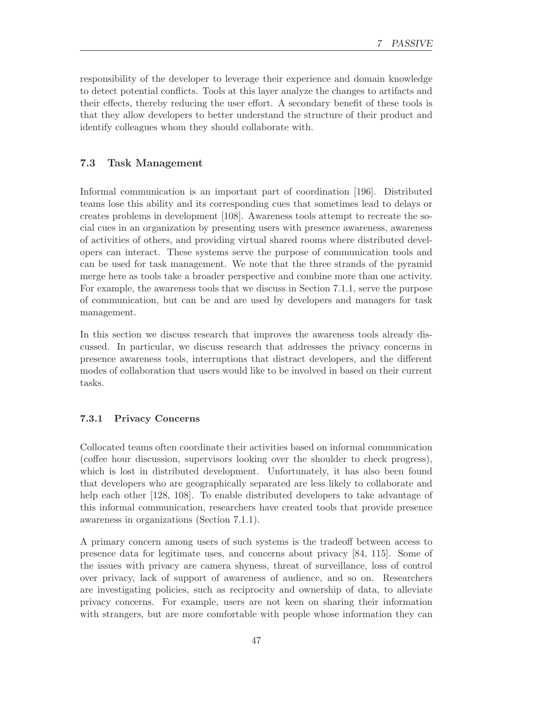responsibility of the developer to leverage their experience and domain knowledge to detect potential conflicts. Tools at this layer analyze the changes to artifacts and their effects, thereby reducing the user effort. A secondary benefit of these tools is that they allow developers to better understand the structure of their product and identify colleagues whom they should collaborate with.

### 7.3 Task Management

Informal communication is an important part of coordination [196]. Distributed teams lose this ability and its corresponding cues that sometimes lead to delays or creates problems in development [108]. Awareness tools attempt to recreate the social cues in an organization by presenting users with presence awareness, awareness of activities of others, and providing virtual shared rooms where distributed developers can interact. These systems serve the purpose of communication tools and can be used for task management. We note that the three strands of the pyramid merge here as tools take a broader perspective and combine more than one activity. For example, the awareness tools that we discuss in Section 7.1.1, serve the purpose of communication, but can be and are used by developers and managers for task management.

In this section we discuss research that improves the awareness tools already discussed. In particular, we discuss research that addresses the privacy concerns in presence awareness tools, interruptions that distract developers, and the different modes of collaboration that users would like to be involved in based on their current tasks.

#### 7.3.1 Privacy Concerns

Collocated teams often coordinate their activities based on informal communication (coffee hour discussion, supervisors looking over the shoulder to check progress), which is lost in distributed development. Unfortunately, it has also been found that developers who are geographically separated are less likely to collaborate and help each other [128, 108]. To enable distributed developers to take advantage of this informal communication, researchers have created tools that provide presence awareness in organizations (Section 7.1.1).

A primary concern among users of such systems is the tradeoff between access to presence data for legitimate uses, and concerns about privacy [84, 115]. Some of the issues with privacy are camera shyness, threat of surveillance, loss of control over privacy, lack of support of awareness of audience, and so on. Researchers are investigating policies, such as reciprocity and ownership of data, to alleviate privacy concerns. For example, users are not keen on sharing their information with strangers, but are more comfortable with people whose information they can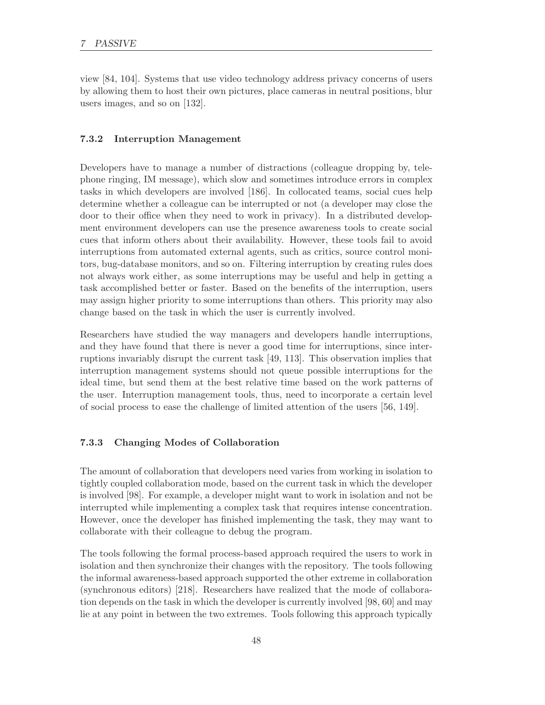view [84, 104]. Systems that use video technology address privacy concerns of users by allowing them to host their own pictures, place cameras in neutral positions, blur users images, and so on [132].

#### 7.3.2 Interruption Management

Developers have to manage a number of distractions (colleague dropping by, telephone ringing, IM message), which slow and sometimes introduce errors in complex tasks in which developers are involved [186]. In collocated teams, social cues help determine whether a colleague can be interrupted or not (a developer may close the door to their office when they need to work in privacy). In a distributed development environment developers can use the presence awareness tools to create social cues that inform others about their availability. However, these tools fail to avoid interruptions from automated external agents, such as critics, source control monitors, bug-database monitors, and so on. Filtering interruption by creating rules does not always work either, as some interruptions may be useful and help in getting a task accomplished better or faster. Based on the benefits of the interruption, users may assign higher priority to some interruptions than others. This priority may also change based on the task in which the user is currently involved.

Researchers have studied the way managers and developers handle interruptions, and they have found that there is never a good time for interruptions, since interruptions invariably disrupt the current task [49, 113]. This observation implies that interruption management systems should not queue possible interruptions for the ideal time, but send them at the best relative time based on the work patterns of the user. Interruption management tools, thus, need to incorporate a certain level of social process to ease the challenge of limited attention of the users [56, 149].

### 7.3.3 Changing Modes of Collaboration

The amount of collaboration that developers need varies from working in isolation to tightly coupled collaboration mode, based on the current task in which the developer is involved [98]. For example, a developer might want to work in isolation and not be interrupted while implementing a complex task that requires intense concentration. However, once the developer has finished implementing the task, they may want to collaborate with their colleague to debug the program.

The tools following the formal process-based approach required the users to work in isolation and then synchronize their changes with the repository. The tools following the informal awareness-based approach supported the other extreme in collaboration (synchronous editors) [218]. Researchers have realized that the mode of collaboration depends on the task in which the developer is currently involved [98, 60] and may lie at any point in between the two extremes. Tools following this approach typically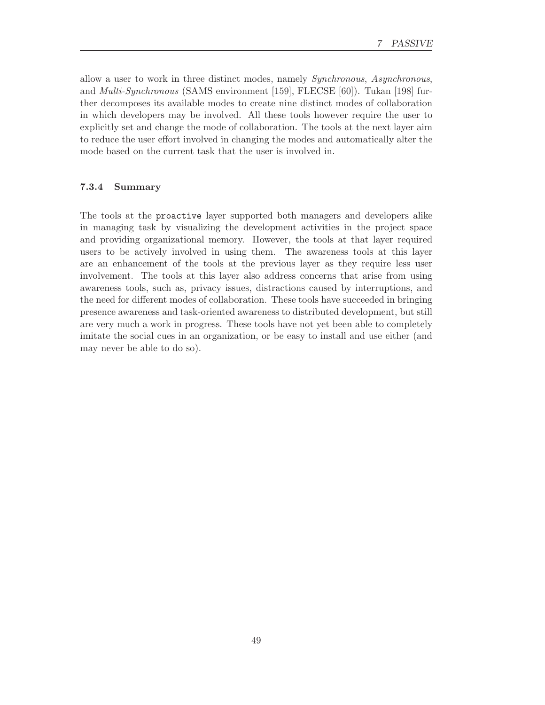allow a user to work in three distinct modes, namely Synchronous, Asynchronous, and Multi-Synchronous (SAMS environment [159], FLECSE [60]). Tukan [198] further decomposes its available modes to create nine distinct modes of collaboration in which developers may be involved. All these tools however require the user to explicitly set and change the mode of collaboration. The tools at the next layer aim to reduce the user effort involved in changing the modes and automatically alter the mode based on the current task that the user is involved in.

### 7.3.4 Summary

The tools at the proactive layer supported both managers and developers alike in managing task by visualizing the development activities in the project space and providing organizational memory. However, the tools at that layer required users to be actively involved in using them. The awareness tools at this layer are an enhancement of the tools at the previous layer as they require less user involvement. The tools at this layer also address concerns that arise from using awareness tools, such as, privacy issues, distractions caused by interruptions, and the need for different modes of collaboration. These tools have succeeded in bringing presence awareness and task-oriented awareness to distributed development, but still are very much a work in progress. These tools have not yet been able to completely imitate the social cues in an organization, or be easy to install and use either (and may never be able to do so).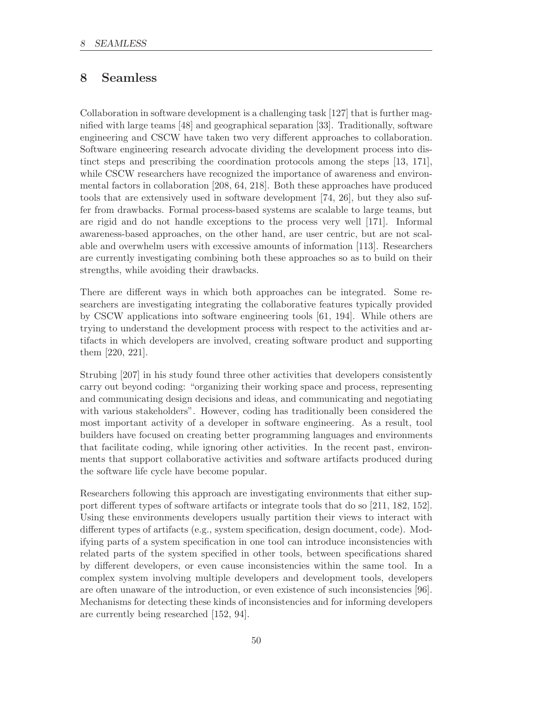# 8 Seamless

Collaboration in software development is a challenging task [127] that is further magnified with large teams [48] and geographical separation [33]. Traditionally, software engineering and CSCW have taken two very different approaches to collaboration. Software engineering research advocate dividing the development process into distinct steps and prescribing the coordination protocols among the steps [13, 171], while CSCW researchers have recognized the importance of awareness and environmental factors in collaboration [208, 64, 218]. Both these approaches have produced tools that are extensively used in software development [74, 26], but they also suffer from drawbacks. Formal process-based systems are scalable to large teams, but are rigid and do not handle exceptions to the process very well [171]. Informal awareness-based approaches, on the other hand, are user centric, but are not scalable and overwhelm users with excessive amounts of information [113]. Researchers are currently investigating combining both these approaches so as to build on their strengths, while avoiding their drawbacks.

There are different ways in which both approaches can be integrated. Some researchers are investigating integrating the collaborative features typically provided by CSCW applications into software engineering tools [61, 194]. While others are trying to understand the development process with respect to the activities and artifacts in which developers are involved, creating software product and supporting them [220, 221].

Strubing [207] in his study found three other activities that developers consistently carry out beyond coding: "organizing their working space and process, representing and communicating design decisions and ideas, and communicating and negotiating with various stakeholders". However, coding has traditionally been considered the most important activity of a developer in software engineering. As a result, tool builders have focused on creating better programming languages and environments that facilitate coding, while ignoring other activities. In the recent past, environments that support collaborative activities and software artifacts produced during the software life cycle have become popular.

Researchers following this approach are investigating environments that either support different types of software artifacts or integrate tools that do so [211, 182, 152]. Using these environments developers usually partition their views to interact with different types of artifacts (e.g., system specification, design document, code). Modifying parts of a system specification in one tool can introduce inconsistencies with related parts of the system specified in other tools, between specifications shared by different developers, or even cause inconsistencies within the same tool. In a complex system involving multiple developers and development tools, developers are often unaware of the introduction, or even existence of such inconsistencies [96]. Mechanisms for detecting these kinds of inconsistencies and for informing developers are currently being researched [152, 94].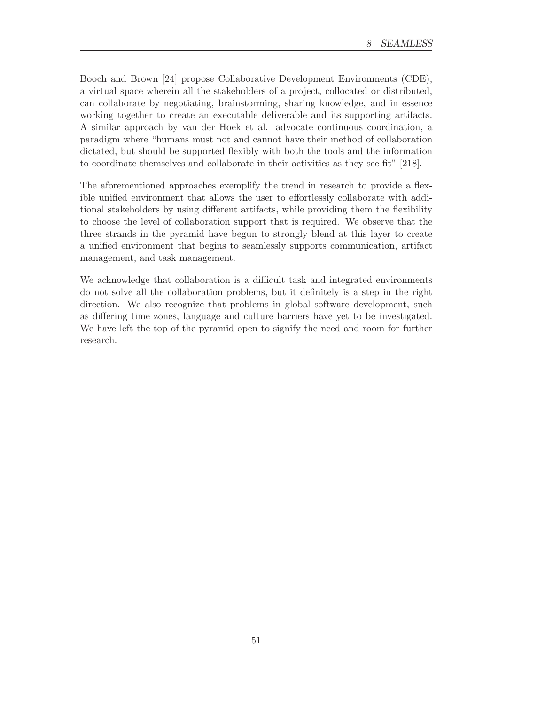Booch and Brown [24] propose Collaborative Development Environments (CDE), a virtual space wherein all the stakeholders of a project, collocated or distributed, can collaborate by negotiating, brainstorming, sharing knowledge, and in essence working together to create an executable deliverable and its supporting artifacts. A similar approach by van der Hoek et al. advocate continuous coordination, a paradigm where "humans must not and cannot have their method of collaboration dictated, but should be supported flexibly with both the tools and the information to coordinate themselves and collaborate in their activities as they see fit" [218].

The aforementioned approaches exemplify the trend in research to provide a flexible unified environment that allows the user to effortlessly collaborate with additional stakeholders by using different artifacts, while providing them the flexibility to choose the level of collaboration support that is required. We observe that the three strands in the pyramid have begun to strongly blend at this layer to create a unified environment that begins to seamlessly supports communication, artifact management, and task management.

We acknowledge that collaboration is a difficult task and integrated environments do not solve all the collaboration problems, but it definitely is a step in the right direction. We also recognize that problems in global software development, such as differing time zones, language and culture barriers have yet to be investigated. We have left the top of the pyramid open to signify the need and room for further research.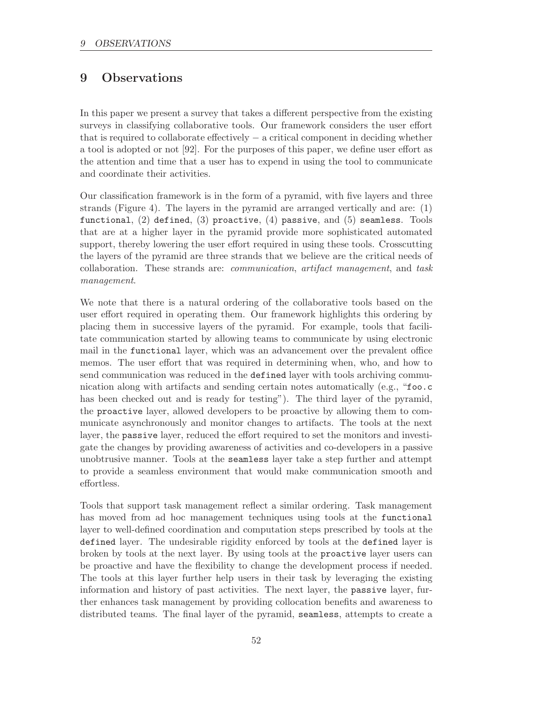# 9 Observations

In this paper we present a survey that takes a different perspective from the existing surveys in classifying collaborative tools. Our framework considers the user effort that is required to collaborate effectively − a critical component in deciding whether a tool is adopted or not [92]. For the purposes of this paper, we define user effort as the attention and time that a user has to expend in using the tool to communicate and coordinate their activities.

Our classification framework is in the form of a pyramid, with five layers and three strands (Figure 4). The layers in the pyramid are arranged vertically and are: (1) functional,  $(2)$  defined,  $(3)$  proactive,  $(4)$  passive, and  $(5)$  seamless. Tools that are at a higher layer in the pyramid provide more sophisticated automated support, thereby lowering the user effort required in using these tools. Crosscutting the layers of the pyramid are three strands that we believe are the critical needs of collaboration. These strands are: communication, artifact management, and task management.

We note that there is a natural ordering of the collaborative tools based on the user effort required in operating them. Our framework highlights this ordering by placing them in successive layers of the pyramid. For example, tools that facilitate communication started by allowing teams to communicate by using electronic mail in the functional layer, which was an advancement over the prevalent office memos. The user effort that was required in determining when, who, and how to send communication was reduced in the defined layer with tools archiving communication along with artifacts and sending certain notes automatically (e.g., "foo.c has been checked out and is ready for testing"). The third layer of the pyramid, the proactive layer, allowed developers to be proactive by allowing them to communicate asynchronously and monitor changes to artifacts. The tools at the next layer, the passive layer, reduced the effort required to set the monitors and investigate the changes by providing awareness of activities and co-developers in a passive unobtrusive manner. Tools at the seamless layer take a step further and attempt to provide a seamless environment that would make communication smooth and effortless.

Tools that support task management reflect a similar ordering. Task management has moved from ad hoc management techniques using tools at the functional layer to well-defined coordination and computation steps prescribed by tools at the defined layer. The undesirable rigidity enforced by tools at the defined layer is broken by tools at the next layer. By using tools at the proactive layer users can be proactive and have the flexibility to change the development process if needed. The tools at this layer further help users in their task by leveraging the existing information and history of past activities. The next layer, the passive layer, further enhances task management by providing collocation benefits and awareness to distributed teams. The final layer of the pyramid, seamless, attempts to create a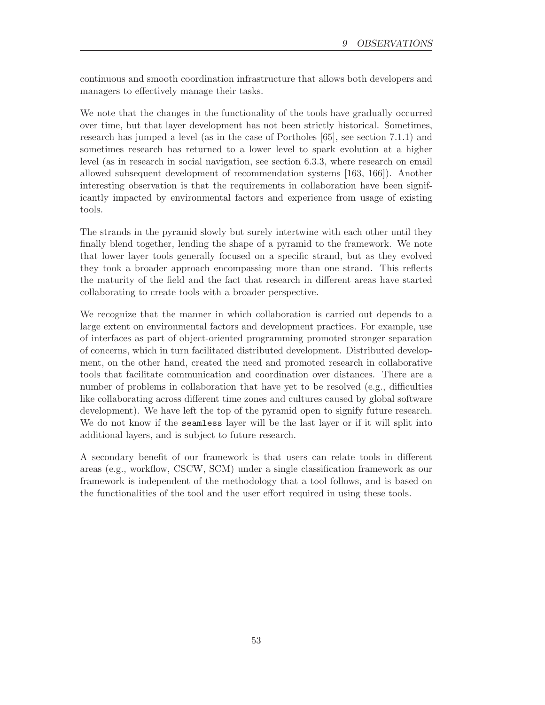continuous and smooth coordination infrastructure that allows both developers and managers to effectively manage their tasks.

We note that the changes in the functionality of the tools have gradually occurred over time, but that layer development has not been strictly historical. Sometimes, research has jumped a level (as in the case of Portholes [65], see section 7.1.1) and sometimes research has returned to a lower level to spark evolution at a higher level (as in research in social navigation, see section 6.3.3, where research on email allowed subsequent development of recommendation systems [163, 166]). Another interesting observation is that the requirements in collaboration have been significantly impacted by environmental factors and experience from usage of existing tools.

The strands in the pyramid slowly but surely intertwine with each other until they finally blend together, lending the shape of a pyramid to the framework. We note that lower layer tools generally focused on a specific strand, but as they evolved they took a broader approach encompassing more than one strand. This reflects the maturity of the field and the fact that research in different areas have started collaborating to create tools with a broader perspective.

We recognize that the manner in which collaboration is carried out depends to a large extent on environmental factors and development practices. For example, use of interfaces as part of object-oriented programming promoted stronger separation of concerns, which in turn facilitated distributed development. Distributed development, on the other hand, created the need and promoted research in collaborative tools that facilitate communication and coordination over distances. There are a number of problems in collaboration that have yet to be resolved (e.g., difficulties like collaborating across different time zones and cultures caused by global software development). We have left the top of the pyramid open to signify future research. We do not know if the **seamless** layer will be the last layer or if it will split into additional layers, and is subject to future research.

A secondary benefit of our framework is that users can relate tools in different areas (e.g., workflow, CSCW, SCM) under a single classification framework as our framework is independent of the methodology that a tool follows, and is based on the functionalities of the tool and the user effort required in using these tools.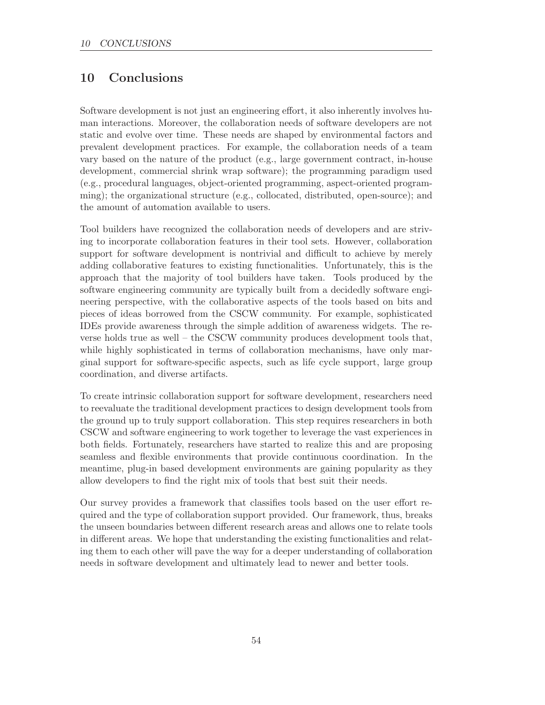# 10 Conclusions

Software development is not just an engineering effort, it also inherently involves human interactions. Moreover, the collaboration needs of software developers are not static and evolve over time. These needs are shaped by environmental factors and prevalent development practices. For example, the collaboration needs of a team vary based on the nature of the product (e.g., large government contract, in-house development, commercial shrink wrap software); the programming paradigm used (e.g., procedural languages, object-oriented programming, aspect-oriented programming); the organizational structure (e.g., collocated, distributed, open-source); and the amount of automation available to users.

Tool builders have recognized the collaboration needs of developers and are striving to incorporate collaboration features in their tool sets. However, collaboration support for software development is nontrivial and difficult to achieve by merely adding collaborative features to existing functionalities. Unfortunately, this is the approach that the majority of tool builders have taken. Tools produced by the software engineering community are typically built from a decidedly software engineering perspective, with the collaborative aspects of the tools based on bits and pieces of ideas borrowed from the CSCW community. For example, sophisticated IDEs provide awareness through the simple addition of awareness widgets. The reverse holds true as well – the CSCW community produces development tools that, while highly sophisticated in terms of collaboration mechanisms, have only marginal support for software-specific aspects, such as life cycle support, large group coordination, and diverse artifacts.

To create intrinsic collaboration support for software development, researchers need to reevaluate the traditional development practices to design development tools from the ground up to truly support collaboration. This step requires researchers in both CSCW and software engineering to work together to leverage the vast experiences in both fields. Fortunately, researchers have started to realize this and are proposing seamless and flexible environments that provide continuous coordination. In the meantime, plug-in based development environments are gaining popularity as they allow developers to find the right mix of tools that best suit their needs.

Our survey provides a framework that classifies tools based on the user effort required and the type of collaboration support provided. Our framework, thus, breaks the unseen boundaries between different research areas and allows one to relate tools in different areas. We hope that understanding the existing functionalities and relating them to each other will pave the way for a deeper understanding of collaboration needs in software development and ultimately lead to newer and better tools.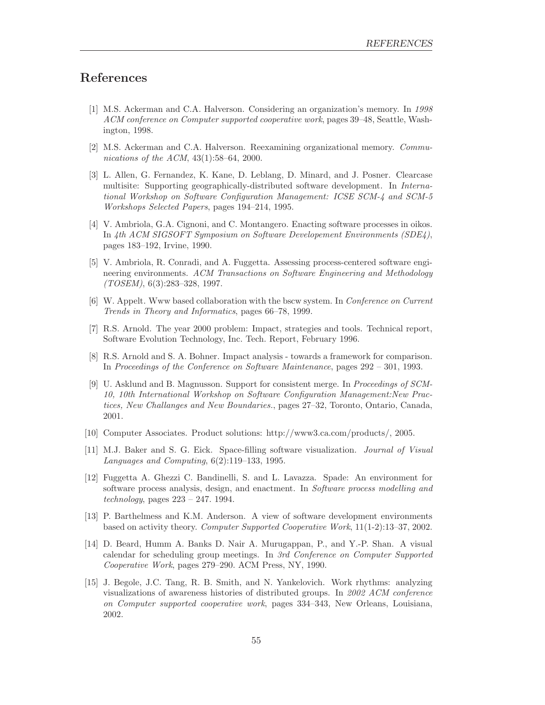# References

- [1] M.S. Ackerman and C.A. Halverson. Considering an organization's memory. In 1998 ACM conference on Computer supported cooperative work, pages 39–48, Seattle, Washington, 1998.
- [2] M.S. Ackerman and C.A. Halverson. Reexamining organizational memory. Communications of the ACM, 43(1):58–64, 2000.
- [3] L. Allen, G. Fernandez, K. Kane, D. Leblang, D. Minard, and J. Posner. Clearcase multisite: Supporting geographically-distributed software development. In International Workshop on Software Configuration Management: ICSE SCM-4 and SCM-5 Workshops Selected Papers, pages 194–214, 1995.
- [4] V. Ambriola, G.A. Cignoni, and C. Montangero. Enacting software processes in oikos. In 4th ACM SIGSOFT Symposium on Software Developement Environments (SDE4), pages 183–192, Irvine, 1990.
- [5] V. Ambriola, R. Conradi, and A. Fuggetta. Assessing process-centered software engineering environments. ACM Transactions on Software Engineering and Methodology (TOSEM), 6(3):283–328, 1997.
- [6] W. Appelt. Www based collaboration with the bscw system. In Conference on Current Trends in Theory and Informatics, pages 66–78, 1999.
- [7] R.S. Arnold. The year 2000 problem: Impact, strategies and tools. Technical report, Software Evolution Technology, Inc. Tech. Report, February 1996.
- [8] R.S. Arnold and S. A. Bohner. Impact analysis towards a framework for comparison. In Proceedings of the Conference on Software Maintenance, pages 292 – 301, 1993.
- [9] U. Asklund and B. Magnusson. Support for consistent merge. In Proceedings of SCM-10, 10th International Workshop on Software Configuration Management:New Practices, New Challanges and New Boundaries., pages 27–32, Toronto, Ontario, Canada, 2001.
- [10] Computer Associates. Product solutions: http://www3.ca.com/products/, 2005.
- [11] M.J. Baker and S. G. Eick. Space-filling software visualization. Journal of Visual Languages and Computing, 6(2):119–133, 1995.
- [12] Fuggetta A. Ghezzi C. Bandinelli, S. and L. Lavazza. Spade: An environment for software process analysis, design, and enactment. In Software process modelling and technology, pages  $223 - 247$ . 1994.
- [13] P. Barthelmess and K.M. Anderson. A view of software development environments based on activity theory. Computer Supported Cooperative Work, 11(1-2):13–37, 2002.
- [14] D. Beard, Humm A. Banks D. Nair A. Murugappan, P., and Y.-P. Shan. A visual calendar for scheduling group meetings. In 3rd Conference on Computer Supported Cooperative Work, pages 279–290. ACM Press, NY, 1990.
- [15] J. Begole, J.C. Tang, R. B. Smith, and N. Yankelovich. Work rhythms: analyzing visualizations of awareness histories of distributed groups. In 2002 ACM conference on Computer supported cooperative work, pages 334–343, New Orleans, Louisiana, 2002.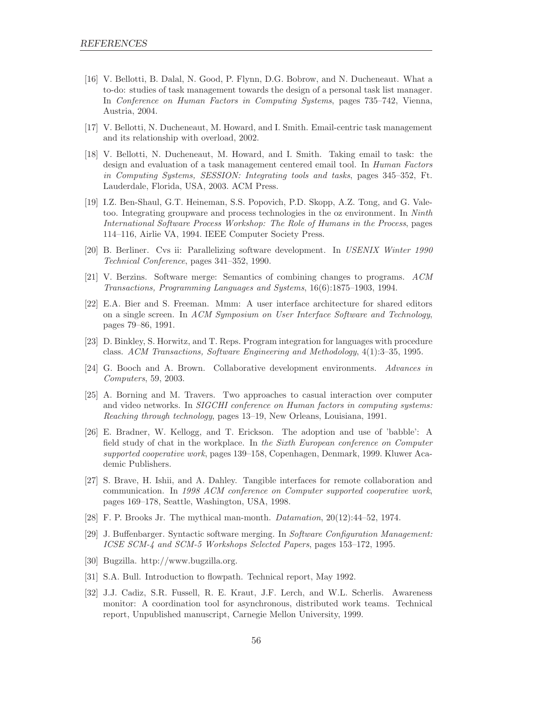- [16] V. Bellotti, B. Dalal, N. Good, P. Flynn, D.G. Bobrow, and N. Ducheneaut. What a to-do: studies of task management towards the design of a personal task list manager. In Conference on Human Factors in Computing Systems, pages 735–742, Vienna, Austria, 2004.
- [17] V. Bellotti, N. Ducheneaut, M. Howard, and I. Smith. Email-centric task management and its relationship with overload, 2002.
- [18] V. Bellotti, N. Ducheneaut, M. Howard, and I. Smith. Taking email to task: the design and evaluation of a task management centered email tool. In Human Factors in Computing Systems, SESSION: Integrating tools and tasks, pages 345–352, Ft. Lauderdale, Florida, USA, 2003. ACM Press.
- [19] I.Z. Ben-Shaul, G.T. Heineman, S.S. Popovich, P.D. Skopp, A.Z. Tong, and G. Valetoo. Integrating groupware and process technologies in the oz environment. In Ninth International Software Process Workshop: The Role of Humans in the Process, pages 114–116, Airlie VA, 1994. IEEE Computer Society Press.
- [20] B. Berliner. Cvs ii: Parallelizing software development. In USENIX Winter 1990 Technical Conference, pages 341–352, 1990.
- [21] V. Berzins. Software merge: Semantics of combining changes to programs. ACM Transactions, Programming Languages and Systems, 16(6):1875–1903, 1994.
- [22] E.A. Bier and S. Freeman. Mmm: A user interface architecture for shared editors on a single screen. In ACM Symposium on User Interface Software and Technology, pages 79–86, 1991.
- [23] D. Binkley, S. Horwitz, and T. Reps. Program integration for languages with procedure class. ACM Transactions, Software Engineering and Methodology, 4(1):3–35, 1995.
- [24] G. Booch and A. Brown. Collaborative development environments. Advances in Computers, 59, 2003.
- [25] A. Borning and M. Travers. Two approaches to casual interaction over computer and video networks. In SIGCHI conference on Human factors in computing systems: Reaching through technology, pages 13–19, New Orleans, Louisiana, 1991.
- [26] E. Bradner, W. Kellogg, and T. Erickson. The adoption and use of 'babble': A field study of chat in the workplace. In the Sixth European conference on Computer supported cooperative work, pages 139–158, Copenhagen, Denmark, 1999. Kluwer Academic Publishers.
- [27] S. Brave, H. Ishii, and A. Dahley. Tangible interfaces for remote collaboration and communication. In 1998 ACM conference on Computer supported cooperative work, pages 169–178, Seattle, Washington, USA, 1998.
- [28] F. P. Brooks Jr. The mythical man-month. Datamation, 20(12):44–52, 1974.
- [29] J. Buffenbarger. Syntactic software merging. In Software Configuration Management: ICSE SCM-4 and SCM-5 Workshops Selected Papers, pages 153–172, 1995.
- [30] Bugzilla. http://www.bugzilla.org.
- [31] S.A. Bull. Introduction to flowpath. Technical report, May 1992.
- [32] J.J. Cadiz, S.R. Fussell, R. E. Kraut, J.F. Lerch, and W.L. Scherlis. Awareness monitor: A coordination tool for asynchronous, distributed work teams. Technical report, Unpublished manuscript, Carnegie Mellon University, 1999.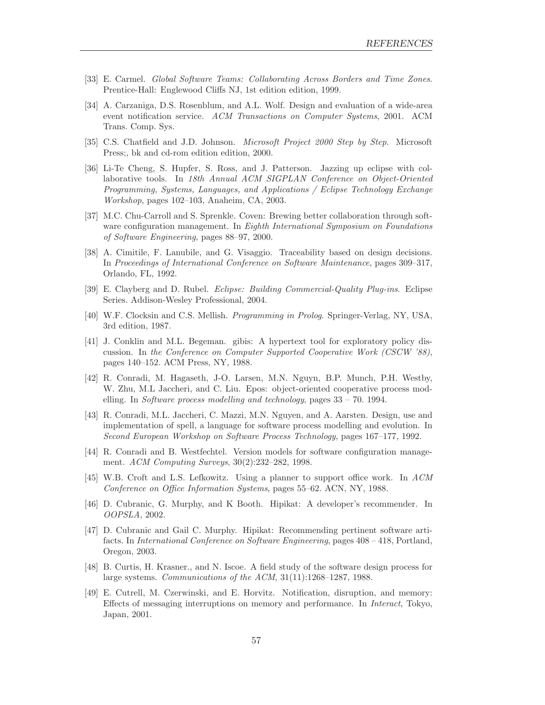- [33] E. Carmel. Global Software Teams: Collaborating Across Borders and Time Zones. Prentice-Hall: Englewood Cliffs NJ, 1st edition edition, 1999.
- [34] A. Carzaniga, D.S. Rosenblum, and A.L. Wolf. Design and evaluation of a wide-area event notification service. ACM Transactions on Computer Systems, 2001. ACM Trans. Comp. Sys.
- [35] C.S. Chatfield and J.D. Johnson. *Microsoft Project 2000 Step by Step*. Microsoft Press;, bk and cd-rom edition edition, 2000.
- [36] Li-Te Cheng, S. Hupfer, S. Ross, and J. Patterson. Jazzing up eclipse with collaborative tools. In 18th Annual ACM SIGPLAN Conference on Object-Oriented Programming, Systems, Languages, and Applications / Eclipse Technology Exchange Workshop, pages 102–103, Anaheim, CA, 2003.
- [37] M.C. Chu-Carroll and S. Sprenkle. Coven: Brewing better collaboration through software configuration management. In *Eighth International Symposium on Foundations* of Software Engineering, pages 88–97, 2000.
- [38] A. Cimitile, F. Lanubile, and G. Visaggio. Traceability based on design decisions. In Proceedings of International Conference on Software Maintenance, pages 309–317, Orlando, FL, 1992.
- [39] E. Clayberg and D. Rubel. Eclipse: Building Commercial-Quality Plug-ins. Eclipse Series. Addison-Wesley Professional, 2004.
- [40] W.F. Clocksin and C.S. Mellish. Programming in Prolog. Springer-Verlag, NY, USA, 3rd edition, 1987.
- [41] J. Conklin and M.L. Begeman. gibis: A hypertext tool for exploratory policy discussion. In the Conference on Computer Supported Cooperative Work (CSCW '88), pages 140–152. ACM Press, NY, 1988.
- [42] R. Conradi, M. Hagaseth, J-O. Larsen, M.N. Nguyn, B.P. Munch, P.H. Westby, W. Zhu, M.L Jaccheri, and C. Liu. Epos: object-oriented cooperative process modelling. In Software process modelling and technology, pages 33 – 70. 1994.
- [43] R. Conradi, M.L. Jaccheri, C. Mazzi, M.N. Nguyen, and A. Aarsten. Design, use and implementation of spell, a language for software process modelling and evolution. In Second European Workshop on Software Process Technology, pages 167–177, 1992.
- [44] R. Conradi and B. Westfechtel. Version models for software configuration management. ACM Computing Surveys, 30(2):232–282, 1998.
- [45] W.B. Croft and L.S. Lefkowitz. Using a planner to support office work. In ACM Conference on Office Information Systems, pages 55–62. ACN, NY, 1988.
- [46] D. Cubranic, G. Murphy, and K Booth. Hipikat: A developer's recommender. In OOPSLA, 2002.
- [47] D. Cubranic and Gail C. Murphy. Hipikat: Recommending pertinent software artifacts. In International Conference on Software Engineering, pages 408 – 418, Portland, Oregon, 2003.
- [48] B. Curtis, H. Krasner., and N. Iscoe. A field study of the software design process for large systems. Communications of the ACM, 31(11):1268–1287, 1988.
- [49] E. Cutrell, M. Czerwinski, and E. Horvitz. Notification, disruption, and memory: Effects of messaging interruptions on memory and performance. In Interact, Tokyo, Japan, 2001.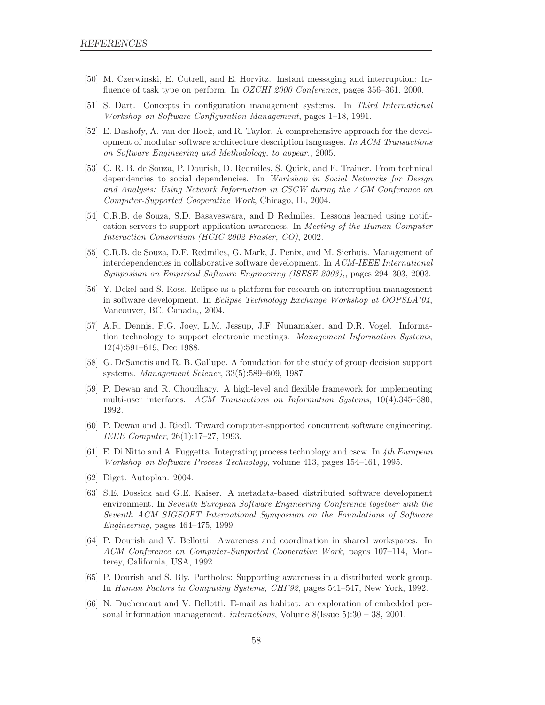- [50] M. Czerwinski, E. Cutrell, and E. Horvitz. Instant messaging and interruption: Influence of task type on perform. In OZCHI 2000 Conference, pages 356-361, 2000.
- [51] S. Dart. Concepts in configuration management systems. In Third International Workshop on Software Configuration Management, pages 1–18, 1991.
- [52] E. Dashofy, A. van der Hoek, and R. Taylor. A comprehensive approach for the development of modular software architecture description languages. In ACM Transactions on Software Engineering and Methodology, to appear., 2005.
- [53] C. R. B. de Souza, P. Dourish, D. Redmiles, S. Quirk, and E. Trainer. From technical dependencies to social dependencies. In Workshop in Social Networks for Design and Analysis: Using Network Information in CSCW during the ACM Conference on Computer-Supported Cooperative Work, Chicago, IL, 2004.
- [54] C.R.B. de Souza, S.D. Basaveswara, and D Redmiles. Lessons learned using notification servers to support application awareness. In Meeting of the Human Computer Interaction Consortium (HCIC 2002 Frasier, CO), 2002.
- [55] C.R.B. de Souza, D.F. Redmiles, G. Mark, J. Penix, and M. Sierhuis. Management of interdependencies in collaborative software development. In ACM-IEEE International Symposium on Empirical Software Engineering (ISESE 2003),, pages 294–303, 2003.
- [56] Y. Dekel and S. Ross. Eclipse as a platform for research on interruption management in software development. In Eclipse Technology Exchange Workshop at OOPSLA'04, Vancouver, BC, Canada,, 2004.
- [57] A.R. Dennis, F.G. Joey, L.M. Jessup, J.F. Nunamaker, and D.R. Vogel. Information technology to support electronic meetings. Management Information Systems, 12(4):591–619, Dec 1988.
- [58] G. DeSanctis and R. B. Gallupe. A foundation for the study of group decision support systems. Management Science, 33(5):589–609, 1987.
- [59] P. Dewan and R. Choudhary. A high-level and flexible framework for implementing multi-user interfaces. ACM Transactions on Information Systems, 10(4):345–380, 1992.
- [60] P. Dewan and J. Riedl. Toward computer-supported concurrent software engineering. IEEE Computer, 26(1):17–27, 1993.
- [61] E. Di Nitto and A. Fuggetta. Integrating process technology and cscw. In 4th European Workshop on Software Process Technology, volume 413, pages 154–161, 1995.
- [62] Diget. Autoplan. 2004.
- [63] S.E. Dossick and G.E. Kaiser. A metadata-based distributed software development environment. In Seventh European Software Engineering Conference together with the Seventh ACM SIGSOFT International Symposium on the Foundations of Software Engineering, pages 464–475, 1999.
- [64] P. Dourish and V. Bellotti. Awareness and coordination in shared workspaces. In ACM Conference on Computer-Supported Cooperative Work, pages 107–114, Monterey, California, USA, 1992.
- [65] P. Dourish and S. Bly. Portholes: Supporting awareness in a distributed work group. In Human Factors in Computing Systems, CHI'92, pages 541–547, New York, 1992.
- [66] N. Ducheneaut and V. Bellotti. E-mail as habitat: an exploration of embedded personal information management. interactions, Volume 8(Issue 5):30 – 38, 2001.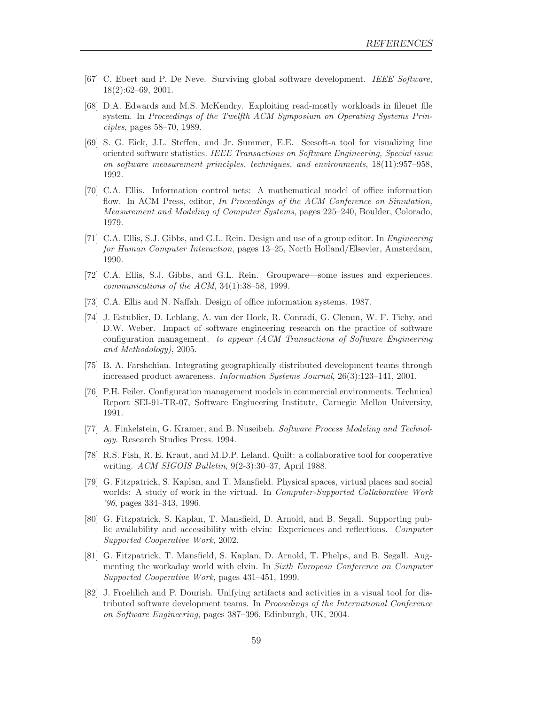- [67] C. Ebert and P. De Neve. Surviving global software development. IEEE Software, 18(2):62–69, 2001.
- [68] D.A. Edwards and M.S. McKendry. Exploiting read-mostly workloads in filenet file system. In Proceedings of the Twelfth ACM Symposium on Operating Systems Principles, pages 58–70, 1989.
- [69] S. G. Eick, J.L. Steffen, and Jr. Summer, E.E. Seesoft-a tool for visualizing line oriented software statistics. IEEE Transactions on Software Engineering, Special issue on software measurement principles, techniques, and environments, 18(11):957–958, 1992.
- [70] C.A. Ellis. Information control nets: A mathematical model of office information flow. In ACM Press, editor, In Proceedings of the ACM Conference on Simulation, Measurement and Modeling of Computer Systems, pages 225–240, Boulder, Colorado, 1979.
- [71] C.A. Ellis, S.J. Gibbs, and G.L. Rein. Design and use of a group editor. In Engineering for Human Computer Interaction, pages 13–25, North Holland/Elsevier, Amsterdam, 1990.
- [72] C.A. Ellis, S.J. Gibbs, and G.L. Rein. Groupware—some issues and experiences. communications of the ACM, 34(1):38–58, 1999.
- [73] C.A. Ellis and N. Naffah. Design of office information systems. 1987.
- [74] J. Estublier, D. Leblang, A. van der Hoek, R. Conradi, G. Clemm, W. F. Tichy, and D.W. Weber. Impact of software engineering research on the practice of software configuration management. to appear (ACM Transactions of Software Engineering and Methodology), 2005.
- [75] B. A. Farshchian. Integrating geographically distributed development teams through increased product awareness. Information Systems Journal, 26(3):123–141, 2001.
- [76] P.H. Feiler. Configuration management models in commercial environments. Technical Report SEI-91-TR-07, Software Engineering Institute, Carnegie Mellon University, 1991.
- [77] A. Finkelstein, G. Kramer, and B. Nuseibeh. Software Process Modeling and Technology. Research Studies Press. 1994.
- [78] R.S. Fish, R. E. Kraut, and M.D.P. Leland. Quilt: a collaborative tool for cooperative writing. ACM SIGOIS Bulletin, 9(2-3):30–37, April 1988.
- [79] G. Fitzpatrick, S. Kaplan, and T. Mansfield. Physical spaces, virtual places and social worlds: A study of work in the virtual. In *Computer-Supported Collaborative Work* '96, pages 334–343, 1996.
- [80] G. Fitzpatrick, S. Kaplan, T. Mansfield, D. Arnold, and B. Segall. Supporting public availability and accessibility with elvin: Experiences and reflections. Computer Supported Cooperative Work, 2002.
- [81] G. Fitzpatrick, T. Mansfield, S. Kaplan, D. Arnold, T. Phelps, and B. Segall. Augmenting the workaday world with elvin. In Sixth European Conference on Computer Supported Cooperative Work, pages 431–451, 1999.
- [82] J. Froehlich and P. Dourish. Unifying artifacts and activities in a visual tool for distributed software development teams. In Proceedings of the International Conference on Software Engineering, pages 387–396, Edinburgh, UK, 2004.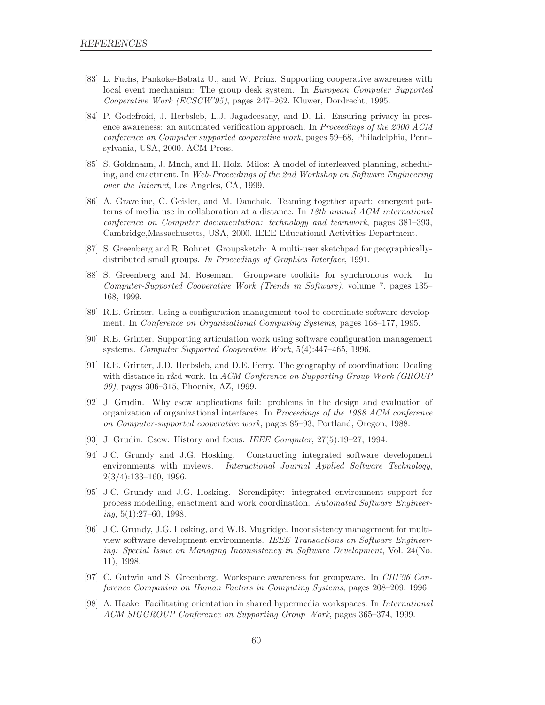- [83] L. Fuchs, Pankoke-Babatz U., and W. Prinz. Supporting cooperative awareness with local event mechanism: The group desk system. In European Computer Supported Cooperative Work (ECSCW'95), pages 247–262. Kluwer, Dordrecht, 1995.
- [84] P. Godefroid, J. Herbsleb, L.J. Jagadeesany, and D. Li. Ensuring privacy in presence awareness: an automated verification approach. In Proceedings of the 2000 ACM conference on Computer supported cooperative work, pages 59–68, Philadelphia, Pennsylvania, USA, 2000. ACM Press.
- [85] S. Goldmann, J. Mnch, and H. Holz. Milos: A model of interleaved planning, scheduling, and enactment. In Web-Proceedings of the 2nd Workshop on Software Engineering over the Internet, Los Angeles, CA, 1999.
- [86] A. Graveline, C. Geisler, and M. Danchak. Teaming together apart: emergent patterns of media use in collaboration at a distance. In 18th annual ACM international conference on Computer documentation: technology and teamwork, pages 381–393, Cambridge,Massachusetts, USA, 2000. IEEE Educational Activities Department.
- [87] S. Greenberg and R. Bohnet. Groupsketch: A multi-user sketchpad for geographicallydistributed small groups. In Proceedings of Graphics Interface, 1991.
- [88] S. Greenberg and M. Roseman. Groupware toolkits for synchronous work. In Computer-Supported Cooperative Work (Trends in Software), volume 7, pages 135– 168, 1999.
- [89] R.E. Grinter. Using a configuration management tool to coordinate software development. In Conference on Organizational Computing Systems, pages 168–177, 1995.
- [90] R.E. Grinter. Supporting articulation work using software configuration management systems. Computer Supported Cooperative Work, 5(4):447–465, 1996.
- [91] R.E. Grinter, J.D. Herbsleb, and D.E. Perry. The geography of coordination: Dealing with distance in r&d work. In ACM Conference on Supporting Group Work (GROUP 99), pages 306–315, Phoenix, AZ, 1999.
- [92] J. Grudin. Why cscw applications fail: problems in the design and evaluation of organization of organizational interfaces. In Proceedings of the 1988 ACM conference on Computer-supported cooperative work, pages 85–93, Portland, Oregon, 1988.
- [93] J. Grudin. Cscw: History and focus. IEEE Computer, 27(5):19–27, 1994.
- [94] J.C. Grundy and J.G. Hosking. Constructing integrated software development environments with mviews. Interactional Journal Applied Software Technology, 2(3/4):133–160, 1996.
- [95] J.C. Grundy and J.G. Hosking. Serendipity: integrated environment support for process modelling, enactment and work coordination. Automated Software Engineer $ing, 5(1):27–60, 1998.$
- [96] J.C. Grundy, J.G. Hosking, and W.B. Mugridge. Inconsistency management for multiview software development environments. IEEE Transactions on Software Engineering: Special Issue on Managing Inconsistency in Software Development, Vol. 24(No. 11), 1998.
- [97] C. Gutwin and S. Greenberg. Workspace awareness for groupware. In CHI'96 Conference Companion on Human Factors in Computing Systems, pages 208–209, 1996.
- [98] A. Haake. Facilitating orientation in shared hypermedia workspaces. In International ACM SIGGROUP Conference on Supporting Group Work, pages 365–374, 1999.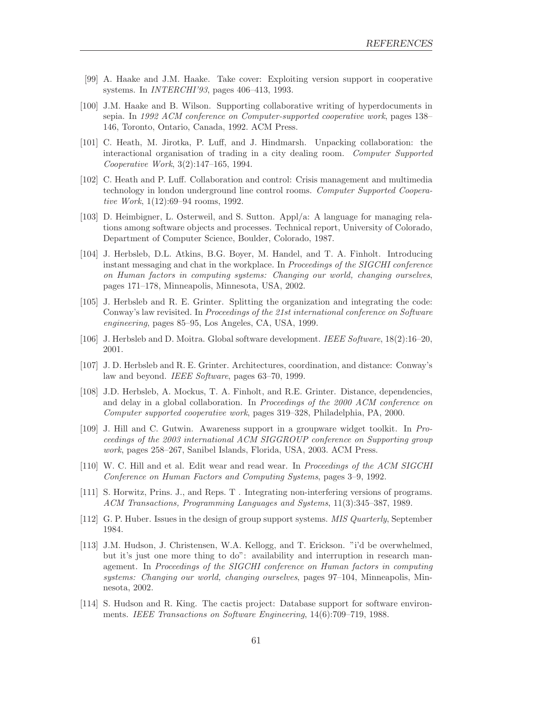- [99] A. Haake and J.M. Haake. Take cover: Exploiting version support in cooperative systems. In INTERCHI'93, pages 406–413, 1993.
- [100] J.M. Haake and B. Wilson. Supporting collaborative writing of hyperdocuments in sepia. In 1992 ACM conference on Computer-supported cooperative work, pages 138– 146, Toronto, Ontario, Canada, 1992. ACM Press.
- [101] C. Heath, M. Jirotka, P. Luff, and J. Hindmarsh. Unpacking collaboration: the interactional organisation of trading in a city dealing room. Computer Supported Cooperative Work, 3(2):147–165, 1994.
- [102] C. Heath and P. Luff. Collaboration and control: Crisis management and multimedia technology in london underground line control rooms. Computer Supported Cooperative Work, 1(12):69–94 rooms, 1992.
- [103] D. Heimbigner, L. Osterweil, and S. Sutton. Appl/a: A language for managing relations among software objects and processes. Technical report, University of Colorado, Department of Computer Science, Boulder, Colorado, 1987.
- [104] J. Herbsleb, D.L. Atkins, B.G. Boyer, M. Handel, and T. A. Finholt. Introducing instant messaging and chat in the workplace. In Proceedings of the SIGCHI conference on Human factors in computing systems: Changing our world, changing ourselves, pages 171–178, Minneapolis, Minnesota, USA, 2002.
- [105] J. Herbsleb and R. E. Grinter. Splitting the organization and integrating the code: Conway's law revisited. In Proceedings of the 21st international conference on Software engineering, pages 85–95, Los Angeles, CA, USA, 1999.
- [106] J. Herbsleb and D. Moitra. Global software development. IEEE Software, 18(2):16–20, 2001.
- [107] J. D. Herbsleb and R. E. Grinter. Architectures, coordination, and distance: Conway's law and beyond. IEEE Software, pages 63–70, 1999.
- [108] J.D. Herbsleb, A. Mockus, T. A. Finholt, and R.E. Grinter. Distance, dependencies, and delay in a global collaboration. In *Proceedings of the 2000 ACM conference on* Computer supported cooperative work, pages 319–328, Philadelphia, PA, 2000.
- [109] J. Hill and C. Gutwin. Awareness support in a groupware widget toolkit. In Proceedings of the 2003 international ACM SIGGROUP conference on Supporting group work, pages 258–267, Sanibel Islands, Florida, USA, 2003. ACM Press.
- [110] W. C. Hill and et al. Edit wear and read wear. In Proceedings of the ACM SIGCHI Conference on Human Factors and Computing Systems, pages 3–9, 1992.
- [111] S. Horwitz, Prins. J., and Reps. T . Integrating non-interfering versions of programs. ACM Transactions, Programming Languages and Systems, 11(3):345–387, 1989.
- [112] G. P. Huber. Issues in the design of group support systems. MIS Quarterly, September 1984.
- [113] J.M. Hudson, J. Christensen, W.A. Kellogg, and T. Erickson. "i'd be overwhelmed, but it's just one more thing to do": availability and interruption in research management. In Proceedings of the SIGCHI conference on Human factors in computing systems: Changing our world, changing ourselves, pages 97–104, Minneapolis, Minnesota, 2002.
- [114] S. Hudson and R. King. The cactis project: Database support for software environments. IEEE Transactions on Software Engineering, 14(6):709–719, 1988.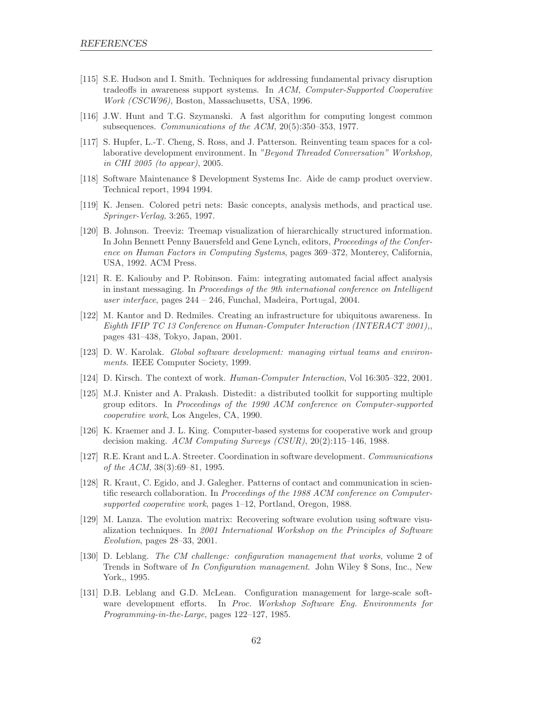- [115] S.E. Hudson and I. Smith. Techniques for addressing fundamental privacy disruption tradeoffs in awareness support systems. In ACM, Computer-Supported Cooperative Work (CSCW96), Boston, Massachusetts, USA, 1996.
- [116] J.W. Hunt and T.G. Szymanski. A fast algorithm for computing longest common subsequences. Communications of the ACM, 20(5):350–353, 1977.
- [117] S. Hupfer, L.-T. Cheng, S. Ross, and J. Patterson. Reinventing team spaces for a collaborative development environment. In "Beyond Threaded Conversation" Workshop, in CHI 2005 (to appear), 2005.
- [118] Software Maintenance \$ Development Systems Inc. Aide de camp product overview. Technical report, 1994 1994.
- [119] K. Jensen. Colored petri nets: Basic concepts, analysis methods, and practical use. Springer-Verlag, 3:265, 1997.
- [120] B. Johnson. Treeviz: Treemap visualization of hierarchically structured information. In John Bennett Penny Bauersfeld and Gene Lynch, editors, Proceedings of the Conference on Human Factors in Computing Systems, pages 369–372, Monterey, California, USA, 1992. ACM Press.
- [121] R. E. Kaliouby and P. Robinson. Faim: integrating automated facial affect analysis in instant messaging. In Proceedings of the 9th international conference on Intelligent user interface, pages 244 – 246, Funchal, Madeira, Portugal, 2004.
- [122] M. Kantor and D. Redmiles. Creating an infrastructure for ubiquitous awareness. In Eighth IFIP TC 13 Conference on Human-Computer Interaction (INTERACT 2001),, pages 431–438, Tokyo, Japan, 2001.
- [123] D. W. Karolak. Global software development: managing virtual teams and environments. IEEE Computer Society, 1999.
- [124] D. Kirsch. The context of work. Human-Computer Interaction, Vol 16:305–322, 2001.
- [125] M.J. Knister and A. Prakash. Distedit: a distributed toolkit for supporting multiple group editors. In Proceedings of the 1990 ACM conference on Computer-supported cooperative work, Los Angeles, CA, 1990.
- [126] K. Kraemer and J. L. King. Computer-based systems for cooperative work and group decision making. ACM Computing Surveys (CSUR), 20(2):115–146, 1988.
- [127] R.E. Krant and L.A. Streeter. Coordination in software development. Communications of the ACM, 38(3):69–81, 1995.
- [128] R. Kraut, C. Egido, and J. Galegher. Patterns of contact and communication in scientific research collaboration. In Proceedings of the 1988 ACM conference on Computersupported cooperative work, pages 1–12, Portland, Oregon, 1988.
- [129] M. Lanza. The evolution matrix: Recovering software evolution using software visualization techniques. In 2001 International Workshop on the Principles of Software Evolution, pages 28–33, 2001.
- [130] D. Leblang. The CM challenge: configuration management that works, volume 2 of Trends in Software of In Configuration management. John Wiley \$ Sons, Inc., New York,, 1995.
- [131] D.B. Leblang and G.D. McLean. Configuration management for large-scale software development efforts. In Proc. Workshop Software Eng. Environments for Programming-in-the-Large, pages 122–127, 1985.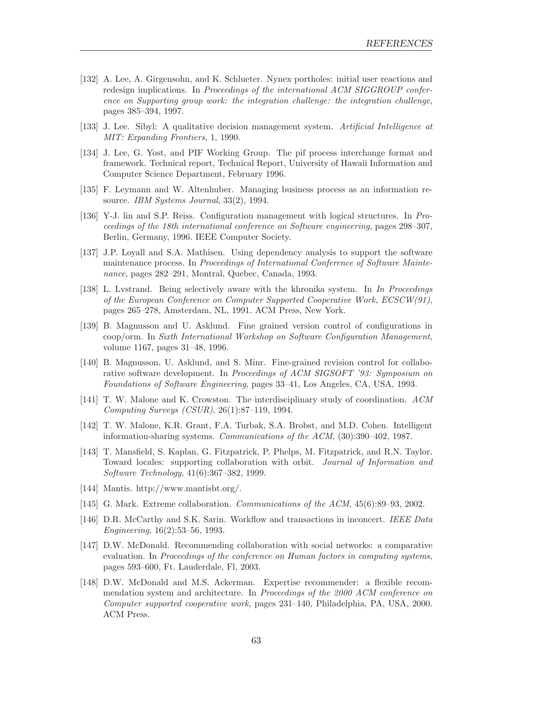- [132] A. Lee, A. Girgensohn, and K. Schlueter. Nynex portholes: initial user reactions and redesign implications. In Proceedings of the international ACM SIGGROUP conference on Supporting group work: the integration challenge: the integration challenge, pages 385–394, 1997.
- [133] J. Lee. Sibyl: A qualitative decision management system. Artificial Intelligence at MIT: Expanding Frontiers, 1, 1990.
- [134] J. Lee, G. Yost, and PIF Working Group. The pif process interchange format and framework. Technical report, Technical Report, University of Hawaii Information and Computer Science Department, February 1996.
- [135] F. Leymann and W. Altenhuber. Managing business process as an information resource. IBM Systems Journal, 33(2), 1994.
- [136] Y-J. lin and S.P. Reiss. Configuration management with logical structures. In Proceedings of the 18th international conference on Software engineering, pages 298–307, Berlin, Germany, 1996. IEEE Computer Society.
- [137] J.P. Loyall and S.A. Mathisen. Using dependency analysis to support the software maintenance process. In Proceedings of International Conference of Software Maintenance, pages 282–291, Montral, Quebec, Canada, 1993.
- [138] L. Lvstrand. Being selectively aware with the khronika system. In In Proceedings of the European Conference on Computer Supported Cooperative Work, ECSCW(91), pages 265–278, Amsterdam, NL, 1991. ACM Press, New York.
- [139] B. Magnusson and U. Asklund. Fine grained version control of configurations in coop/orm. In Sixth International Workshop on Software Configuration Management, volume 1167, pages 31–48, 1996.
- [140] B. Magnusson, U. Asklund, and S. Minr. Fine-grained revision control for collaborative software development. In Proceedings of ACM SIGSOFT '93: Symposium on Foundations of Software Engineering, pages 33–41, Los Angeles, CA, USA, 1993.
- [141] T. W. Malone and K. Crowston. The interdisciplinary study of coordination. ACM Computing Surveys (CSUR), 26(1):87–119, 1994.
- [142] T. W. Malone, K.R. Grant, F.A. Turbak, S.A. Brobst, and M.D. Cohen. Intelligent information-sharing systems. Communications of the ACM, (30):390–402, 1987.
- [143] T. Mansfield, S. Kaplan, G. Fitzpatrick, P. Phelps, M. Fitzpatrick, and R.N. Taylor. Toward locales: supporting collaboration with orbit. Journal of Information and Software Technology, 41(6):367–382, 1999.
- [144] Mantis. http://www.mantisbt.org/.
- [145] G. Mark. Extreme collaboration. Communications of the ACM, 45(6):89–93, 2002.
- [146] D.R. McCarthy and S.K. Sarin. Workflow and transactions in inconcert. IEEE Data Engineering, 16(2):53–56, 1993.
- [147] D.W. McDonald. Recommending collaboration with social networks: a comparative evaluation. In Proceedings of the conference on Human factors in computing systems, pages 593–600, Ft. Lauderdale, Fl, 2003.
- [148] D.W. McDonald and M.S. Ackerman. Expertise recommender: a flexible recommendation system and architecture. In *Proceedings of the 2000 ACM conference on* Computer supported cooperative work, pages 231–140, Philadelphia, PA, USA, 2000. ACM Press.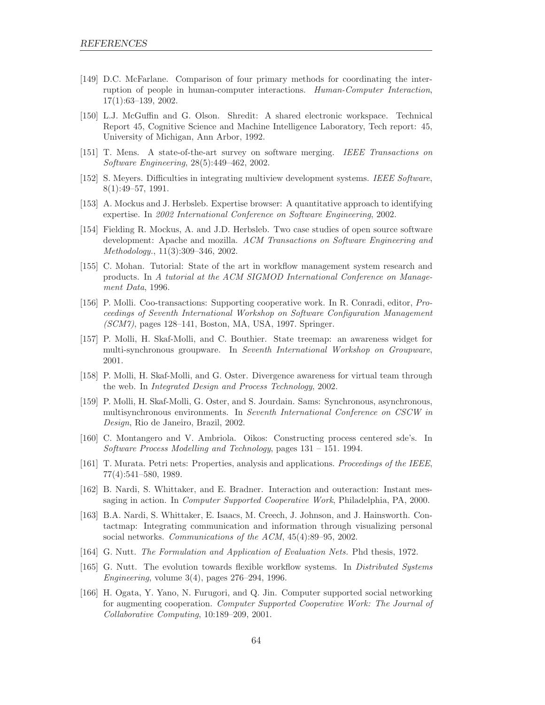- [149] D.C. McFarlane. Comparison of four primary methods for coordinating the interruption of people in human-computer interactions. Human-Computer Interaction, 17(1):63–139, 2002.
- [150] L.J. McGuffin and G. Olson. Shredit: A shared electronic workspace. Technical Report 45, Cognitive Science and Machine Intelligence Laboratory, Tech report: 45, University of Michigan, Ann Arbor, 1992.
- [151] T. Mens. A state-of-the-art survey on software merging. IEEE Transactions on Software Engineering, 28(5):449–462, 2002.
- [152] S. Meyers. Difficulties in integrating multiview development systems. IEEE Software, 8(1):49–57, 1991.
- [153] A. Mockus and J. Herbsleb. Expertise browser: A quantitative approach to identifying expertise. In 2002 International Conference on Software Engineering, 2002.
- [154] Fielding R. Mockus, A. and J.D. Herbsleb. Two case studies of open source software development: Apache and mozilla. ACM Transactions on Software Engineering and Methodology., 11(3):309–346, 2002.
- [155] C. Mohan. Tutorial: State of the art in workflow management system research and products. In A tutorial at the ACM SIGMOD International Conference on Management Data, 1996.
- [156] P. Molli. Coo-transactions: Supporting cooperative work. In R. Conradi, editor, Proceedings of Seventh International Workshop on Software Configuration Management (SCM7), pages 128–141, Boston, MA, USA, 1997. Springer.
- [157] P. Molli, H. Skaf-Molli, and C. Bouthier. State treemap: an awareness widget for multi-synchronous groupware. In Seventh International Workshop on Groupware, 2001.
- [158] P. Molli, H. Skaf-Molli, and G. Oster. Divergence awareness for virtual team through the web. In Integrated Design and Process Technology, 2002.
- [159] P. Molli, H. Skaf-Molli, G. Oster, and S. Jourdain. Sams: Synchronous, asynchronous, multisynchronous environments. In Seventh International Conference on CSCW in Design, Rio de Janeiro, Brazil, 2002.
- [160] C. Montangero and V. Ambriola. Oikos: Constructing process centered sde's. In Software Process Modelling and Technology, pages 131 – 151. 1994.
- [161] T. Murata. Petri nets: Properties, analysis and applications. Proceedings of the IEEE, 77(4):541–580, 1989.
- [162] B. Nardi, S. Whittaker, and E. Bradner. Interaction and outeraction: Instant messaging in action. In Computer Supported Cooperative Work, Philadelphia, PA, 2000.
- [163] B.A. Nardi, S. Whittaker, E. Isaacs, M. Creech, J. Johnson, and J. Hainsworth. Contactmap: Integrating communication and information through visualizing personal social networks. Communications of the ACM, 45(4):89–95, 2002.
- [164] G. Nutt. The Formulation and Application of Evaluation Nets. Phd thesis, 1972.
- [165] G. Nutt. The evolution towards flexible workflow systems. In *Distributed Systems* Engineering, volume 3(4), pages 276–294, 1996.
- [166] H. Ogata, Y. Yano, N. Furugori, and Q. Jin. Computer supported social networking for augmenting cooperation. Computer Supported Cooperative Work: The Journal of Collaborative Computing, 10:189–209, 2001.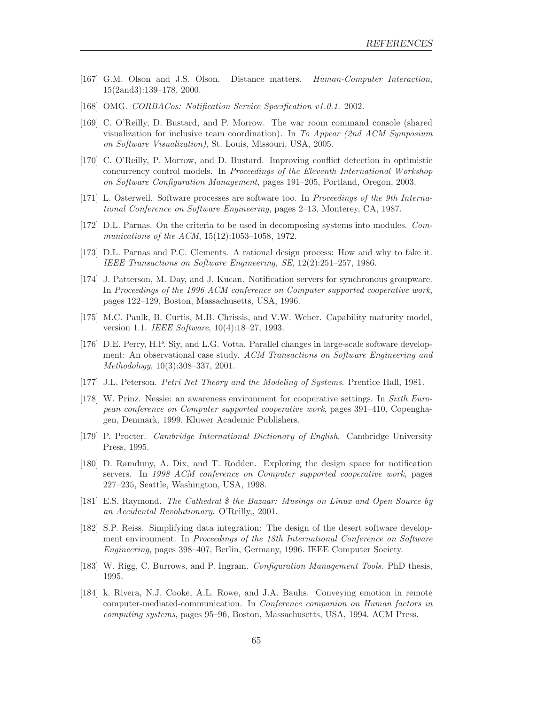- [167] G.M. Olson and J.S. Olson. Distance matters. Human-Computer Interaction, 15(2and3):139–178, 2000.
- [168] OMG. CORBACos: Notification Service Specification v1.0.1. 2002.
- [169] C. O'Reilly, D. Bustard, and P. Morrow. The war room command console (shared visualization for inclusive team coordination). In To Appear (2nd ACM Symposium on Software Visualization), St. Louis, Missouri, USA, 2005.
- [170] C. O'Reilly, P. Morrow, and D. Bustard. Improving conflict detection in optimistic concurrency control models. In Proceedings of the Eleventh International Workshop on Software Configuration Management, pages 191–205, Portland, Oregon, 2003.
- [171] L. Osterweil. Software processes are software too. In Proceedings of the 9th International Conference on Software Engineering, pages 2–13, Monterey, CA, 1987.
- [172] D.L. Parnas. On the criteria to be used in decomposing systems into modules. Communications of the ACM, 15(12):1053-1058, 1972.
- [173] D.L. Parnas and P.C. Clements. A rational design process: How and why to fake it. IEEE Transactions on Software Engineering, SE, 12(2):251–257, 1986.
- [174] J. Patterson, M. Day, and J. Kucan. Notification servers for synchronous groupware. In Proceedings of the 1996 ACM conference on Computer supported cooperative work, pages 122–129, Boston, Massachusetts, USA, 1996.
- [175] M.C. Paulk, B. Curtis, M.B. Chrissis, and V.W. Weber. Capability maturity model, version 1.1. IEEE Software, 10(4):18–27, 1993.
- [176] D.E. Perry, H.P. Siy, and L.G. Votta. Parallel changes in large-scale software development: An observational case study. ACM Transactions on Software Engineering and Methodology, 10(3):308–337, 2001.
- [177] J.L. Peterson. Petri Net Theory and the Modeling of Systems. Prentice Hall, 1981.
- [178] W. Prinz. Nessie: an awareness environment for cooperative settings. In Sixth European conference on Computer supported cooperative work, pages 391–410, Copenghagen, Denmark, 1999. Kluwer Academic Publishers.
- [179] P. Procter. Cambridge International Dictionary of English. Cambridge University Press, 1995.
- [180] D. Ramduny, A. Dix, and T. Rodden. Exploring the design space for notification servers. In 1998 ACM conference on Computer supported cooperative work, pages 227–235, Seattle, Washington, USA, 1998.
- [181] E.S. Raymond. The Cathedral \$ the Bazaar: Musings on Linux and Open Source by an Accidental Revolutionary. O'Reilly,, 2001.
- [182] S.P. Reiss. Simplifying data integration: The design of the desert software development environment. In Proceedings of the 18th International Conference on Software Engineering, pages 398–407, Berlin, Germany, 1996. IEEE Computer Society.
- [183] W. Rigg, C. Burrows, and P. Ingram. Configuration Management Tools. PhD thesis, 1995.
- [184] k. Rivera, N.J. Cooke, A.L. Rowe, and J.A. Bauhs. Conveying emotion in remote computer-mediated-communication. In Conference companion on Human factors in computing systems, pages 95–96, Boston, Massachusetts, USA, 1994. ACM Press.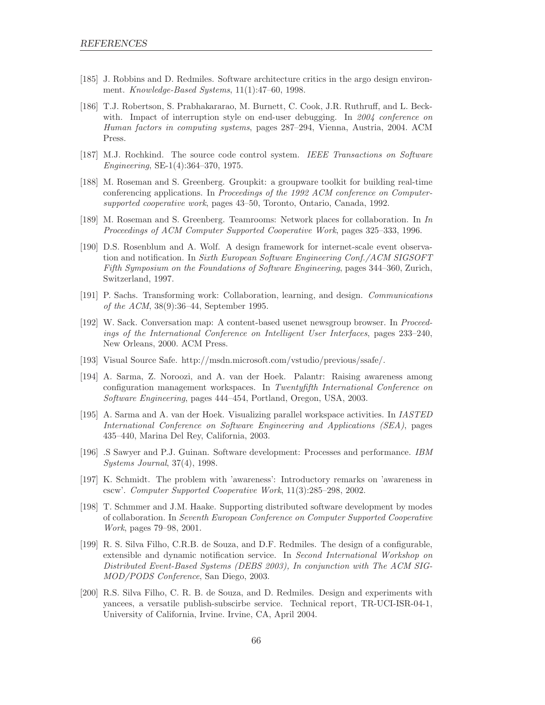- [185] J. Robbins and D. Redmiles. Software architecture critics in the argo design environment. Knowledge-Based Systems, 11(1):47–60, 1998.
- [186] T.J. Robertson, S. Prabhakararao, M. Burnett, C. Cook, J.R. Ruthruff, and L. Beckwith. Impact of interruption style on end-user debugging. In 2004 conference on Human factors in computing systems, pages 287–294, Vienna, Austria, 2004. ACM Press.
- [187] M.J. Rochkind. The source code control system. IEEE Transactions on Software Engineering, SE-1(4):364–370, 1975.
- [188] M. Roseman and S. Greenberg. Groupkit: a groupware toolkit for building real-time conferencing applications. In Proceedings of the 1992 ACM conference on Computersupported cooperative work, pages 43–50, Toronto, Ontario, Canada, 1992.
- [189] M. Roseman and S. Greenberg. Teamrooms: Network places for collaboration. In In Proceedings of ACM Computer Supported Cooperative Work, pages 325–333, 1996.
- [190] D.S. Rosenblum and A. Wolf. A design framework for internet-scale event observation and notification. In Sixth European Software Engineering Conf./ACM SIGSOFT Fifth Symposium on the Foundations of Software Engineering, pages 344–360, Zurich, Switzerland, 1997.
- [191] P. Sachs. Transforming work: Collaboration, learning, and design. Communications of the ACM, 38(9):36–44, September 1995.
- [192] W. Sack. Conversation map: A content-based usenet newsgroup browser. In Proceedings of the International Conference on Intelligent User Interfaces, pages 233–240, New Orleans, 2000. ACM Press.
- [193] Visual Source Safe. http://msdn.microsoft.com/vstudio/previous/ssafe/.
- [194] A. Sarma, Z. Noroozi, and A. van der Hoek. Palantr: Raising awareness among configuration management workspaces. In Twentyfifth International Conference on Software Engineering, pages 444–454, Portland, Oregon, USA, 2003.
- [195] A. Sarma and A. van der Hoek. Visualizing parallel workspace activities. In IASTED International Conference on Software Engineering and Applications (SEA), pages 435–440, Marina Del Rey, California, 2003.
- [196] .S Sawyer and P.J. Guinan. Software development: Processes and performance. IBM Systems Journal, 37(4), 1998.
- [197] K. Schmidt. The problem with 'awareness': Introductory remarks on 'awareness in cscw'. Computer Supported Cooperative Work, 11(3):285–298, 2002.
- [198] T. Schmmer and J.M. Haake. Supporting distributed software development by modes of collaboration. In Seventh European Conference on Computer Supported Cooperative Work, pages 79–98, 2001.
- [199] R. S. Silva Filho, C.R.B. de Souza, and D.F. Redmiles. The design of a configurable, extensible and dynamic notification service. In Second International Workshop on Distributed Event-Based Systems (DEBS 2003), In conjunction with The ACM SIG-MOD/PODS Conference, San Diego, 2003.
- [200] R.S. Silva Filho, C. R. B. de Souza, and D. Redmiles. Design and experiments with yancees, a versatile publish-subscirbe service. Technical report, TR-UCI-ISR-04-1, University of California, Irvine. Irvine, CA, April 2004.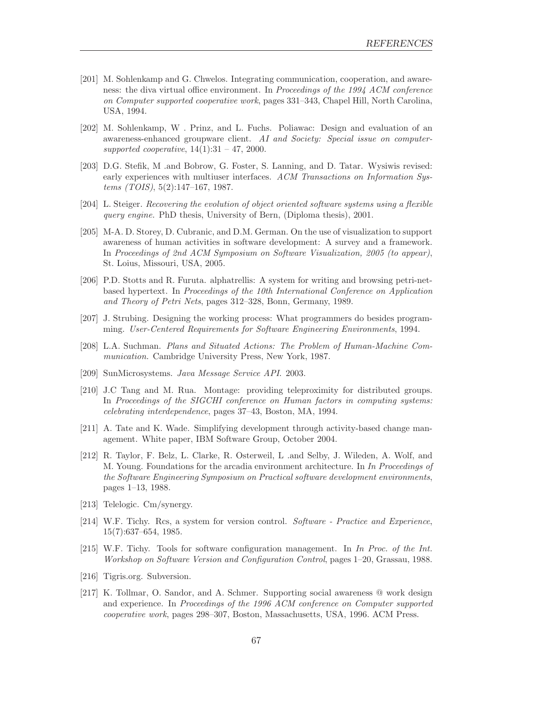- [201] M. Sohlenkamp and G. Chwelos. Integrating communication, cooperation, and awareness: the diva virtual office environment. In Proceedings of the 1994 ACM conference on Computer supported cooperative work, pages 331–343, Chapel Hill, North Carolina, USA, 1994.
- [202] M. Sohlenkamp, W . Prinz, and L. Fuchs. Poliawac: Design and evaluation of an awareness-enhanced groupware client. AI and Society: Special issue on computersupported cooperative,  $14(1):31 - 47$ , 2000.
- [203] D.G. Stefik, M .and Bobrow, G. Foster, S. Lanning, and D. Tatar. Wysiwis revised: early experiences with multiuser interfaces. ACM Transactions on Information Sys $tems$  (TOIS),  $5(2):147-167$ , 1987.
- [204] L. Steiger. Recovering the evolution of object oriented software systems using a flexible query engine. PhD thesis, University of Bern, (Diploma thesis), 2001.
- [205] M-A. D. Storey, D. Cubranic, and D.M. German. On the use of visualization to support awareness of human activities in software development: A survey and a framework. In Proceedings of 2nd ACM Symposium on Software Visualization, 2005 (to appear), St. Loius, Missouri, USA, 2005.
- [206] P.D. Stotts and R. Furuta. alphatrellis: A system for writing and browsing petri-netbased hypertext. In Proceedings of the 10th International Conference on Application and Theory of Petri Nets, pages 312–328, Bonn, Germany, 1989.
- [207] J. Strubing. Designing the working process: What programmers do besides programming. User-Centered Requirements for Software Engineering Environments, 1994.
- [208] L.A. Suchman. Plans and Situated Actions: The Problem of Human-Machine Communication. Cambridge University Press, New York, 1987.
- [209] SunMicrosystems. Java Message Service API. 2003.
- [210] J.C Tang and M. Rua. Montage: providing teleproximity for distributed groups. In Proceedings of the SIGCHI conference on Human factors in computing systems: celebrating interdependence, pages 37–43, Boston, MA, 1994.
- [211] A. Tate and K. Wade. Simplifying development through activity-based change management. White paper, IBM Software Group, October 2004.
- [212] R. Taylor, F. Belz, L. Clarke, R. Osterweil, L .and Selby, J. Wileden, A. Wolf, and M. Young. Foundations for the arcadia environment architecture. In In Proceedings of the Software Engineering Symposium on Practical software development environments, pages 1–13, 1988.
- [213] Telelogic. Cm/synergy.
- [214] W.F. Tichy. Rcs, a system for version control. Software Practice and Experience, 15(7):637–654, 1985.
- [215] W.F. Tichy. Tools for software configuration management. In In Proc. of the Int. Workshop on Software Version and Configuration Control, pages 1–20, Grassau, 1988.
- [216] Tigris.org. Subversion.
- [217] K. Tollmar, O. Sandor, and A. Schmer. Supporting social awareness @ work design and experience. In Proceedings of the 1996 ACM conference on Computer supported cooperative work, pages 298–307, Boston, Massachusetts, USA, 1996. ACM Press.